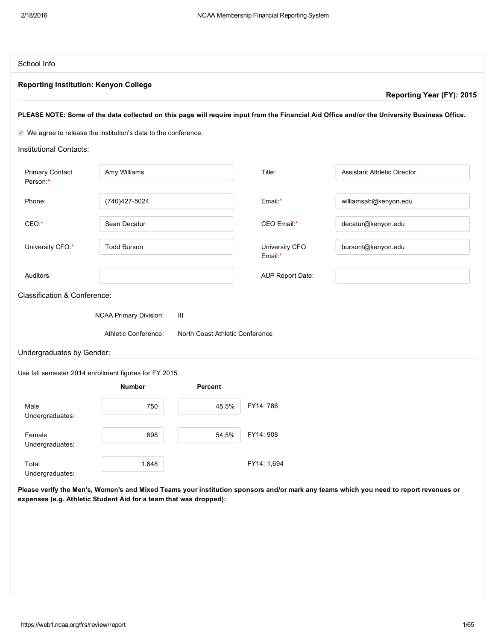| School Info                                                                                                                                  |              |        |                                    |
|----------------------------------------------------------------------------------------------------------------------------------------------|--------------|--------|------------------------------------|
| <b>Reporting Institution: Kenyon College</b>                                                                                                 |              |        |                                    |
|                                                                                                                                              |              |        | Reporting Year (FY): 2015          |
| PLEASE NOTE: Some of the data collected on this page will require input from the Financial Aid Office and/or the University Business Office. |              |        |                                    |
| $\vee$ We agree to release the institution's data to the conference.                                                                         |              |        |                                    |
| Institutional Contacts:                                                                                                                      |              |        |                                    |
| <b>Primary Contact</b><br>Person:*                                                                                                           | Amy Williams | Title: | <b>Assistant Athletic Director</b> |

| $-0.00$                                 |                                                                                                                 |                                      |                           |                       |
|-----------------------------------------|-----------------------------------------------------------------------------------------------------------------|--------------------------------------|---------------------------|-----------------------|
| Phone:                                  | (740) 427-5024                                                                                                  |                                      | Email:*                   | williamsah@kenyon.edu |
| $CEO.*$                                 | Sean Decatur                                                                                                    |                                      | CEO Email:*               | decatur@kenyon.edu    |
| University CFO:*                        | <b>Todd Burson</b>                                                                                              |                                      | University CFO<br>Email:* | bursont@kenyon.edu    |
| Auditors:                               |                                                                                                                 |                                      | <b>AUP Report Date:</b>   |                       |
| <b>Classification &amp; Conference:</b> |                                                                                                                 |                                      |                           |                       |
| Undergraduates by Gender:               | <b>NCAA Primary Division:</b><br>Athletic Conference:<br>Use fall semester 2014 enrollment figures for FY 2015. | Ш<br>North Coast Athletic Conference |                           |                       |
|                                         | <b>Number</b>                                                                                                   | Percent                              |                           |                       |
| Male<br>Undergraduates:                 | 750                                                                                                             | 45.5%                                | FY14: 786                 |                       |
| Female<br>Undergraduates:               | 898                                                                                                             | 54.5%                                | FY14: 908                 |                       |
| Total<br>Undergraduates:                | 1,648                                                                                                           |                                      | FY14: 1,694               |                       |

Please verify the Men's, Women's and Mixed Teams your institution sponsors and/or mark any teams which you need to report revenues or expenses (e.g. Athletic Student Aid for a team that was dropped):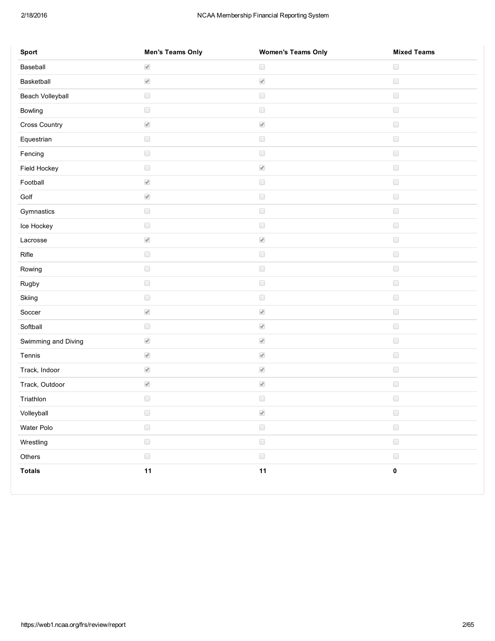## 2/18/2016 NCAA Membership Financial Reporting System

| Sport               | <b>Men's Teams Only</b>  | <b>Women's Teams Only</b> | <b>Mixed Teams</b> |
|---------------------|--------------------------|---------------------------|--------------------|
| Baseball            | $\overline{\mathcal{A}}$ | $\hfill \square$          | $\Box$             |
| Basketball          | $\overline{\mathscr{L}}$ | $\overline{\mathscr{A}}$  | $\Box$             |
| Beach Volleyball    | $\Box$                   | $\hfill \square$          | $\Box$             |
| Bowling             | $\Box$                   | $\hfill \square$          | $\Box$             |
| Cross Country       | $\blacktriangledown$     | $\overline{\mathscr{A}}$  | $\Box$             |
| Equestrian          | $\Box$                   | $\hfill \square$          | $\Box$             |
| Fencing             | $\Box$                   | $\hfill \square$          | $\Box$             |
| Field Hockey        | $\hfill \square$         | $\overline{\mathcal{A}}$  | $\Box$             |
| Football            | $\overline{\mathscr{A}}$ | $\hfill \square$          | $\Box$             |
| Golf                | $\blacktriangledown$     | $\hfill \square$          | $\Box$             |
| Gymnastics          | $\Box$                   | $\hfill \square$          | $\Box$             |
| Ice Hockey          | $\Box$                   | $\Box$                    | $\Box$             |
| Lacrosse            | $\overline{\mathcal{A}}$ | $\blacktriangledown$      | $\Box$             |
| Rifle               | $\hfill \square$         | $\hfill \square$          | $\Box$             |
| Rowing              | $\Box$                   | $\hfill \square$          | $\Box$             |
| Rugby               | $\hfill \square$         | $\hfill \square$          | $\Box$             |
| Skiing              | $\Box$                   | $\Box$                    | $\Box$             |
| Soccer              | $\blacktriangledown$     | $\blacktriangledown$      | $\Box$             |
| Softball            | $\Box$                   | $\overline{\mathscr{A}}$  | $\Box$             |
| Swimming and Diving | $\overline{\mathcal{A}}$ | $\overline{\mathscr{A}}$  | $\Box$             |
| Tennis              | $\overline{\mathscr{A}}$ | $\overline{\mathscr{A}}$  | $\Box$             |
| Track, Indoor       | $\overline{\mathcal{A}}$ | $\overline{\mathscr{A}}$  | $\Box$             |
| Track, Outdoor      | $\overline{\mathscr{A}}$ | $\blacktriangledown$      | $\Box$             |
| Triathlon           | $\hfill \square$         | $\hfill \square$          | $\Box$             |
| Volleyball          | $\Box$                   | $\overline{\mathcal{A}}$  | $\Box$             |
| Water Polo          | $\hfill \square$         | $\hfill \square$          | $\Box$             |
| Wrestling           | $\hfill \square$         | $\hfill \square$          | $\Box$             |
| Others              | $\qquad \qquad \Box$     | $\hfill \square$          | $\Box$             |
| <b>Totals</b>       | 11                       | 11                        | $\pmb{0}$          |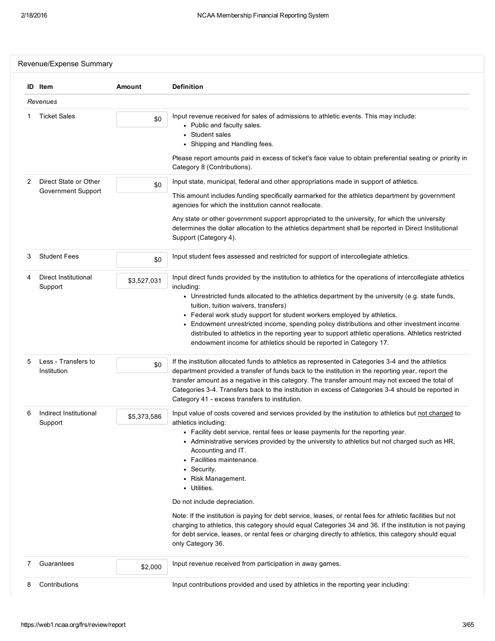|   | <b>ID</b> Item                     | Amount      | <b>Definition</b>                                                                                                                                                                                                                                                                                                                                                                                                                                                                                                                                                                                                         |
|---|------------------------------------|-------------|---------------------------------------------------------------------------------------------------------------------------------------------------------------------------------------------------------------------------------------------------------------------------------------------------------------------------------------------------------------------------------------------------------------------------------------------------------------------------------------------------------------------------------------------------------------------------------------------------------------------------|
|   | Revenues                           |             |                                                                                                                                                                                                                                                                                                                                                                                                                                                                                                                                                                                                                           |
|   | <b>Ticket Sales</b>                | \$0         | Input revenue received for sales of admissions to athletic events. This may include:<br>• Public and faculty sales.<br>• Student sales<br>• Shipping and Handling fees.<br>Please report amounts paid in excess of ticket's face value to obtain preferential seating or priority in<br>Category 8 (Contributions).                                                                                                                                                                                                                                                                                                       |
| 2 | Direct State or Other              |             | Input state, municipal, federal and other appropriations made in support of athletics.                                                                                                                                                                                                                                                                                                                                                                                                                                                                                                                                    |
|   | Government Support                 | \$0         | This amount includes funding specifically earmarked for the athletics department by government<br>agencies for which the institution cannot reallocate.                                                                                                                                                                                                                                                                                                                                                                                                                                                                   |
|   |                                    |             | Any state or other government support appropriated to the university, for which the university<br>determines the dollar allocation to the athletics department shall be reported in Direct Institutional<br>Support (Category 4).                                                                                                                                                                                                                                                                                                                                                                                         |
| 3 | <b>Student Fees</b>                | \$0         | Input student fees assessed and restricted for support of intercollegiate athletics.                                                                                                                                                                                                                                                                                                                                                                                                                                                                                                                                      |
|   | Direct Institutional<br>Support    | \$3,527,031 | Input direct funds provided by the institution to athletics for the operations of intercollegiate athletics<br>including:<br>• Unrestricted funds allocated to the athletics department by the university (e.g. state funds,<br>tuition, tuition waivers, transfers)<br>• Federal work study support for student workers employed by athletics.<br>• Endowment unrestricted income, spending policy distributions and other investment income<br>distributed to athletics in the reporting year to support athletic operations. Athletics restricted<br>endowment income for athletics should be reported in Category 17. |
| 5 | Less - Transfers to<br>Institution | \$0         | If the institution allocated funds to athletics as represented in Categories 3-4 and the athletics<br>department provided a transfer of funds back to the institution in the reporting year, report the<br>transfer amount as a negative in this category. The transfer amount may not exceed the total of<br>Categories 3-4. Transfers back to the institution in excess of Categories 3-4 should be reported in<br>Category 41 - excess transfers to institution.                                                                                                                                                       |
| 6 | Indirect Institutional<br>Support  | \$5,373,586 | Input value of costs covered and services provided by the institution to athletics but not charged to<br>athletics including:<br>• Facility debt service, rental fees or lease payments for the reporting year.<br>• Administrative services provided by the university to athletics but not charged such as HR,<br>Accounting and IT.<br>• Facilities maintenance.<br>• Security.<br>• Risk Management.<br>• Utilities.                                                                                                                                                                                                  |
|   |                                    |             | Do not include depreciation.                                                                                                                                                                                                                                                                                                                                                                                                                                                                                                                                                                                              |
|   |                                    |             | Note: If the institution is paying for debt service, leases, or rental fees for athletic facilities but not<br>charging to athletics, this category should equal Categories 34 and 36. If the institution is not paying<br>for debt service, leases, or rental fees or charging directly to athletics, this category should equal<br>only Category 36.                                                                                                                                                                                                                                                                    |
| 7 | Guarantees                         | \$2,000     | Input revenue received from participation in away games.                                                                                                                                                                                                                                                                                                                                                                                                                                                                                                                                                                  |
| 8 | Contributions                      |             | Input contributions provided and used by athletics in the reporting year including:                                                                                                                                                                                                                                                                                                                                                                                                                                                                                                                                       |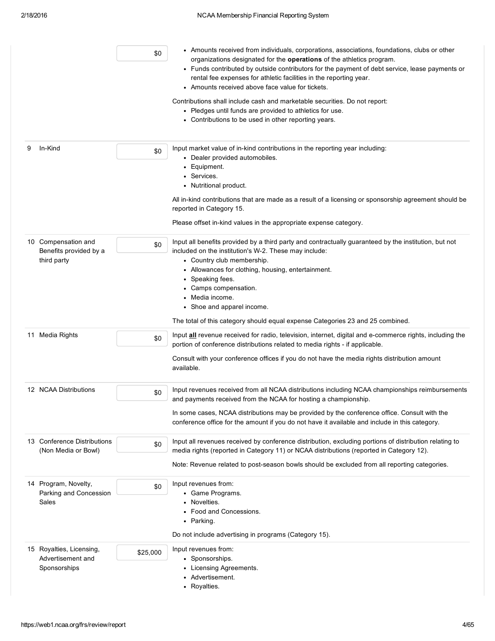| \$0                                                                       | • Amounts received from individuals, corporations, associations, foundations, clubs or other<br>organizations designated for the operations of the athletics program.<br>• Funds contributed by outside contributors for the payment of debt service, lease payments or<br>rental fee expenses for athletic facilities in the reporting year.<br>• Amounts received above face value for tickets.<br>Contributions shall include cash and marketable securities. Do not report:<br>• Pledges until funds are provided to athletics for use.<br>• Contributions to be used in other reporting years. |
|---------------------------------------------------------------------------|-----------------------------------------------------------------------------------------------------------------------------------------------------------------------------------------------------------------------------------------------------------------------------------------------------------------------------------------------------------------------------------------------------------------------------------------------------------------------------------------------------------------------------------------------------------------------------------------------------|
| In-Kind<br>9<br>\$0                                                       | Input market value of in-kind contributions in the reporting year including:<br>• Dealer provided automobiles.<br>• Equipment.<br>• Services.<br>• Nutritional product.<br>All in-kind contributions that are made as a result of a licensing or sponsorship agreement should be<br>reported in Category 15.<br>Please offset in-kind values in the appropriate expense category.                                                                                                                                                                                                                   |
| 10 Compensation and<br>\$0<br>Benefits provided by a<br>third party       | Input all benefits provided by a third party and contractually guaranteed by the institution, but not<br>included on the institution's W-2. These may include:<br>• Country club membership.<br>• Allowances for clothing, housing, entertainment.<br>• Speaking fees.<br>• Camps compensation.<br>• Media income.<br>• Shoe and apparel income.<br>The total of this category should equal expense Categories 23 and 25 combined.                                                                                                                                                                  |
| 11 Media Rights<br>\$0                                                    | Input <b>all</b> revenue received for radio, television, internet, digital and e-commerce rights, including the<br>portion of conference distributions related to media rights - if applicable.<br>Consult with your conference offices if you do not have the media rights distribution amount<br>available.                                                                                                                                                                                                                                                                                       |
| 12 NCAA Distributions<br>\$0                                              | Input revenues received from all NCAA distributions including NCAA championships reimbursements<br>and payments received from the NCAA for hosting a championship.<br>In some cases, NCAA distributions may be provided by the conference office. Consult with the<br>conference office for the amount if you do not have it available and include in this category.                                                                                                                                                                                                                                |
| 13 Conference Distributions<br>\$0<br>(Non Media or Bowl)                 | Input all revenues received by conference distribution, excluding portions of distribution relating to<br>media rights (reported in Category 11) or NCAA distributions (reported in Category 12).<br>Note: Revenue related to post-season bowls should be excluded from all reporting categories.                                                                                                                                                                                                                                                                                                   |
| 14 Program, Novelty,<br>\$0<br>Parking and Concession<br>Sales            | Input revenues from:<br>• Game Programs.<br>• Novelties.<br>• Food and Concessions.<br>• Parking.<br>Do not include advertising in programs (Category 15).                                                                                                                                                                                                                                                                                                                                                                                                                                          |
| 15 Royalties, Licensing,<br>\$25,000<br>Advertisement and<br>Sponsorships | Input revenues from:<br>• Sponsorships.<br>• Licensing Agreements.<br>• Advertisement.<br>• Royalties.                                                                                                                                                                                                                                                                                                                                                                                                                                                                                              |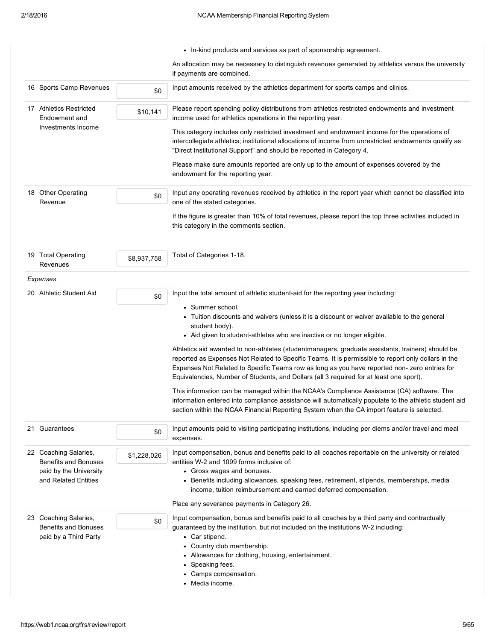|                                                |                                                                        |             | • In-kind products and services as part of sponsorship agreement.                                                                                                                                                                                                                                                                                                                                    |
|------------------------------------------------|------------------------------------------------------------------------|-------------|------------------------------------------------------------------------------------------------------------------------------------------------------------------------------------------------------------------------------------------------------------------------------------------------------------------------------------------------------------------------------------------------------|
|                                                |                                                                        |             | An allocation may be necessary to distinguish revenues generated by athletics versus the university<br>if payments are combined.                                                                                                                                                                                                                                                                     |
|                                                | 16 Sports Camp Revenues                                                | \$0         | Input amounts received by the athletics department for sports camps and clinics.                                                                                                                                                                                                                                                                                                                     |
|                                                | 17 Athletics Restricted<br>Endowment and                               | \$10,141    | Please report spending policy distributions from athletics restricted endowments and investment<br>income used for athletics operations in the reporting year.                                                                                                                                                                                                                                       |
|                                                | Investments Income                                                     |             | This category includes only restricted investment and endowment income for the operations of<br>intercollegiate athletics; institutional allocations of income from unrestricted endowments qualify as<br>"Direct Institutional Support" and should be reported in Category 4.                                                                                                                       |
|                                                |                                                                        |             | Please make sure amounts reported are only up to the amount of expenses covered by the<br>endowment for the reporting year.                                                                                                                                                                                                                                                                          |
|                                                | 18 Other Operating<br>Revenue                                          | \$0         | Input any operating revenues received by athletics in the report year which cannot be classified into<br>one of the stated categories.                                                                                                                                                                                                                                                               |
|                                                |                                                                        |             | If the figure is greater than 10% of total revenues, please report the top three activities included in<br>this category in the comments section.                                                                                                                                                                                                                                                    |
|                                                | 19 Total Operating<br>Revenues                                         | \$8,937,758 | Total of Categories 1-18.                                                                                                                                                                                                                                                                                                                                                                            |
|                                                | Expenses                                                               |             |                                                                                                                                                                                                                                                                                                                                                                                                      |
|                                                | 20 Athletic Student Aid                                                | \$0         | Input the total amount of athletic student-aid for the reporting year including:                                                                                                                                                                                                                                                                                                                     |
|                                                |                                                                        |             | • Summer school.<br>• Tuition discounts and waivers (unless it is a discount or waiver available to the general<br>student body).<br>• Aid given to student-athletes who are inactive or no longer eligible.                                                                                                                                                                                         |
|                                                |                                                                        |             | Athletics aid awarded to non-athletes (student managers, graduate assistants, trainers) should be<br>reported as Expenses Not Related to Specific Teams. It is permissible to report only dollars in the<br>Expenses Not Related to Specific Teams row as long as you have reported non- zero entries for<br>Equivalencies, Number of Students, and Dollars (all 3 required for at least one sport). |
|                                                |                                                                        |             | This information can be managed within the NCAA's Compliance Assistance (CA) software. The<br>information entered into compliance assistance will automatically populate to the athletic student aid<br>section within the NCAA Financial Reporting System when the CA import feature is selected.                                                                                                   |
|                                                | 21 Guarantees                                                          | \$0         | Input amounts paid to visiting participating institutions, including per diems and/or travel and meal<br>expenses.                                                                                                                                                                                                                                                                                   |
|                                                | 22 Coaching Salaries,<br>Benefits and Bonuses                          | \$1,228,026 | Input compensation, bonus and benefits paid to all coaches reportable on the university or related<br>entities W-2 and 1099 forms inclusive of:                                                                                                                                                                                                                                                      |
| paid by the University<br>and Related Entities |                                                                        |             | • Gross wages and bonuses.<br>• Benefits including allowances, speaking fees, retirement, stipends, memberships, media<br>income, tuition reimbursement and earned deferred compensation.                                                                                                                                                                                                            |
|                                                |                                                                        |             | Place any severance payments in Category 26.                                                                                                                                                                                                                                                                                                                                                         |
|                                                | 23 Coaching Salaries,<br>Benefits and Bonuses<br>paid by a Third Party | \$0         | Input compensation, bonus and benefits paid to all coaches by a third party and contractually<br>guaranteed by the institution, but not included on the institutions W-2 including:<br>• Car stipend.                                                                                                                                                                                                |
|                                                |                                                                        |             | • Country club membership.<br>• Allowances for clothing, housing, entertainment.<br>• Speaking fees.<br>• Camps compensation.<br>• Media income.                                                                                                                                                                                                                                                     |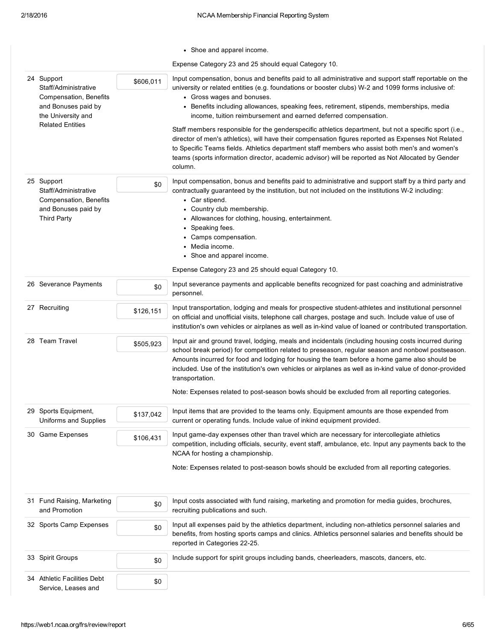|                                                                                                           |           | • Shoe and apparel income.                                                                                                                                                                                                                                                                                                                                                                                                              |
|-----------------------------------------------------------------------------------------------------------|-----------|-----------------------------------------------------------------------------------------------------------------------------------------------------------------------------------------------------------------------------------------------------------------------------------------------------------------------------------------------------------------------------------------------------------------------------------------|
|                                                                                                           |           | Expense Category 23 and 25 should equal Category 10.                                                                                                                                                                                                                                                                                                                                                                                    |
| 24 Support<br>Staff/Administrative<br>Compensation, Benefits<br>and Bonuses paid by<br>the University and | \$606,011 | Input compensation, bonus and benefits paid to all administrative and support staff reportable on the<br>university or related entities (e.g. foundations or booster clubs) W-2 and 1099 forms inclusive of:<br>• Gross wages and bonuses.<br>• Benefits including allowances, speaking fees, retirement, stipends, memberships, media<br>income, tuition reimbursement and earned deferred compensation.                               |
| <b>Related Entities</b>                                                                                   |           | Staff members responsible for the genderspecific athletics department, but not a specific sport (i.e.,<br>director of men's athletics), will have their compensation figures reported as Expenses Not Related<br>to Specific Teams fields. Athletics department staff members who assist both men's and women's<br>teams (sports information director, academic advisor) will be reported as Not Allocated by Gender<br>column.         |
| 25 Support<br>Staff/Administrative<br>Compensation, Benefits<br>and Bonuses paid by<br><b>Third Party</b> | \$0       | Input compensation, bonus and benefits paid to administrative and support staff by a third party and<br>contractually guaranteed by the institution, but not included on the institutions W-2 including:<br>• Car stipend.<br>• Country club membership.<br>• Allowances for clothing, housing, entertainment.<br>• Speaking fees.<br>• Camps compensation.<br>• Media income.<br>• Shoe and apparel income.                            |
|                                                                                                           |           | Expense Category 23 and 25 should equal Category 10.                                                                                                                                                                                                                                                                                                                                                                                    |
| 26 Severance Payments                                                                                     | \$0       | Input severance payments and applicable benefits recognized for past coaching and administrative<br>personnel.                                                                                                                                                                                                                                                                                                                          |
| 27 Recruiting                                                                                             | \$126,151 | Input transportation, lodging and meals for prospective student-athletes and institutional personnel<br>on official and unofficial visits, telephone call charges, postage and such. Include value of use of<br>institution's own vehicles or airplanes as well as in-kind value of loaned or contributed transportation.                                                                                                               |
| 28 Team Travel                                                                                            | \$505,923 | Input air and ground travel, lodging, meals and incidentals (including housing costs incurred during<br>school break period) for competition related to preseason, regular season and nonbowl postseason.<br>Amounts incurred for food and lodging for housing the team before a home game also should be<br>included. Use of the institution's own vehicles or airplanes as well as in-kind value of donor-provided<br>transportation. |
|                                                                                                           |           | Note: Expenses related to post-season bowls should be excluded from all reporting categories.                                                                                                                                                                                                                                                                                                                                           |
| 29 Sports Equipment,<br>Uniforms and Supplies                                                             | \$137,042 | Input items that are provided to the teams only. Equipment amounts are those expended from<br>current or operating funds. Include value of inkind equipment provided.                                                                                                                                                                                                                                                                   |
| 30 Game Expenses                                                                                          | \$106,431 | Input game-day expenses other than travel which are necessary for intercollegiate athletics<br>competition, including officials, security, event staff, ambulance, etc. Input any payments back to the<br>NCAA for hosting a championship.                                                                                                                                                                                              |
|                                                                                                           |           | Note: Expenses related to post-season bowls should be excluded from all reporting categories.                                                                                                                                                                                                                                                                                                                                           |
| 31 Fund Raising, Marketing<br>and Promotion                                                               | \$0       | Input costs associated with fund raising, marketing and promotion for media guides, brochures,<br>recruiting publications and such.                                                                                                                                                                                                                                                                                                     |
| 32 Sports Camp Expenses                                                                                   | \$0       | Input all expenses paid by the athletics department, including non-athletics personnel salaries and<br>benefits, from hosting sports camps and clinics. Athletics personnel salaries and benefits should be<br>reported in Categories 22-25.                                                                                                                                                                                            |
| 33 Spirit Groups                                                                                          | \$0       | Include support for spirit groups including bands, cheerleaders, mascots, dancers, etc.                                                                                                                                                                                                                                                                                                                                                 |
| 34 Athletic Facilities Debt<br>Service, Leases and                                                        | \$0       |                                                                                                                                                                                                                                                                                                                                                                                                                                         |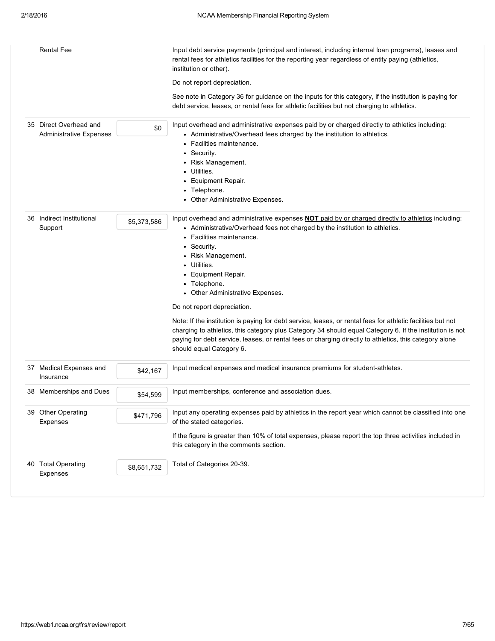| <b>Rental Fee</b>                                        |             | Input debt service payments (principal and interest, including internal loan programs), leases and<br>rental fees for athletics facilities for the reporting year regardless of entity paying (athletics,<br>institution or other).<br>Do not report depreciation.<br>See note in Category 36 for guidance on the inputs for this category, if the institution is paying for<br>debt service, leases, or rental fees for athletic facilities but not charging to athletics.                                                                                                                                                                                                                                                                           |
|----------------------------------------------------------|-------------|-------------------------------------------------------------------------------------------------------------------------------------------------------------------------------------------------------------------------------------------------------------------------------------------------------------------------------------------------------------------------------------------------------------------------------------------------------------------------------------------------------------------------------------------------------------------------------------------------------------------------------------------------------------------------------------------------------------------------------------------------------|
| 35 Direct Overhead and<br><b>Administrative Expenses</b> | \$0         | Input overhead and administrative expenses paid by or charged directly to athletics including:<br>• Administrative/Overhead fees charged by the institution to athletics.<br>• Facilities maintenance.<br>• Security.<br>• Risk Management.<br>• Utilities.<br>Equipment Repair.<br>• Telephone.<br>• Other Administrative Expenses.                                                                                                                                                                                                                                                                                                                                                                                                                  |
| 36 Indirect Institutional<br>Support                     | \$5,373,586 | Input overhead and administrative expenses <b>NOT</b> paid by or charged directly to athletics including:<br>• Administrative/Overhead fees not charged by the institution to athletics.<br>• Facilities maintenance.<br>• Security.<br>• Risk Management.<br>• Utilities.<br>• Equipment Repair.<br>• Telephone.<br>• Other Administrative Expenses.<br>Do not report depreciation.<br>Note: If the institution is paying for debt service, leases, or rental fees for athletic facilities but not<br>charging to athletics, this category plus Category 34 should equal Category 6. If the institution is not<br>paying for debt service, leases, or rental fees or charging directly to athletics, this category alone<br>should equal Category 6. |
| 37 Medical Expenses and<br>Insurance                     | \$42,167    | Input medical expenses and medical insurance premiums for student-athletes.                                                                                                                                                                                                                                                                                                                                                                                                                                                                                                                                                                                                                                                                           |
| 38 Memberships and Dues                                  | \$54.599    | Input memberships, conference and association dues.                                                                                                                                                                                                                                                                                                                                                                                                                                                                                                                                                                                                                                                                                                   |
| 39 Other Operating<br>Expenses                           | \$471,796   | Input any operating expenses paid by athletics in the report year which cannot be classified into one<br>of the stated categories.<br>If the figure is greater than 10% of total expenses, please report the top three activities included in<br>this category in the comments section.                                                                                                                                                                                                                                                                                                                                                                                                                                                               |
| 40 Total Operating<br>Expenses                           | \$8,651,732 | Total of Categories 20-39.                                                                                                                                                                                                                                                                                                                                                                                                                                                                                                                                                                                                                                                                                                                            |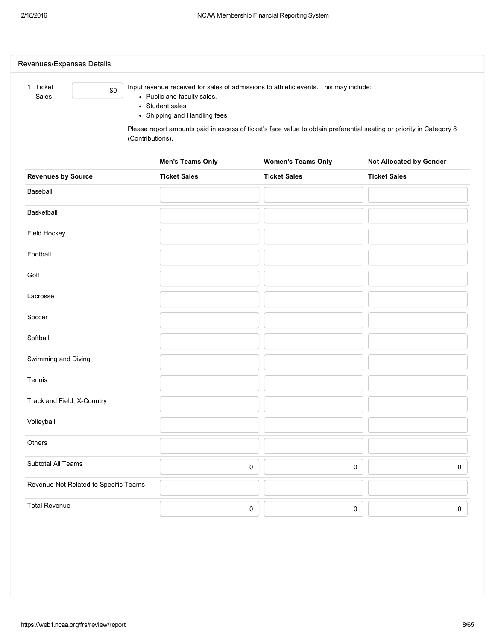| 1 Ticket<br>\$0                       |                                                | Input revenue received for sales of admissions to athletic events. This may include: |                                                                                                                      |
|---------------------------------------|------------------------------------------------|--------------------------------------------------------------------------------------|----------------------------------------------------------------------------------------------------------------------|
| Sales                                 | • Public and faculty sales.<br>• Student sales |                                                                                      |                                                                                                                      |
|                                       | • Shipping and Handling fees.                  |                                                                                      | Please report amounts paid in excess of ticket's face value to obtain preferential seating or priority in Category 8 |
|                                       | (Contributions).                               |                                                                                      |                                                                                                                      |
|                                       | <b>Men's Teams Only</b>                        | <b>Women's Teams Only</b>                                                            | <b>Not Allocated by Gender</b>                                                                                       |
| <b>Revenues by Source</b>             | <b>Ticket Sales</b>                            | <b>Ticket Sales</b>                                                                  | <b>Ticket Sales</b>                                                                                                  |
| Baseball                              |                                                |                                                                                      |                                                                                                                      |
| Basketball                            |                                                |                                                                                      |                                                                                                                      |
| Field Hockey                          |                                                |                                                                                      |                                                                                                                      |
| Football                              |                                                |                                                                                      |                                                                                                                      |
| Golf                                  |                                                |                                                                                      |                                                                                                                      |
| Lacrosse                              |                                                |                                                                                      |                                                                                                                      |
| Soccer                                |                                                |                                                                                      |                                                                                                                      |
| Softball                              |                                                |                                                                                      |                                                                                                                      |
| Swimming and Diving                   |                                                |                                                                                      |                                                                                                                      |
| Tennis                                |                                                |                                                                                      |                                                                                                                      |
| Track and Field, X-Country            |                                                |                                                                                      |                                                                                                                      |
| Volleyball                            |                                                |                                                                                      |                                                                                                                      |
| Others                                |                                                |                                                                                      |                                                                                                                      |
| Subtotal All Teams                    |                                                | $\pmb{0}$                                                                            | $\pmb{0}$<br>0                                                                                                       |
| Revenue Not Related to Specific Teams |                                                |                                                                                      |                                                                                                                      |
| <b>Total Revenue</b>                  |                                                | $\pmb{0}$                                                                            | 0<br>0                                                                                                               |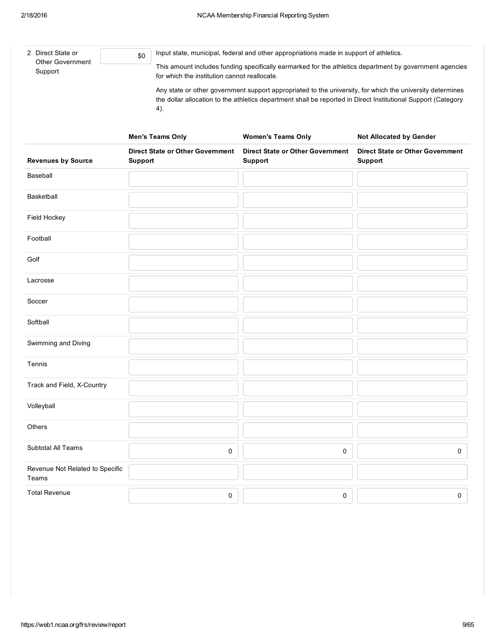| 2 Direct State or<br><b>Other Government</b> | \$0 | Input state, municipal, federal and other appropriations made in support of athletics.                                                                                                                                            |
|----------------------------------------------|-----|-----------------------------------------------------------------------------------------------------------------------------------------------------------------------------------------------------------------------------------|
| Support                                      |     | This amount includes funding specifically earmarked for the athletics department by government agencies<br>for which the institution cannot reallocate.                                                                           |
|                                              |     | Any state or other government support appropriated to the university, for which the university determines<br>the dollar allocation to the athletics department shall be reported in Direct Institutional Support (Category<br>4). |

|                                          | <b>Men's Teams Only</b>                            | <b>Women's Teams Only</b>                          | <b>Not Allocated by Gender</b>                            |
|------------------------------------------|----------------------------------------------------|----------------------------------------------------|-----------------------------------------------------------|
| <b>Revenues by Source</b>                | <b>Direct State or Other Government</b><br>Support | <b>Direct State or Other Government</b><br>Support | <b>Direct State or Other Government</b><br><b>Support</b> |
| Baseball                                 |                                                    |                                                    |                                                           |
| Basketball                               |                                                    |                                                    |                                                           |
| Field Hockey                             |                                                    |                                                    |                                                           |
| Football                                 |                                                    |                                                    |                                                           |
| Golf                                     |                                                    |                                                    |                                                           |
| Lacrosse                                 |                                                    |                                                    |                                                           |
| Soccer                                   |                                                    |                                                    |                                                           |
| Softball                                 |                                                    |                                                    |                                                           |
| Swimming and Diving                      |                                                    |                                                    |                                                           |
| Tennis                                   |                                                    |                                                    |                                                           |
| Track and Field, X-Country               |                                                    |                                                    |                                                           |
| Volleyball                               |                                                    |                                                    |                                                           |
| Others                                   |                                                    |                                                    |                                                           |
| Subtotal All Teams                       | $\pmb{0}$                                          | 0                                                  | 0                                                         |
| Revenue Not Related to Specific<br>Teams |                                                    |                                                    |                                                           |
| <b>Total Revenue</b>                     | $\pmb{0}$                                          | 0                                                  | 0                                                         |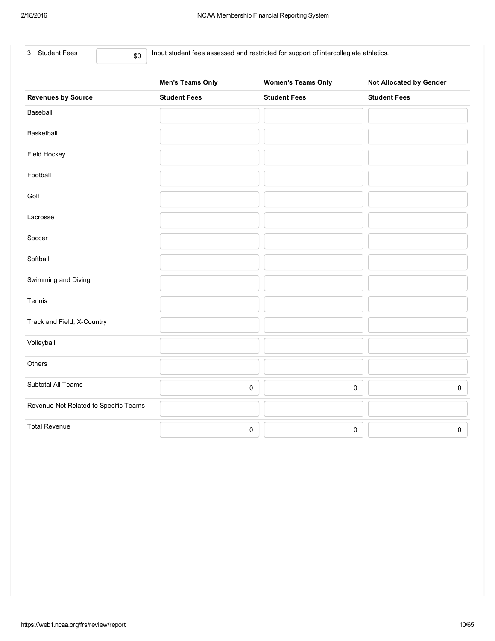|  | 3 Student Fees | \$0 |
|--|----------------|-----|
|--|----------------|-----|

Input student fees assessed and restricted for support of intercollegiate athletics.

|                                       | <b>Men's Teams Only</b> | <b>Women's Teams Only</b> | <b>Not Allocated by Gender</b> |
|---------------------------------------|-------------------------|---------------------------|--------------------------------|
| <b>Revenues by Source</b>             | <b>Student Fees</b>     | <b>Student Fees</b>       | <b>Student Fees</b>            |
| Baseball                              |                         |                           |                                |
| Basketball                            |                         |                           |                                |
| Field Hockey                          |                         |                           |                                |
| Football                              |                         |                           |                                |
| Golf                                  |                         |                           |                                |
| Lacrosse                              |                         |                           |                                |
| Soccer                                |                         |                           |                                |
| Softball                              |                         |                           |                                |
| Swimming and Diving                   |                         |                           |                                |
| Tennis                                |                         |                           |                                |
| Track and Field, X-Country            |                         |                           |                                |
| Volleyball                            |                         |                           |                                |
| Others                                |                         |                           |                                |
| Subtotal All Teams                    | $\pmb{0}$               | $\pmb{0}$                 | $\mathsf{O}\xspace$            |
| Revenue Not Related to Specific Teams |                         |                           |                                |
| <b>Total Revenue</b>                  | $\pmb{0}$               | $\pmb{0}$                 | 0                              |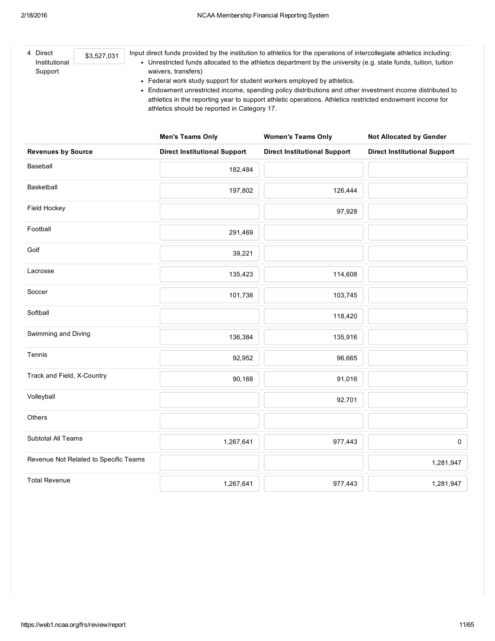| Input direct funds provided by the institution to athletics for the operations of intercollegiate athletics including:<br>4 Direct<br>\$3,527,031<br>• Unrestricted funds allocated to the athletics department by the university (e.g. state funds, tuition, tuition<br>Institutional<br>Support<br>waivers, transfers)<br>• Federal work study support for student workers employed by athletics.<br>• Endowment unrestricted income, spending policy distributions and other investment income distributed to<br>athletics in the reporting year to support athletic operations. Athletics restricted endowment income for<br>athletics should be reported in Category 17. |                                     |                                     |                                     |  |  |
|-------------------------------------------------------------------------------------------------------------------------------------------------------------------------------------------------------------------------------------------------------------------------------------------------------------------------------------------------------------------------------------------------------------------------------------------------------------------------------------------------------------------------------------------------------------------------------------------------------------------------------------------------------------------------------|-------------------------------------|-------------------------------------|-------------------------------------|--|--|
|                                                                                                                                                                                                                                                                                                                                                                                                                                                                                                                                                                                                                                                                               | <b>Men's Teams Only</b>             | <b>Women's Teams Only</b>           | <b>Not Allocated by Gender</b>      |  |  |
| <b>Revenues by Source</b>                                                                                                                                                                                                                                                                                                                                                                                                                                                                                                                                                                                                                                                     | <b>Direct Institutional Support</b> | <b>Direct Institutional Support</b> | <b>Direct Institutional Support</b> |  |  |
| Baseball                                                                                                                                                                                                                                                                                                                                                                                                                                                                                                                                                                                                                                                                      | 182,484                             |                                     |                                     |  |  |
| Basketball                                                                                                                                                                                                                                                                                                                                                                                                                                                                                                                                                                                                                                                                    | 197,802                             | 126,444                             |                                     |  |  |
| Field Hockey                                                                                                                                                                                                                                                                                                                                                                                                                                                                                                                                                                                                                                                                  |                                     | 97,928                              |                                     |  |  |
| Football                                                                                                                                                                                                                                                                                                                                                                                                                                                                                                                                                                                                                                                                      | 291,469                             |                                     |                                     |  |  |
| Golf                                                                                                                                                                                                                                                                                                                                                                                                                                                                                                                                                                                                                                                                          | 39,221                              |                                     |                                     |  |  |
| Lacrosse                                                                                                                                                                                                                                                                                                                                                                                                                                                                                                                                                                                                                                                                      | 135,423                             | 114,608                             |                                     |  |  |
| Soccer                                                                                                                                                                                                                                                                                                                                                                                                                                                                                                                                                                                                                                                                        | 101,738                             | 103,745                             |                                     |  |  |
| Softball                                                                                                                                                                                                                                                                                                                                                                                                                                                                                                                                                                                                                                                                      |                                     | 118,420                             |                                     |  |  |
| Swimming and Diving                                                                                                                                                                                                                                                                                                                                                                                                                                                                                                                                                                                                                                                           | 136,384                             | 135,916                             |                                     |  |  |
| Tennis                                                                                                                                                                                                                                                                                                                                                                                                                                                                                                                                                                                                                                                                        | 92,952                              | 96,665                              |                                     |  |  |
| Track and Field, X-Country                                                                                                                                                                                                                                                                                                                                                                                                                                                                                                                                                                                                                                                    | 90,168                              | 91,016                              |                                     |  |  |
| Volleyball                                                                                                                                                                                                                                                                                                                                                                                                                                                                                                                                                                                                                                                                    |                                     | 92,701                              |                                     |  |  |
| Others                                                                                                                                                                                                                                                                                                                                                                                                                                                                                                                                                                                                                                                                        |                                     |                                     |                                     |  |  |
| Subtotal All Teams                                                                                                                                                                                                                                                                                                                                                                                                                                                                                                                                                                                                                                                            | 1,267,641                           | 977,443                             | $\mathsf{O}\xspace$                 |  |  |
| Revenue Not Related to Specific Teams                                                                                                                                                                                                                                                                                                                                                                                                                                                                                                                                                                                                                                         |                                     |                                     | 1,281,947                           |  |  |

1,267,641 977,443 1,281,947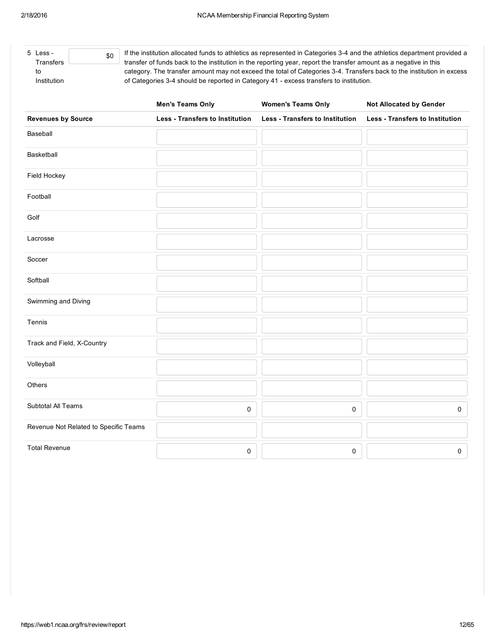$\overline{5}$ 

| Less -<br><b>Transfers</b> | If the institution allocated funds to athletics as represented in Categories 3-4 and the athletics department provided a<br>transfer of funds back to the institution in the reporting year, report the transfer amount as a negative in this |
|----------------------------|-----------------------------------------------------------------------------------------------------------------------------------------------------------------------------------------------------------------------------------------------|
| to                         | category. The transfer amount may not exceed the total of Categories 3-4. Transfers back to the institution in excess                                                                                                                         |
| Institution                | of Categories 3-4 should be reported in Category 41 - excess transfers to institution.                                                                                                                                                        |

|                                       | <b>Men's Teams Only</b>                | <b>Women's Teams Only</b>              | Not Allocated by Gender                |
|---------------------------------------|----------------------------------------|----------------------------------------|----------------------------------------|
| <b>Revenues by Source</b>             | <b>Less - Transfers to Institution</b> | <b>Less - Transfers to Institution</b> | <b>Less - Transfers to Institution</b> |
| Baseball                              |                                        |                                        |                                        |
| Basketball                            |                                        |                                        |                                        |
| Field Hockey                          |                                        |                                        |                                        |
| Football                              |                                        |                                        |                                        |
| Golf                                  |                                        |                                        |                                        |
| Lacrosse                              |                                        |                                        |                                        |
| Soccer                                |                                        |                                        |                                        |
| Softball                              |                                        |                                        |                                        |
| Swimming and Diving                   |                                        |                                        |                                        |
| Tennis                                |                                        |                                        |                                        |
| Track and Field, X-Country            |                                        |                                        |                                        |
| Volleyball                            |                                        |                                        |                                        |
| Others                                |                                        |                                        |                                        |
| Subtotal All Teams                    | 0                                      | $\mathsf{O}\xspace$                    | $\mathsf{O}\xspace$                    |
| Revenue Not Related to Specific Teams |                                        |                                        |                                        |
| <b>Total Revenue</b>                  | 0                                      | 0                                      | $\mathsf{O}\xspace$                    |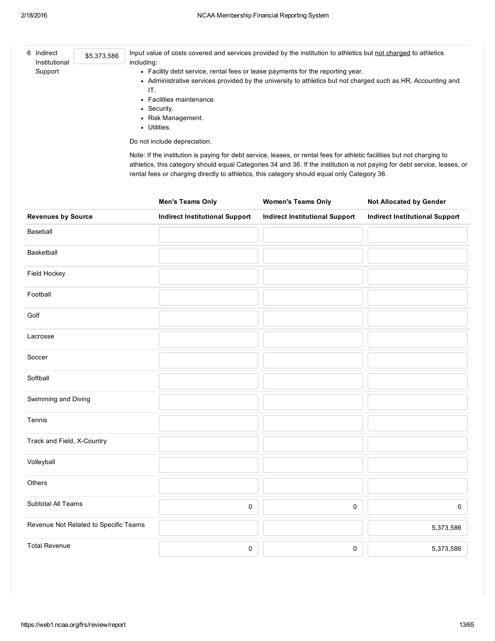| 6 Indirect<br>Institutional | \$5,373,586 | Input value of costs covered and services provided by the institution to athletics but not charged to athletics<br>including:                                                                                                                                                                                                                       |
|-----------------------------|-------------|-----------------------------------------------------------------------------------------------------------------------------------------------------------------------------------------------------------------------------------------------------------------------------------------------------------------------------------------------------|
| Support                     |             | • Facility debt service, rental fees or lease payments for the reporting year.                                                                                                                                                                                                                                                                      |
|                             |             | • Administrative services provided by the university to athletics but not charged such as HR, Accounting and<br>IT.                                                                                                                                                                                                                                 |
|                             |             | • Facilities maintenance.                                                                                                                                                                                                                                                                                                                           |
|                             |             | • Security.                                                                                                                                                                                                                                                                                                                                         |
|                             |             | • Risk Management.                                                                                                                                                                                                                                                                                                                                  |
|                             |             | Utilities.                                                                                                                                                                                                                                                                                                                                          |
|                             |             | Do not include depreciation.                                                                                                                                                                                                                                                                                                                        |
|                             |             | Note: If the institution is paying for debt service, leases, or rental fees for athletic facilities but not charging to<br>athletics, this category should equal Categories 34 and 36. If the institution is not paying for debt service, leases, or<br>rental fees or charging directly to athletics, this category should equal only Category 36. |

|                                       | <b>Men's Teams Only</b>               | <b>Women's Teams Only</b>             | <b>Not Allocated by Gender</b>        |
|---------------------------------------|---------------------------------------|---------------------------------------|---------------------------------------|
| <b>Revenues by Source</b>             | <b>Indirect Institutional Support</b> | <b>Indirect Institutional Support</b> | <b>Indirect Institutional Support</b> |
| Baseball                              |                                       |                                       |                                       |
| Basketball                            |                                       |                                       |                                       |
| Field Hockey                          |                                       |                                       |                                       |
| Football                              |                                       |                                       |                                       |
| Golf                                  |                                       |                                       |                                       |
| Lacrosse                              |                                       |                                       |                                       |
| Soccer                                |                                       |                                       |                                       |
| Softball                              |                                       |                                       |                                       |
| Swimming and Diving                   |                                       |                                       |                                       |
| Tennis                                |                                       |                                       |                                       |
| Track and Field, X-Country            |                                       |                                       |                                       |
| Volleyball                            |                                       |                                       |                                       |
| Others                                |                                       |                                       |                                       |
| Subtotal All Teams                    | 0                                     | $\mathbf 0$                           | $\mathsf{O}\xspace$                   |
| Revenue Not Related to Specific Teams |                                       |                                       | 5,373,586                             |
| <b>Total Revenue</b>                  | $\pmb{0}$                             | $\pmb{0}$                             | 5,373,586                             |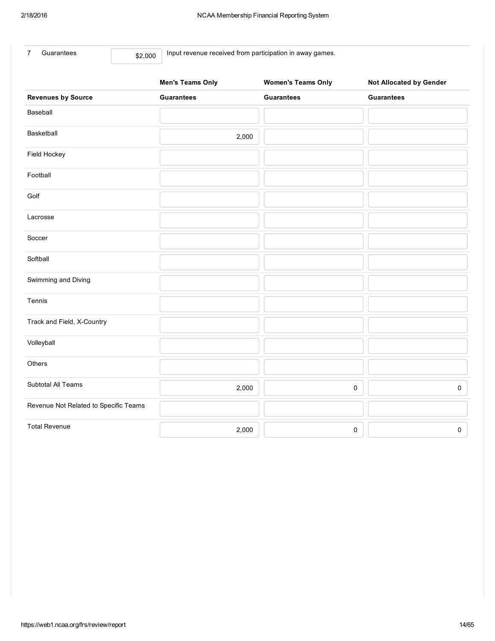| Guarantees |  |
|------------|--|
|            |  |

\$2,000 Input revenue received from participation in away games.

|                                       | <b>Men's Teams Only</b> | <b>Women's Teams Only</b> | <b>Not Allocated by Gender</b> |
|---------------------------------------|-------------------------|---------------------------|--------------------------------|
| <b>Revenues by Source</b>             | <b>Guarantees</b>       | <b>Guarantees</b>         | <b>Guarantees</b>              |
| Baseball                              |                         |                           |                                |
| Basketball                            | 2,000                   |                           |                                |
| Field Hockey                          |                         |                           |                                |
| Football                              |                         |                           |                                |
| Golf                                  |                         |                           |                                |
| Lacrosse                              |                         |                           |                                |
| Soccer                                |                         |                           |                                |
| Softball                              |                         |                           |                                |
| Swimming and Diving                   |                         |                           |                                |
| Tennis                                |                         |                           |                                |
| Track and Field, X-Country            |                         |                           |                                |
| Volleyball                            |                         |                           |                                |
| Others                                |                         |                           |                                |
| Subtotal All Teams                    | 2,000                   | 0                         | $\mathsf{O}\xspace$            |
| Revenue Not Related to Specific Teams |                         |                           |                                |
| <b>Total Revenue</b>                  | 2,000                   | 0                         | $\pmb{0}$                      |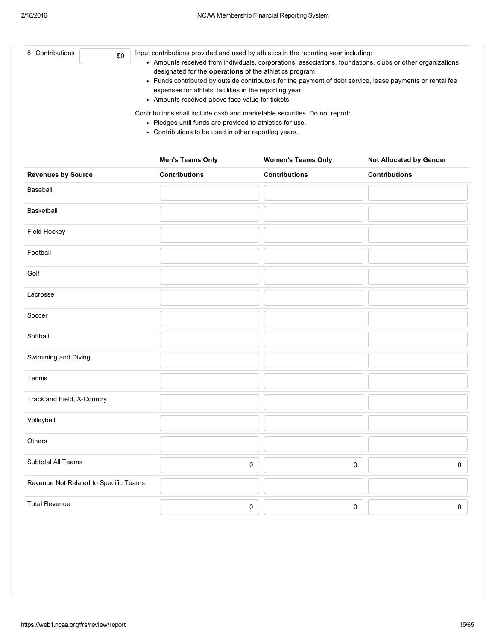| 8 Contributions<br>\$0                | Input contributions provided and used by athletics in the reporting year including:<br>• Amounts received from individuals, corporations, associations, foundations, clubs or other organizations<br>designated for the operations of the athletics program.<br>• Funds contributed by outside contributors for the payment of debt service, lease payments or rental fee<br>expenses for athletic facilities in the reporting year.<br>• Amounts received above face value for tickets.<br>Contributions shall include cash and marketable securities. Do not report:<br>• Pledges until funds are provided to athletics for use.<br>• Contributions to be used in other reporting years. |                           |                                |  |  |
|---------------------------------------|--------------------------------------------------------------------------------------------------------------------------------------------------------------------------------------------------------------------------------------------------------------------------------------------------------------------------------------------------------------------------------------------------------------------------------------------------------------------------------------------------------------------------------------------------------------------------------------------------------------------------------------------------------------------------------------------|---------------------------|--------------------------------|--|--|
|                                       | <b>Men's Teams Only</b>                                                                                                                                                                                                                                                                                                                                                                                                                                                                                                                                                                                                                                                                    | <b>Women's Teams Only</b> | <b>Not Allocated by Gender</b> |  |  |
| <b>Revenues by Source</b>             | <b>Contributions</b>                                                                                                                                                                                                                                                                                                                                                                                                                                                                                                                                                                                                                                                                       | <b>Contributions</b>      | <b>Contributions</b>           |  |  |
| Baseball                              |                                                                                                                                                                                                                                                                                                                                                                                                                                                                                                                                                                                                                                                                                            |                           |                                |  |  |
| <b>Basketball</b>                     |                                                                                                                                                                                                                                                                                                                                                                                                                                                                                                                                                                                                                                                                                            |                           |                                |  |  |
| Field Hockey                          |                                                                                                                                                                                                                                                                                                                                                                                                                                                                                                                                                                                                                                                                                            |                           |                                |  |  |
| Football                              |                                                                                                                                                                                                                                                                                                                                                                                                                                                                                                                                                                                                                                                                                            |                           |                                |  |  |
| Golf                                  |                                                                                                                                                                                                                                                                                                                                                                                                                                                                                                                                                                                                                                                                                            |                           |                                |  |  |
| Lacrosse                              |                                                                                                                                                                                                                                                                                                                                                                                                                                                                                                                                                                                                                                                                                            |                           |                                |  |  |
| Soccer                                |                                                                                                                                                                                                                                                                                                                                                                                                                                                                                                                                                                                                                                                                                            |                           |                                |  |  |
| Softball                              |                                                                                                                                                                                                                                                                                                                                                                                                                                                                                                                                                                                                                                                                                            |                           |                                |  |  |
| Swimming and Diving                   |                                                                                                                                                                                                                                                                                                                                                                                                                                                                                                                                                                                                                                                                                            |                           |                                |  |  |
| Tennis                                |                                                                                                                                                                                                                                                                                                                                                                                                                                                                                                                                                                                                                                                                                            |                           |                                |  |  |
| Track and Field, X-Country            |                                                                                                                                                                                                                                                                                                                                                                                                                                                                                                                                                                                                                                                                                            |                           |                                |  |  |
| Volleyball                            |                                                                                                                                                                                                                                                                                                                                                                                                                                                                                                                                                                                                                                                                                            |                           |                                |  |  |
| Others                                |                                                                                                                                                                                                                                                                                                                                                                                                                                                                                                                                                                                                                                                                                            |                           |                                |  |  |
| Subtotal All Teams                    |                                                                                                                                                                                                                                                                                                                                                                                                                                                                                                                                                                                                                                                                                            | 0                         | 0<br>0                         |  |  |
| Revenue Not Related to Specific Teams |                                                                                                                                                                                                                                                                                                                                                                                                                                                                                                                                                                                                                                                                                            |                           |                                |  |  |
| <b>Total Revenue</b>                  |                                                                                                                                                                                                                                                                                                                                                                                                                                                                                                                                                                                                                                                                                            | 0                         | 0<br>$\mathsf{O}\xspace$       |  |  |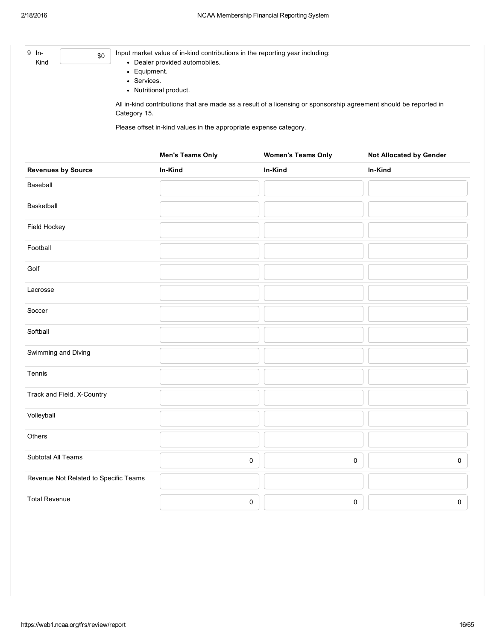| 9 In-<br>Kind                         | \$0<br>• Equipment.<br>• Services. | Input market value of in-kind contributions in the reporting year including:<br>• Dealer provided automobiles.<br>• Nutritional product. |                                                                                                                   |                                |
|---------------------------------------|------------------------------------|------------------------------------------------------------------------------------------------------------------------------------------|-------------------------------------------------------------------------------------------------------------------|--------------------------------|
|                                       | Category 15.                       | Please offset in-kind values in the appropriate expense category.                                                                        | All in-kind contributions that are made as a result of a licensing or sponsorship agreement should be reported in |                                |
|                                       |                                    | <b>Men's Teams Only</b>                                                                                                                  | <b>Women's Teams Only</b>                                                                                         | <b>Not Allocated by Gender</b> |
| <b>Revenues by Source</b>             |                                    | In-Kind                                                                                                                                  | In-Kind                                                                                                           | In-Kind                        |
| Baseball                              |                                    |                                                                                                                                          |                                                                                                                   |                                |
| Basketball                            |                                    |                                                                                                                                          |                                                                                                                   |                                |
| Field Hockey                          |                                    |                                                                                                                                          |                                                                                                                   |                                |
| Football                              |                                    |                                                                                                                                          |                                                                                                                   |                                |
| Golf                                  |                                    |                                                                                                                                          |                                                                                                                   |                                |
| Lacrosse                              |                                    |                                                                                                                                          |                                                                                                                   |                                |
| Soccer                                |                                    |                                                                                                                                          |                                                                                                                   |                                |
| Softball                              |                                    |                                                                                                                                          |                                                                                                                   |                                |
| Swimming and Diving                   |                                    |                                                                                                                                          |                                                                                                                   |                                |
| Tennis                                |                                    |                                                                                                                                          |                                                                                                                   |                                |
| Track and Field, X-Country            |                                    |                                                                                                                                          |                                                                                                                   |                                |
| Volleyball                            |                                    |                                                                                                                                          |                                                                                                                   |                                |
| Others                                |                                    |                                                                                                                                          |                                                                                                                   |                                |
| Subtotal All Teams                    |                                    |                                                                                                                                          | 0                                                                                                                 | $\pmb{0}$<br>0                 |
| Revenue Not Related to Specific Teams |                                    |                                                                                                                                          |                                                                                                                   |                                |
| <b>Total Revenue</b>                  |                                    |                                                                                                                                          | 0                                                                                                                 | $\mathsf{O}\xspace$<br>0       |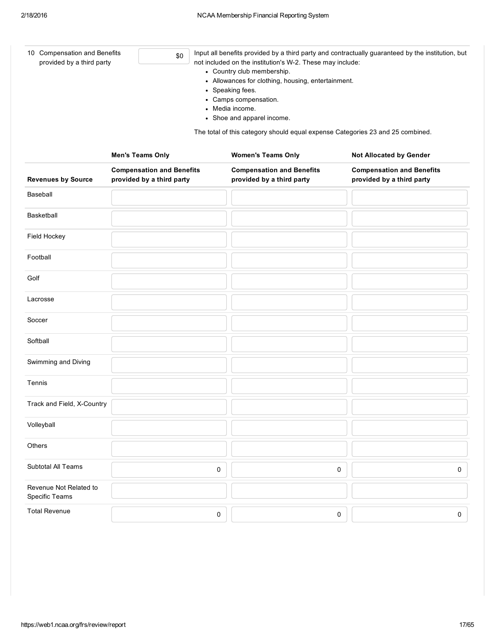| 10 Compensation and Benefits<br>provided by a third party | \$0                                                           | Input all benefits provided by a third party and contractually guaranteed by the institution, but<br>not included on the institution's W-2. These may include:<br>• Country club membership.<br>• Allowances for clothing, housing, entertainment.<br>• Speaking fees.<br>• Camps compensation.<br>• Media income.<br>• Shoe and apparel income.<br>The total of this category should equal expense Categories 23 and 25 combined. |                                                               |                                                               |  |
|-----------------------------------------------------------|---------------------------------------------------------------|------------------------------------------------------------------------------------------------------------------------------------------------------------------------------------------------------------------------------------------------------------------------------------------------------------------------------------------------------------------------------------------------------------------------------------|---------------------------------------------------------------|---------------------------------------------------------------|--|
|                                                           | <b>Men's Teams Only</b>                                       |                                                                                                                                                                                                                                                                                                                                                                                                                                    | <b>Women's Teams Only</b>                                     | <b>Not Allocated by Gender</b>                                |  |
| <b>Revenues by Source</b>                                 | <b>Compensation and Benefits</b><br>provided by a third party |                                                                                                                                                                                                                                                                                                                                                                                                                                    | <b>Compensation and Benefits</b><br>provided by a third party | <b>Compensation and Benefits</b><br>provided by a third party |  |
| Baseball                                                  |                                                               |                                                                                                                                                                                                                                                                                                                                                                                                                                    |                                                               |                                                               |  |
| Basketball                                                |                                                               |                                                                                                                                                                                                                                                                                                                                                                                                                                    |                                                               |                                                               |  |
| Field Hockey                                              |                                                               |                                                                                                                                                                                                                                                                                                                                                                                                                                    |                                                               |                                                               |  |
| Football                                                  |                                                               |                                                                                                                                                                                                                                                                                                                                                                                                                                    |                                                               |                                                               |  |
| Golf                                                      |                                                               |                                                                                                                                                                                                                                                                                                                                                                                                                                    |                                                               |                                                               |  |
| Lacrosse                                                  |                                                               |                                                                                                                                                                                                                                                                                                                                                                                                                                    |                                                               |                                                               |  |
| Soccer                                                    |                                                               |                                                                                                                                                                                                                                                                                                                                                                                                                                    |                                                               |                                                               |  |
| Softball                                                  |                                                               |                                                                                                                                                                                                                                                                                                                                                                                                                                    |                                                               |                                                               |  |
| Swimming and Diving                                       |                                                               |                                                                                                                                                                                                                                                                                                                                                                                                                                    |                                                               |                                                               |  |
| Tennis                                                    |                                                               |                                                                                                                                                                                                                                                                                                                                                                                                                                    |                                                               |                                                               |  |
| Track and Field, X-Country                                |                                                               |                                                                                                                                                                                                                                                                                                                                                                                                                                    |                                                               |                                                               |  |
| Volleyball                                                |                                                               |                                                                                                                                                                                                                                                                                                                                                                                                                                    |                                                               |                                                               |  |
| Others                                                    |                                                               |                                                                                                                                                                                                                                                                                                                                                                                                                                    |                                                               |                                                               |  |
| Subtotal All Teams                                        |                                                               | 0                                                                                                                                                                                                                                                                                                                                                                                                                                  | 0                                                             | 0                                                             |  |
| Revenue Not Related to<br>Specific Teams                  |                                                               |                                                                                                                                                                                                                                                                                                                                                                                                                                    |                                                               |                                                               |  |
| <b>Total Revenue</b>                                      |                                                               | 0                                                                                                                                                                                                                                                                                                                                                                                                                                  | 0                                                             | 0                                                             |  |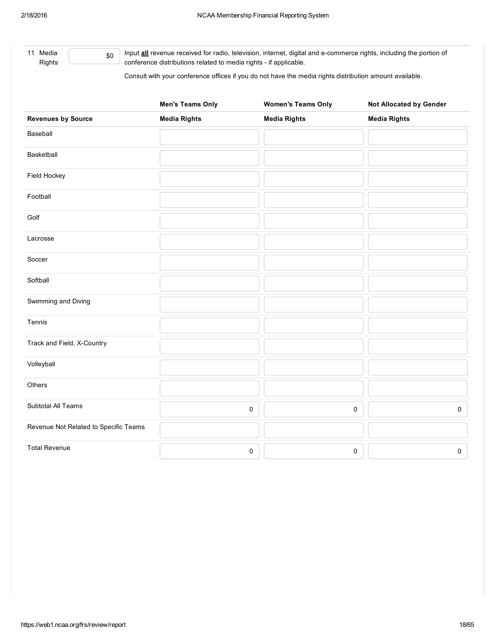11 Media Rights \$0 Input **all** revenue received for radio, television, internet, digital and e-commerce rights, including the portion of conference distributions related to media rights - if applicable.

Consult with your conference offices if you do not have the media rights distribution amount available.

|                                       | <b>Men's Teams Only</b> | <b>Women's Teams Only</b> | Not Allocated by Gender |
|---------------------------------------|-------------------------|---------------------------|-------------------------|
| <b>Revenues by Source</b>             | <b>Media Rights</b>     | <b>Media Rights</b>       | <b>Media Rights</b>     |
| Baseball                              |                         |                           |                         |
| Basketball                            |                         |                           |                         |
| Field Hockey                          |                         |                           |                         |
| Football                              |                         |                           |                         |
| Golf                                  |                         |                           |                         |
| Lacrosse                              |                         |                           |                         |
| Soccer                                |                         |                           |                         |
| Softball                              |                         |                           |                         |
| Swimming and Diving                   |                         |                           |                         |
| Tennis                                |                         |                           |                         |
| Track and Field, X-Country            |                         |                           |                         |
| Volleyball                            |                         |                           |                         |
| Others                                |                         |                           |                         |
| Subtotal All Teams                    | 0                       | 0                         | $\mathsf{O}\xspace$     |
| Revenue Not Related to Specific Teams |                         |                           |                         |
| <b>Total Revenue</b>                  | 0                       | $\pmb{0}$                 | $\pmb{0}$               |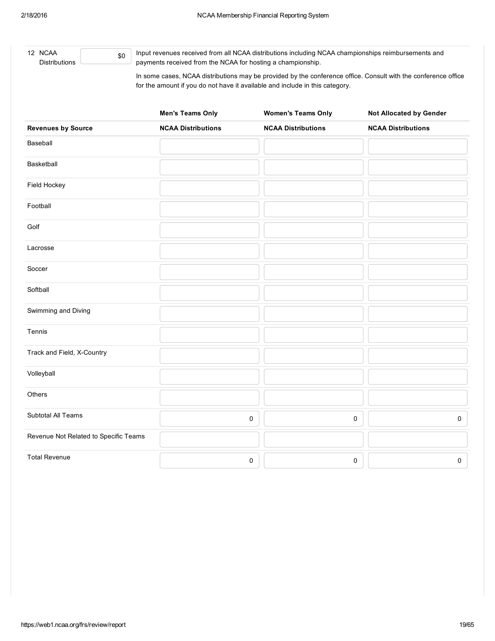12 NCAA **Distributions** 

\$0

Input revenues received from all NCAA distributions including NCAA championships reimbursements and payments received from the NCAA for hosting a championship.

In some cases, NCAA distributions may be provided by the conference office. Consult with the conference office for the amount if you do not have it available and include in this category.

|                                       | <b>Men's Teams Only</b>   | <b>Women's Teams Only</b> | Not Allocated by Gender   |
|---------------------------------------|---------------------------|---------------------------|---------------------------|
| <b>Revenues by Source</b>             | <b>NCAA Distributions</b> | <b>NCAA Distributions</b> | <b>NCAA Distributions</b> |
| Baseball                              |                           |                           |                           |
| Basketball                            |                           |                           |                           |
| Field Hockey                          |                           |                           |                           |
| Football                              |                           |                           |                           |
| Golf                                  |                           |                           |                           |
| Lacrosse                              |                           |                           |                           |
| Soccer                                |                           |                           |                           |
| Softball                              |                           |                           |                           |
| Swimming and Diving                   |                           |                           |                           |
| Tennis                                |                           |                           |                           |
| Track and Field, X-Country            |                           |                           |                           |
| Volleyball                            |                           |                           |                           |
| Others                                |                           |                           |                           |
| Subtotal All Teams                    |                           | 0                         | 0<br>$\mathsf{O}\xspace$  |
| Revenue Not Related to Specific Teams |                           |                           |                           |
| <b>Total Revenue</b>                  |                           | 0                         | $\mathsf 0$<br>0          |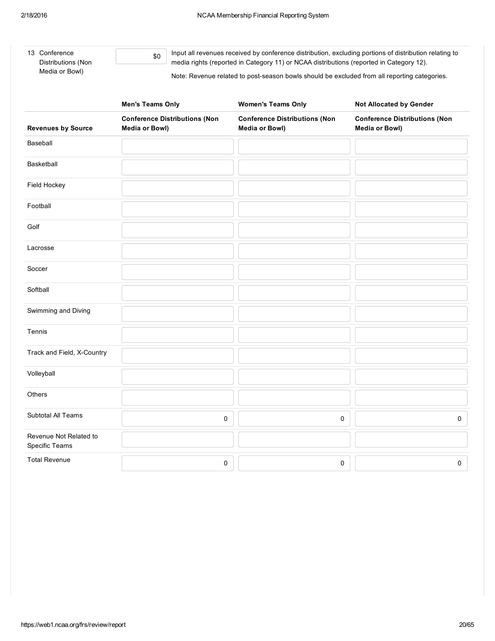| 13 Conference<br>Distributions (Non | Input all revenues received by conference distribution, excluding portions of distribution relating to<br>media rights (reported in Category 11) or NCAA distributions (reported in Category 12). |
|-------------------------------------|---------------------------------------------------------------------------------------------------------------------------------------------------------------------------------------------------|
| Media or Bowl)                      | Note: Revenue related to post-season bowls should be excluded from all reporting categories.                                                                                                      |

|                                          | <b>Men's Teams Only</b>                                | <b>Women's Teams Only</b>                              | <b>Not Allocated by Gender</b>                         |  |  |
|------------------------------------------|--------------------------------------------------------|--------------------------------------------------------|--------------------------------------------------------|--|--|
| <b>Revenues by Source</b>                | <b>Conference Distributions (Non</b><br>Media or Bowl) | <b>Conference Distributions (Non</b><br>Media or Bowl) | <b>Conference Distributions (Non</b><br>Media or Bowl) |  |  |
| Baseball                                 |                                                        |                                                        |                                                        |  |  |
| Basketball                               |                                                        |                                                        |                                                        |  |  |
| Field Hockey                             |                                                        |                                                        |                                                        |  |  |
| Football                                 |                                                        |                                                        |                                                        |  |  |
| Golf                                     |                                                        |                                                        |                                                        |  |  |
| Lacrosse                                 |                                                        |                                                        |                                                        |  |  |
| Soccer                                   |                                                        |                                                        |                                                        |  |  |
| Softball                                 |                                                        |                                                        |                                                        |  |  |
| Swimming and Diving                      |                                                        |                                                        |                                                        |  |  |
| Tennis                                   |                                                        |                                                        |                                                        |  |  |
| Track and Field, X-Country               |                                                        |                                                        |                                                        |  |  |
| Volleyball                               |                                                        |                                                        |                                                        |  |  |
| Others                                   |                                                        |                                                        |                                                        |  |  |
| Subtotal All Teams                       | 0                                                      | 0                                                      | $\mathsf 0$                                            |  |  |
| Revenue Not Related to<br>Specific Teams |                                                        |                                                        |                                                        |  |  |
| <b>Total Revenue</b>                     | $\mathbf 0$                                            | 0                                                      | 0                                                      |  |  |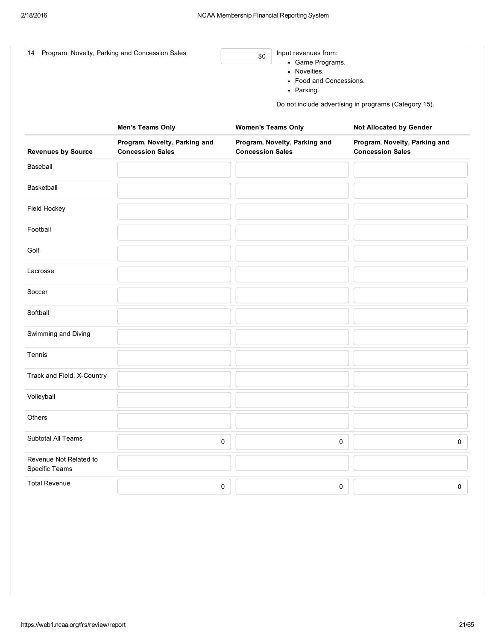| 14 Program, Novelty, Parking and Concession Sales | \$0 | Input revenues from:<br>• Game Programs.<br>Novelties.<br>• Food and Concessions.<br>Parking. |
|---------------------------------------------------|-----|-----------------------------------------------------------------------------------------------|
|---------------------------------------------------|-----|-----------------------------------------------------------------------------------------------|

Do not include advertising in programs (Category 15).

|                                          | <b>Men's Teams Only</b>                                  | <b>Women's Teams Only</b>                                | <b>Not Allocated by Gender</b>                           |
|------------------------------------------|----------------------------------------------------------|----------------------------------------------------------|----------------------------------------------------------|
| <b>Revenues by Source</b>                | Program, Novelty, Parking and<br><b>Concession Sales</b> | Program, Novelty, Parking and<br><b>Concession Sales</b> | Program, Novelty, Parking and<br><b>Concession Sales</b> |
| Baseball                                 |                                                          |                                                          |                                                          |
| Basketball                               |                                                          |                                                          |                                                          |
| Field Hockey                             |                                                          |                                                          |                                                          |
| Football                                 |                                                          |                                                          |                                                          |
| Golf                                     |                                                          |                                                          |                                                          |
| Lacrosse                                 |                                                          |                                                          |                                                          |
| Soccer                                   |                                                          |                                                          |                                                          |
| Softball                                 |                                                          |                                                          |                                                          |
| Swimming and Diving                      |                                                          |                                                          |                                                          |
| Tennis                                   |                                                          |                                                          |                                                          |
| Track and Field, X-Country               |                                                          |                                                          |                                                          |
| Volleyball                               |                                                          |                                                          |                                                          |
| Others                                   |                                                          |                                                          |                                                          |
| Subtotal All Teams                       | $\pmb{0}$                                                | $\pmb{0}$                                                | $\pmb{0}$                                                |
| Revenue Not Related to<br>Specific Teams |                                                          |                                                          |                                                          |
| <b>Total Revenue</b>                     | $\pmb{0}$                                                | 0                                                        | $\pmb{0}$                                                |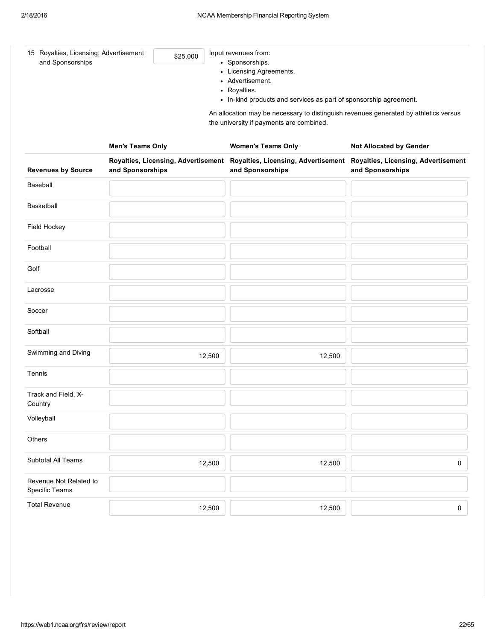| 15 Royalties, Licensing, Advertisement<br>and Sponsorships |                         | \$25,000                            |        | Input revenues from:<br>• Sponsorships.<br>• Licensing Agreements.<br>• Advertisement.<br>• Royalties.<br>• In-kind products and services as part of sponsorship agreement. |                                                                |
|------------------------------------------------------------|-------------------------|-------------------------------------|--------|-----------------------------------------------------------------------------------------------------------------------------------------------------------------------------|----------------------------------------------------------------|
|                                                            |                         |                                     |        | An allocation may be necessary to distinguish revenues generated by athletics versus<br>the university if payments are combined.                                            |                                                                |
|                                                            | <b>Men's Teams Only</b> | Royalties, Licensing, Advertisement |        | <b>Women's Teams Only</b><br>Royalties, Licensing, Advertisement                                                                                                            | Not Allocated by Gender<br>Royalties, Licensing, Advertisement |
| <b>Revenues by Source</b>                                  | and Sponsorships        |                                     |        | and Sponsorships                                                                                                                                                            | and Sponsorships                                               |
| Baseball                                                   |                         |                                     |        |                                                                                                                                                                             |                                                                |
| <b>Basketball</b>                                          |                         |                                     |        |                                                                                                                                                                             |                                                                |
| Field Hockey                                               |                         |                                     |        |                                                                                                                                                                             |                                                                |
| Football                                                   |                         |                                     |        |                                                                                                                                                                             |                                                                |
| Golf                                                       |                         |                                     |        |                                                                                                                                                                             |                                                                |
| Lacrosse                                                   |                         |                                     |        |                                                                                                                                                                             |                                                                |
| Soccer                                                     |                         |                                     |        |                                                                                                                                                                             |                                                                |
| Softball                                                   |                         |                                     |        |                                                                                                                                                                             |                                                                |
| Swimming and Diving                                        |                         |                                     | 12,500 | 12,500                                                                                                                                                                      |                                                                |
| Tennis                                                     |                         |                                     |        |                                                                                                                                                                             |                                                                |
| Track and Field, X-<br>Country                             |                         |                                     |        |                                                                                                                                                                             |                                                                |
| Volleyball                                                 |                         |                                     |        |                                                                                                                                                                             |                                                                |
| Others                                                     |                         |                                     |        |                                                                                                                                                                             |                                                                |
| Subtotal All Teams                                         |                         |                                     | 12,500 | 12,500                                                                                                                                                                      | 0                                                              |
| Revenue Not Related to<br>Specific Teams                   |                         |                                     |        |                                                                                                                                                                             |                                                                |
| <b>Total Revenue</b>                                       |                         |                                     | 12,500 | 12,500                                                                                                                                                                      | 0                                                              |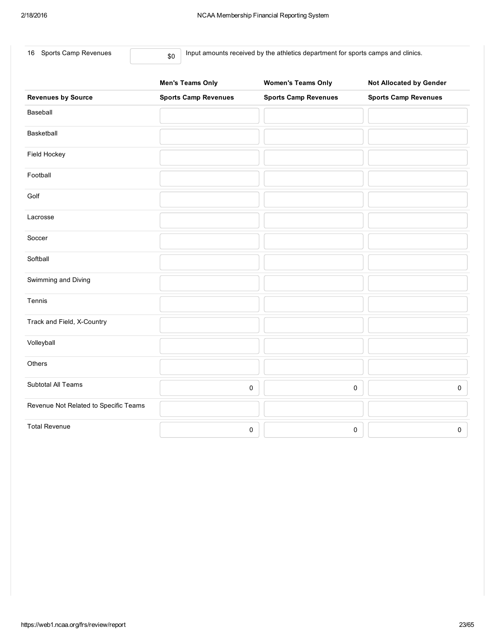| Sports Camp Revenues<br>16            | Input amounts received by the athletics department for sports camps and clinics.<br>\$0 |                             |                                |  |  |  |
|---------------------------------------|-----------------------------------------------------------------------------------------|-----------------------------|--------------------------------|--|--|--|
|                                       | <b>Men's Teams Only</b>                                                                 | <b>Women's Teams Only</b>   | <b>Not Allocated by Gender</b> |  |  |  |
| <b>Revenues by Source</b>             | <b>Sports Camp Revenues</b>                                                             | <b>Sports Camp Revenues</b> | <b>Sports Camp Revenues</b>    |  |  |  |
| Baseball                              |                                                                                         |                             |                                |  |  |  |
| Basketball                            |                                                                                         |                             |                                |  |  |  |
| Field Hockey                          |                                                                                         |                             |                                |  |  |  |
| Football                              |                                                                                         |                             |                                |  |  |  |
| Golf                                  |                                                                                         |                             |                                |  |  |  |
| Lacrosse                              |                                                                                         |                             |                                |  |  |  |
| Soccer                                |                                                                                         |                             |                                |  |  |  |
| Softball                              |                                                                                         |                             |                                |  |  |  |
| Swimming and Diving                   |                                                                                         |                             |                                |  |  |  |
| Tennis                                |                                                                                         |                             |                                |  |  |  |
| Track and Field, X-Country            |                                                                                         |                             |                                |  |  |  |
| Volleyball                            |                                                                                         |                             |                                |  |  |  |
| Others                                |                                                                                         |                             |                                |  |  |  |
| Subtotal All Teams                    |                                                                                         | 0                           | $\pmb{0}$                      |  |  |  |
| Revenue Not Related to Specific Teams |                                                                                         |                             |                                |  |  |  |
| <b>Total Revenue</b>                  |                                                                                         | 0                           | $\mathsf 0$                    |  |  |  |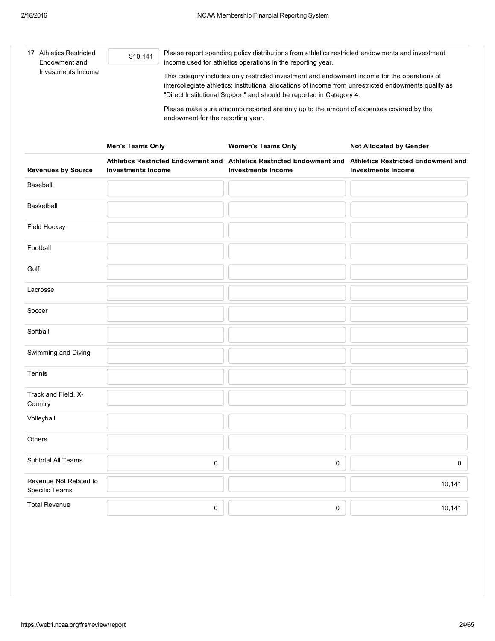| 17 Athletics Restricted<br>Endowment and | \$10,141                                                                                                                                                                                                                                                                       | Please report spending policy distributions from athletics restricted endowments and investment<br>income used for athletics operations in the reporting year. |                                |  |  |  |  |
|------------------------------------------|--------------------------------------------------------------------------------------------------------------------------------------------------------------------------------------------------------------------------------------------------------------------------------|----------------------------------------------------------------------------------------------------------------------------------------------------------------|--------------------------------|--|--|--|--|
| Investments Income                       | This category includes only restricted investment and endowment income for the operations of<br>intercollegiate athletics; institutional allocations of income from unrestricted endowments qualify as<br>"Direct Institutional Support" and should be reported in Category 4. |                                                                                                                                                                |                                |  |  |  |  |
|                                          | endowment for the reporting year.                                                                                                                                                                                                                                              | Please make sure amounts reported are only up to the amount of expenses covered by the                                                                         |                                |  |  |  |  |
|                                          | <b>Men's Teams Only</b>                                                                                                                                                                                                                                                        | <b>Women's Teams Only</b>                                                                                                                                      | <b>Not Allocated by Gender</b> |  |  |  |  |
| <b>Revenues by Source</b>                | <b>Investments Income</b>                                                                                                                                                                                                                                                      | Athletics Restricted Endowment and Athletics Restricted Endowment and Athletics Restricted Endowment and<br><b>Investments Income</b>                          | <b>Investments Income</b>      |  |  |  |  |
| Baseball                                 |                                                                                                                                                                                                                                                                                |                                                                                                                                                                |                                |  |  |  |  |
| <b>Basketball</b>                        |                                                                                                                                                                                                                                                                                |                                                                                                                                                                |                                |  |  |  |  |
| Field Hockey                             |                                                                                                                                                                                                                                                                                |                                                                                                                                                                |                                |  |  |  |  |
| Football                                 |                                                                                                                                                                                                                                                                                |                                                                                                                                                                |                                |  |  |  |  |
| Golf                                     |                                                                                                                                                                                                                                                                                |                                                                                                                                                                |                                |  |  |  |  |
| Lacrosse                                 |                                                                                                                                                                                                                                                                                |                                                                                                                                                                |                                |  |  |  |  |
| Soccer                                   |                                                                                                                                                                                                                                                                                |                                                                                                                                                                |                                |  |  |  |  |
| Softball                                 |                                                                                                                                                                                                                                                                                |                                                                                                                                                                |                                |  |  |  |  |
| Swimming and Diving                      |                                                                                                                                                                                                                                                                                |                                                                                                                                                                |                                |  |  |  |  |
| Tennis                                   |                                                                                                                                                                                                                                                                                |                                                                                                                                                                |                                |  |  |  |  |
| Track and Field, X-<br>Country           |                                                                                                                                                                                                                                                                                |                                                                                                                                                                |                                |  |  |  |  |
| Volleyball                               |                                                                                                                                                                                                                                                                                |                                                                                                                                                                |                                |  |  |  |  |
| Others                                   |                                                                                                                                                                                                                                                                                |                                                                                                                                                                |                                |  |  |  |  |
| Subtotal All Teams                       | 0                                                                                                                                                                                                                                                                              | $\pmb{0}$                                                                                                                                                      | 0                              |  |  |  |  |
| Revenue Not Related to<br>Specific Teams |                                                                                                                                                                                                                                                                                |                                                                                                                                                                | 10,141                         |  |  |  |  |
| <b>Total Revenue</b>                     | 0                                                                                                                                                                                                                                                                              | 0                                                                                                                                                              | 10,141                         |  |  |  |  |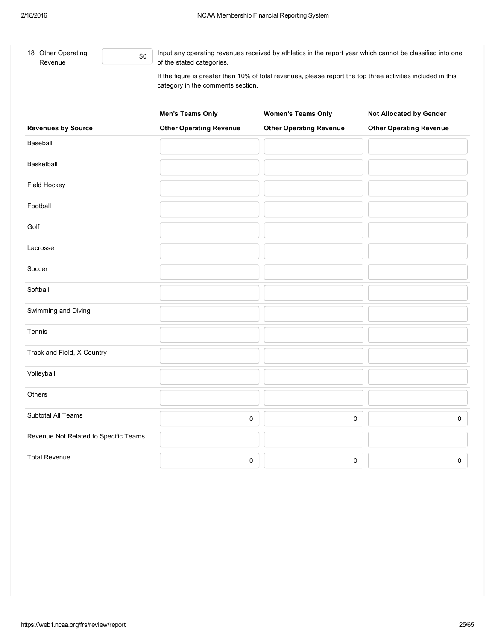Soccer

Softball

Tennis

Volleyball

**Others** 

Total Revenue

Swimming and Diving

Track and Field, X-Country

Revenue Not Related to Specific Teams

18 Other Operating Revenue  $$0$ Input any operating revenues received by athletics in the report year which cannot be classified into one of the stated categories. If the figure is greater than 10% of total revenues, please report the top three activities included in this category in the comments section. Men's Teams Only **Women's Teams Only** Not Allocated by Gender Revenues by Source Other Operating Revenue Other Operating Revenue Other Operating Revenue Baseball Basketball Field Hockey Football Golf Lacrosse

Subtotal All Teams  $\begin{array}{ccc} \text{0} & \begin{array}{ccc} \text{0} & \text{0} & \text{0} & \text{0} & \text{0} & \text{0} & \text{0} & \text{0} & \text{0} & \text{0} & \text{0} & \text{0} & \text{0} & \text{0} & \text{0} & \text{0} & \text{0} & \text{0} & \text{0} & \text{0} & \text{0} & \text{0} & \text{0} & \text{0} & \text{0} & \text{0} & \text{0} & \text{0} & \text{0} & \text{0} & \$ 

0 0 0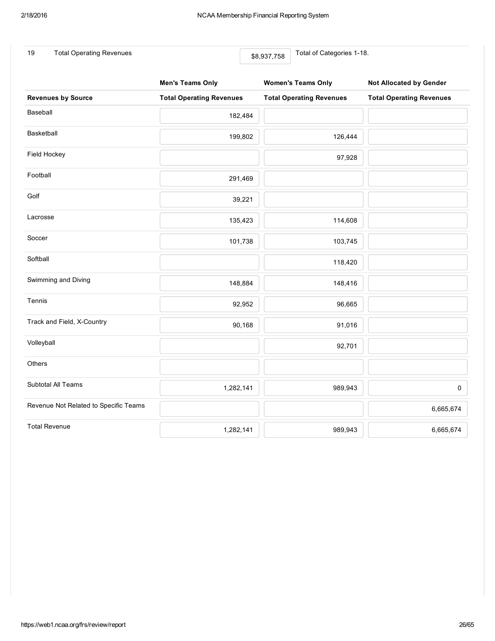19 Total Operating Revenues **19** Total of Categories 1-18.

|                                       | <b>Men's Teams Only</b>         | <b>Women's Teams Only</b>       | <b>Not Allocated by Gender</b>  |  |
|---------------------------------------|---------------------------------|---------------------------------|---------------------------------|--|
| <b>Revenues by Source</b>             | <b>Total Operating Revenues</b> | <b>Total Operating Revenues</b> | <b>Total Operating Revenues</b> |  |
| Baseball                              | 182,484                         |                                 |                                 |  |
| Basketball                            | 199,802                         | 126,444                         |                                 |  |
| Field Hockey                          |                                 | 97,928                          |                                 |  |
| Football                              | 291,469                         |                                 |                                 |  |
| Golf                                  | 39,221                          |                                 |                                 |  |
| Lacrosse                              | 135,423                         | 114,608                         |                                 |  |
| Soccer                                | 101,738                         | 103,745                         |                                 |  |
| Softball                              |                                 | 118,420                         |                                 |  |
| Swimming and Diving                   | 148,884                         | 148,416                         |                                 |  |
| Tennis                                | 92,952                          | 96,665                          |                                 |  |
| Track and Field, X-Country            | 90,168                          | 91,016                          |                                 |  |
| Volleyball                            |                                 | 92,701                          |                                 |  |
| Others                                |                                 |                                 |                                 |  |
| Subtotal All Teams                    | 1,282,141                       | 989,943                         | $\mathsf{O}\xspace$             |  |
| Revenue Not Related to Specific Teams |                                 |                                 | 6,665,674                       |  |
| <b>Total Revenue</b>                  | 1,282,141                       | 989,943                         | 6,665,674                       |  |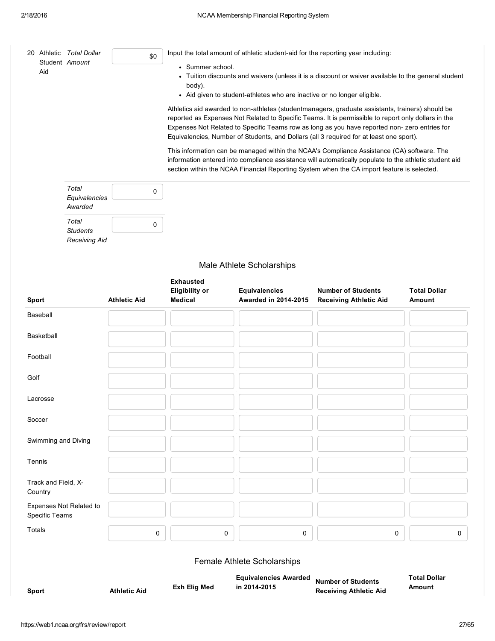|          |                     | 20 Athletic Total Dollar                         | \$0                 |                                                                                                                                                                                                              | Input the total amount of athletic student-aid for the reporting year including: |                                                                                                                                                                                                                                                                                                                                                                                                     |                               |  |  |
|----------|---------------------|--------------------------------------------------|---------------------|--------------------------------------------------------------------------------------------------------------------------------------------------------------------------------------------------------------|----------------------------------------------------------------------------------|-----------------------------------------------------------------------------------------------------------------------------------------------------------------------------------------------------------------------------------------------------------------------------------------------------------------------------------------------------------------------------------------------------|-------------------------------|--|--|
|          | Aid                 | Student Amount                                   |                     | • Summer school.<br>• Tuition discounts and waivers (unless it is a discount or waiver available to the general student<br>body).<br>• Aid given to student-athletes who are inactive or no longer eligible. |                                                                                  |                                                                                                                                                                                                                                                                                                                                                                                                     |                               |  |  |
|          |                     |                                                  |                     |                                                                                                                                                                                                              |                                                                                  | Athletics aid awarded to non-athletes (studentmanagers, graduate assistants, trainers) should be<br>reported as Expenses Not Related to Specific Teams. It is permissible to report only dollars in the<br>Expenses Not Related to Specific Teams row as long as you have reported non- zero entries for<br>Equivalencies, Number of Students, and Dollars (all 3 required for at least one sport). |                               |  |  |
|          |                     |                                                  |                     |                                                                                                                                                                                                              |                                                                                  | This information can be managed within the NCAA's Compliance Assistance (CA) software. The<br>information entered into compliance assistance will automatically populate to the athletic student aid<br>section within the NCAA Financial Reporting System when the CA import feature is selected.                                                                                                  |                               |  |  |
|          |                     | Total<br>Equivalencies<br>Awarded                | 0                   |                                                                                                                                                                                                              |                                                                                  |                                                                                                                                                                                                                                                                                                                                                                                                     |                               |  |  |
|          |                     | Total<br><b>Students</b><br><b>Receiving Aid</b> | 0                   |                                                                                                                                                                                                              |                                                                                  |                                                                                                                                                                                                                                                                                                                                                                                                     |                               |  |  |
|          |                     |                                                  |                     |                                                                                                                                                                                                              | Male Athlete Scholarships                                                        |                                                                                                                                                                                                                                                                                                                                                                                                     |                               |  |  |
|          |                     |                                                  |                     | <b>Exhausted</b>                                                                                                                                                                                             |                                                                                  |                                                                                                                                                                                                                                                                                                                                                                                                     |                               |  |  |
| Sport    |                     |                                                  | <b>Athletic Aid</b> | <b>Eligibility or</b><br><b>Medical</b>                                                                                                                                                                      | <b>Equivalencies</b><br>Awarded in 2014-2015                                     | <b>Number of Students</b><br><b>Receiving Athletic Aid</b>                                                                                                                                                                                                                                                                                                                                          | <b>Total Dollar</b><br>Amount |  |  |
|          | Baseball            |                                                  |                     |                                                                                                                                                                                                              |                                                                                  |                                                                                                                                                                                                                                                                                                                                                                                                     |                               |  |  |
|          | Basketball          |                                                  |                     |                                                                                                                                                                                                              |                                                                                  |                                                                                                                                                                                                                                                                                                                                                                                                     |                               |  |  |
| Football |                     |                                                  |                     |                                                                                                                                                                                                              |                                                                                  |                                                                                                                                                                                                                                                                                                                                                                                                     |                               |  |  |
| Golf     |                     |                                                  |                     |                                                                                                                                                                                                              |                                                                                  |                                                                                                                                                                                                                                                                                                                                                                                                     |                               |  |  |
|          | Lacrosse            |                                                  |                     |                                                                                                                                                                                                              |                                                                                  |                                                                                                                                                                                                                                                                                                                                                                                                     |                               |  |  |
| Soccer   |                     |                                                  |                     |                                                                                                                                                                                                              |                                                                                  |                                                                                                                                                                                                                                                                                                                                                                                                     |                               |  |  |
|          |                     | Swimming and Diving                              |                     |                                                                                                                                                                                                              |                                                                                  |                                                                                                                                                                                                                                                                                                                                                                                                     |                               |  |  |
| Tennis   |                     |                                                  |                     |                                                                                                                                                                                                              |                                                                                  |                                                                                                                                                                                                                                                                                                                                                                                                     |                               |  |  |
| Country  | Track and Field, X- |                                                  |                     |                                                                                                                                                                                                              |                                                                                  |                                                                                                                                                                                                                                                                                                                                                                                                     |                               |  |  |
|          | Specific Teams      | Expenses Not Related to                          |                     |                                                                                                                                                                                                              |                                                                                  |                                                                                                                                                                                                                                                                                                                                                                                                     |                               |  |  |
| Totals   |                     |                                                  | 0                   | 0                                                                                                                                                                                                            | 0                                                                                | 0                                                                                                                                                                                                                                                                                                                                                                                                   | 0                             |  |  |
|          |                     |                                                  |                     |                                                                                                                                                                                                              | Female Athlete Scholarships                                                      |                                                                                                                                                                                                                                                                                                                                                                                                     |                               |  |  |
| Sport    |                     |                                                  | <b>Athletic Aid</b> | Exh Elig Med                                                                                                                                                                                                 | <b>Equivalencies Awarded</b><br>in 2014-2015                                     | <b>Number of Students</b><br><b>Receiving Athletic Aid</b>                                                                                                                                                                                                                                                                                                                                          | <b>Total Dollar</b><br>Amount |  |  |
|          |                     |                                                  |                     |                                                                                                                                                                                                              |                                                                                  |                                                                                                                                                                                                                                                                                                                                                                                                     |                               |  |  |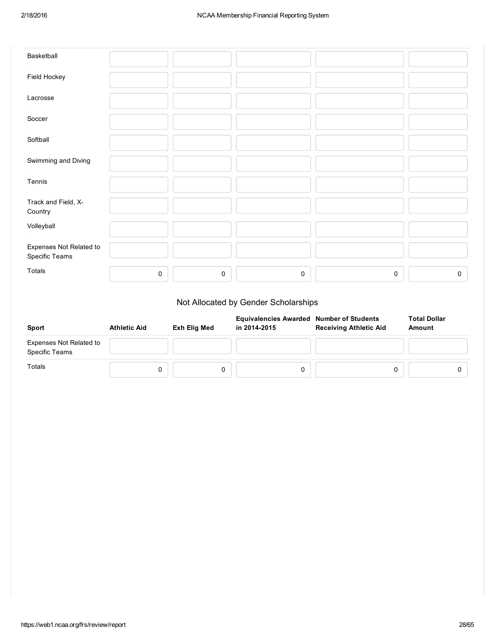| Basketball                                |             |   |             |             |   |
|-------------------------------------------|-------------|---|-------------|-------------|---|
| Field Hockey                              |             |   |             |             |   |
| Lacrosse                                  |             |   |             |             |   |
| Soccer                                    |             |   |             |             |   |
| Softball                                  |             |   |             |             |   |
| Swimming and Diving                       |             |   |             |             |   |
| Tennis                                    |             |   |             |             |   |
| Track and Field, X-<br>Country            |             |   |             |             |   |
| Volleyball                                |             |   |             |             |   |
| Expenses Not Related to<br>Specific Teams |             |   |             |             |   |
| Totals                                    | $\mathbf 0$ | 0 | $\mathbf 0$ | $\mathsf 0$ | 0 |

# Not Allocated by Gender Scholarships

| Sport                                     | <b>Athletic Aid</b> | Exh Elig Med | <b>Equivalencies Awarded Number of Students</b><br>in 2014-2015 | <b>Receiving Athletic Aid</b> | <b>Total Dollar</b><br>Amount |
|-------------------------------------------|---------------------|--------------|-----------------------------------------------------------------|-------------------------------|-------------------------------|
| Expenses Not Related to<br>Specific Teams |                     |              |                                                                 |                               |                               |
| Totals                                    |                     |              |                                                                 |                               |                               |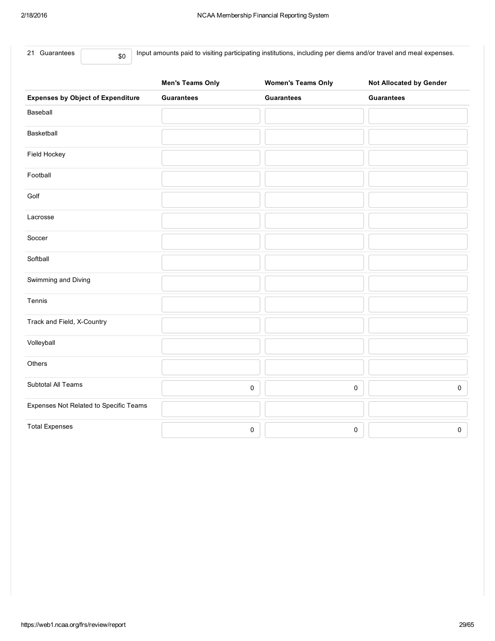Input amounts paid to visiting participating institutions, including per diems and/or travel and meal expenses.

|                                          | <b>Men's Teams Only</b> | <b>Women's Teams Only</b> | <b>Not Allocated by Gender</b> |
|------------------------------------------|-------------------------|---------------------------|--------------------------------|
| <b>Expenses by Object of Expenditure</b> | <b>Guarantees</b>       | <b>Guarantees</b>         | <b>Guarantees</b>              |
| Baseball                                 |                         |                           |                                |
| Basketball                               |                         |                           |                                |
| Field Hockey                             |                         |                           |                                |
| Football                                 |                         |                           |                                |
| Golf                                     |                         |                           |                                |
| Lacrosse                                 |                         |                           |                                |
| Soccer                                   |                         |                           |                                |
| Softball                                 |                         |                           |                                |
| Swimming and Diving                      |                         |                           |                                |
| Tennis                                   |                         |                           |                                |
| Track and Field, X-Country               |                         |                           |                                |
| Volleyball                               |                         |                           |                                |
| Others                                   |                         |                           |                                |
| Subtotal All Teams                       | $\pmb{0}$               | 0                         | $\mathsf{O}\xspace$            |
| Expenses Not Related to Specific Teams   |                         |                           |                                |
| <b>Total Expenses</b>                    | $\pmb{0}$               | 0                         | $\mathsf 0$                    |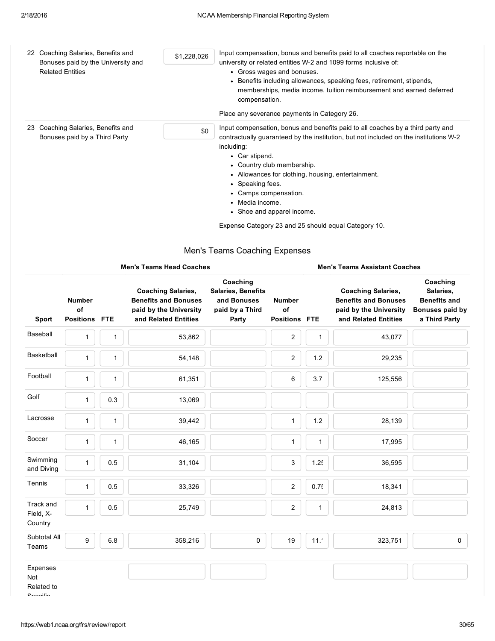| 22 | Coaching Salaries, Benefits and<br>Bonuses paid by the University and<br><b>Related Entities</b> | \$1,228,026 | Input compensation, bonus and benefits paid to all coaches reportable on the<br>university or related entities W-2 and 1099 forms inclusive of:<br>• Gross wages and bonuses.<br>• Benefits including allowances, speaking fees, retirement, stipends,<br>memberships, media income, tuition reimbursement and earned deferred<br>compensation.<br>Place any severance payments in Category 26. |
|----|--------------------------------------------------------------------------------------------------|-------------|-------------------------------------------------------------------------------------------------------------------------------------------------------------------------------------------------------------------------------------------------------------------------------------------------------------------------------------------------------------------------------------------------|
| 23 | Coaching Salaries, Benefits and<br>\$0<br>Bonuses paid by a Third Party                          |             | Input compensation, bonus and benefits paid to all coaches by a third party and<br>contractually guaranteed by the institution, but not included on the institutions W-2<br>including:<br>• Car stipend.<br>• Country club membership.<br>• Allowances for clothing, housing, entertainment.<br>• Speaking fees.<br>• Camps compensation.<br>• Media income.<br>• Shoe and apparel income.      |
|    |                                                                                                  |             | Expense Category 23 and 25 should equal Category 10.                                                                                                                                                                                                                                                                                                                                            |

# Men's Teams Coaching Expenses

|                                          | <b>Men's Teams Head Coaches</b>             |              |                                                                                                            |                                                                                  |                                             | <b>Men's Teams Assistant Coaches</b> |                                                                                                            |                                                                                  |  |
|------------------------------------------|---------------------------------------------|--------------|------------------------------------------------------------------------------------------------------------|----------------------------------------------------------------------------------|---------------------------------------------|--------------------------------------|------------------------------------------------------------------------------------------------------------|----------------------------------------------------------------------------------|--|
| Sport                                    | <b>Number</b><br>of<br><b>Positions FTE</b> |              | <b>Coaching Salaries,</b><br><b>Benefits and Bonuses</b><br>paid by the University<br>and Related Entities | Coaching<br><b>Salaries, Benefits</b><br>and Bonuses<br>paid by a Third<br>Party | <b>Number</b><br>of<br><b>Positions FTE</b> |                                      | <b>Coaching Salaries,</b><br><b>Benefits and Bonuses</b><br>paid by the University<br>and Related Entities | Coaching<br>Salaries,<br><b>Benefits and</b><br>Bonuses paid by<br>a Third Party |  |
| Baseball                                 | $\mathbf{1}$                                | 1            | 53,862                                                                                                     |                                                                                  | $\overline{c}$                              | 1                                    | 43,077                                                                                                     |                                                                                  |  |
| Basketball                               | $\mathbf{1}$                                | $\mathbf{1}$ | 54,148                                                                                                     |                                                                                  | $\overline{2}$                              | 1.2                                  | 29,235                                                                                                     |                                                                                  |  |
| Football                                 | $\mathbf{1}$                                | $\mathbf{1}$ | 61,351                                                                                                     |                                                                                  | 6                                           | 3.7                                  | 125,556                                                                                                    |                                                                                  |  |
| Golf                                     | $\mathbf{1}$                                | 0.3          | 13,069                                                                                                     |                                                                                  |                                             |                                      |                                                                                                            |                                                                                  |  |
| Lacrosse                                 | $\mathbf{1}$                                | $\mathbf{1}$ | 39,442                                                                                                     |                                                                                  | $\mathbf{1}$                                | $1.2$                                | 28,139                                                                                                     |                                                                                  |  |
| Soccer                                   | $\mathbf{1}$                                | $\mathbf{1}$ | 46,165                                                                                                     |                                                                                  | $\mathbf{1}$                                | $\mathbf{1}$                         | 17,995                                                                                                     |                                                                                  |  |
| Swimming<br>and Diving                   | $\mathbf{1}$                                | 0.5          | 31,104                                                                                                     |                                                                                  | 3                                           | 1.25                                 | 36,595                                                                                                     |                                                                                  |  |
| Tennis                                   | $\mathbf{1}$                                | 0.5          | 33,326                                                                                                     |                                                                                  | $\overline{2}$                              | 0.75                                 | 18,341                                                                                                     |                                                                                  |  |
| <b>Track and</b><br>Field, X-<br>Country | $\mathbf{1}$                                | 0.5          | 25,749                                                                                                     |                                                                                  | $\overline{a}$                              | $\mathbf{1}$                         | 24,813                                                                                                     |                                                                                  |  |
| Subtotal All<br>Teams                    | 9                                           | 6.8          | 358,216                                                                                                    | 0                                                                                | 19                                          | 11.7                                 | 323,751                                                                                                    | 0                                                                                |  |
| Expenses<br>Not<br>Related to            |                                             |              |                                                                                                            |                                                                                  |                                             |                                      |                                                                                                            |                                                                                  |  |

Specific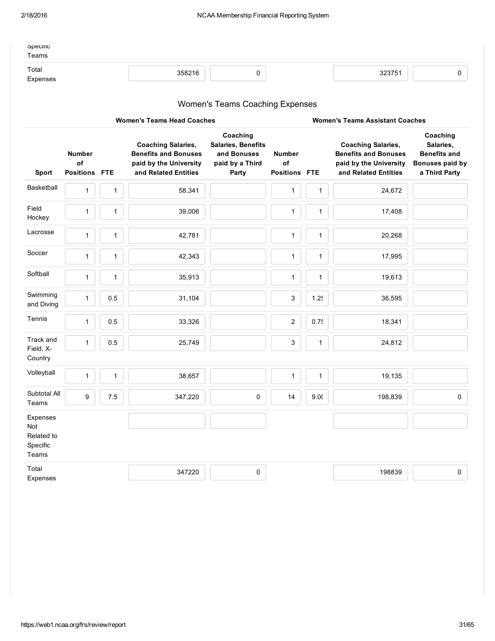| opecinc<br>Teams  |        |  |        |  |
|-------------------|--------|--|--------|--|
| Total<br>Expenses | 358216 |  | 323751 |  |
|                   |        |  |        |  |

# Women's Teams Coaching Expenses

| <b>Women's Teams Head Coaches</b>                         |                                             |              |                                                                                                            |                                                                                  |                                             | <b>Women's Teams Assistant Coaches</b> |                                                                                                            |                                                                                  |  |
|-----------------------------------------------------------|---------------------------------------------|--------------|------------------------------------------------------------------------------------------------------------|----------------------------------------------------------------------------------|---------------------------------------------|----------------------------------------|------------------------------------------------------------------------------------------------------------|----------------------------------------------------------------------------------|--|
| Sport                                                     | <b>Number</b><br>of<br><b>Positions FTE</b> |              | <b>Coaching Salaries,</b><br><b>Benefits and Bonuses</b><br>paid by the University<br>and Related Entities | Coaching<br><b>Salaries, Benefits</b><br>and Bonuses<br>paid by a Third<br>Party | <b>Number</b><br>of<br><b>Positions FTE</b> |                                        | <b>Coaching Salaries,</b><br><b>Benefits and Bonuses</b><br>paid by the University<br>and Related Entities | Coaching<br>Salaries,<br><b>Benefits and</b><br>Bonuses paid by<br>a Third Party |  |
| Basketball                                                | $\mathbf{1}$                                | $\mathbf{1}$ | 58,341                                                                                                     |                                                                                  | $\mathbf{1}$                                | $\mathbf 1$                            | 24,672                                                                                                     |                                                                                  |  |
| Field<br>Hockey                                           | $\mathbf{1}$                                | $\mathbf{1}$ | 39,006                                                                                                     |                                                                                  | 1                                           | $\mathbf{1}$                           | 17,408                                                                                                     |                                                                                  |  |
| Lacrosse                                                  | $\mathbf{1}$                                | $\mathbf{1}$ | 42,781                                                                                                     |                                                                                  | $\mathbf{1}$                                | $\mathbf{1}$                           | 20,268                                                                                                     |                                                                                  |  |
| Soccer                                                    | $\mathbf{1}$                                | $\mathbf{1}$ | 42,343                                                                                                     |                                                                                  | $\mathbf{1}$                                | $\mathbf{1}$                           | 17,995                                                                                                     |                                                                                  |  |
| Softball                                                  | $\mathbf{1}$                                | $\mathbf{1}$ | 35,913                                                                                                     |                                                                                  | $\mathbf{1}$                                | $\mathbf{1}$                           | 19,613                                                                                                     |                                                                                  |  |
| Swimming<br>and Diving                                    | $\mathbf{1}$                                | 0.5          | 31,104                                                                                                     |                                                                                  | 3                                           | 1.25                                   | 36,595                                                                                                     |                                                                                  |  |
| Tennis                                                    | $\mathbf{1}$                                | 0.5          | 33,326                                                                                                     |                                                                                  | $\overline{2}$                              | 0.75                                   | 18,341                                                                                                     |                                                                                  |  |
| Track and<br>Field, X-<br>Country                         | $\mathbf{1}$                                | 0.5          | 25,749                                                                                                     |                                                                                  | 3                                           | $\mathbf{1}$                           | 24,812                                                                                                     |                                                                                  |  |
| Volleyball                                                | $\mathbf{1}$                                | $\mathbf{1}$ | 38,657                                                                                                     |                                                                                  | $\mathbf{1}$                                | $\mathbf{1}$                           | 19,135                                                                                                     |                                                                                  |  |
| Subtotal All<br>Teams                                     | 9                                           | 7.5          | 347,220                                                                                                    | 0                                                                                | 14                                          | 9.00                                   | 198,839                                                                                                    | $\mathsf{O}\xspace$                                                              |  |
| Expenses<br><b>Not</b><br>Related to<br>Specific<br>Teams |                                             |              |                                                                                                            |                                                                                  |                                             |                                        |                                                                                                            |                                                                                  |  |
| Total<br>Expenses                                         |                                             |              | 347220                                                                                                     | 0                                                                                |                                             |                                        | 198839                                                                                                     | $\mathsf{O}\xspace$                                                              |  |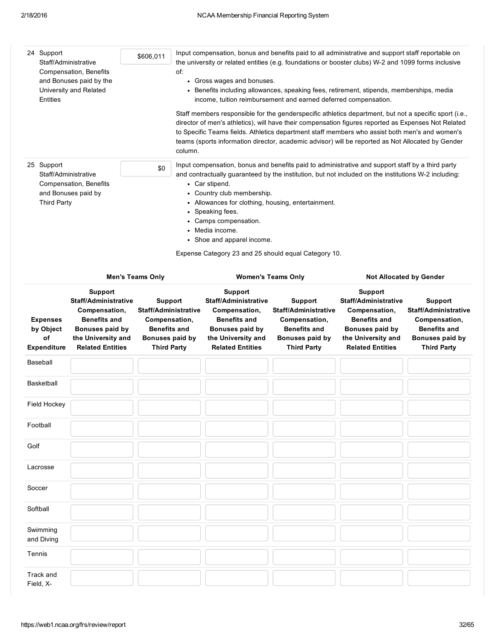| 24 Support<br>Staff/Administrative<br>Compensation, Benefits<br>and Bonuses paid by the<br>University and Related<br>Entities<br>25 Support<br>Staff/Administrative<br>Compensation, Benefits<br>and Bonuses paid by<br><b>Third Party</b> |                                                          |                                                                                                                                                    | \$606,011<br>of:<br>\$0                                                                                                        | column. | Input compensation, bonus and benefits paid to all administrative and support staff reportable on<br>the university or related entities (e.g. foundations or booster clubs) W-2 and 1099 forms inclusive<br>• Gross wages and bonuses.<br>• Benefits including allowances, speaking fees, retirement, stipends, memberships, media<br>income, tuition reimbursement and earned deferred compensation.<br>Staff members responsible for the genderspecific athletics department, but not a specific sport (i.e.,<br>director of men's athletics), will have their compensation figures reported as Expenses Not Related<br>to Specific Teams fields. Athletics department staff members who assist both men's and women's<br>teams (sports information director, academic advisor) will be reported as Not Allocated by Gender<br>Input compensation, bonus and benefits paid to administrative and support staff by a third party<br>and contractually guaranteed by the institution, but not included on the institutions W-2 including:<br>• Car stipend.<br>• Country club membership.<br>• Allowances for clothing, housing, entertainment.<br>• Speaking fees.<br>• Camps compensation.<br>• Media income.<br>• Shoe and apparel income.<br>Expense Category 23 and 25 should equal Category 10. |                                                                                                                         |                                                                                                                                                    |                                                                                                                         |
|--------------------------------------------------------------------------------------------------------------------------------------------------------------------------------------------------------------------------------------------|----------------------------------------------------------|----------------------------------------------------------------------------------------------------------------------------------------------------|--------------------------------------------------------------------------------------------------------------------------------|---------|-------------------------------------------------------------------------------------------------------------------------------------------------------------------------------------------------------------------------------------------------------------------------------------------------------------------------------------------------------------------------------------------------------------------------------------------------------------------------------------------------------------------------------------------------------------------------------------------------------------------------------------------------------------------------------------------------------------------------------------------------------------------------------------------------------------------------------------------------------------------------------------------------------------------------------------------------------------------------------------------------------------------------------------------------------------------------------------------------------------------------------------------------------------------------------------------------------------------------------------------------------------------------------------------------------|-------------------------------------------------------------------------------------------------------------------------|----------------------------------------------------------------------------------------------------------------------------------------------------|-------------------------------------------------------------------------------------------------------------------------|
|                                                                                                                                                                                                                                            |                                                          |                                                                                                                                                    | <b>Men's Teams Only</b>                                                                                                        |         |                                                                                                                                                                                                                                                                                                                                                                                                                                                                                                                                                                                                                                                                                                                                                                                                                                                                                                                                                                                                                                                                                                                                                                                                                                                                                                       | <b>Women's Teams Only</b>                                                                                               |                                                                                                                                                    | <b>Not Allocated by Gender</b>                                                                                          |
|                                                                                                                                                                                                                                            | <b>Expenses</b><br>by Object<br>of<br><b>Expenditure</b> | Support<br><b>Staff/Administrative</b><br>Compensation,<br><b>Benefits and</b><br>Bonuses paid by<br>the University and<br><b>Related Entities</b> | <b>Support</b><br><b>Staff/Administrative</b><br>Compensation,<br><b>Benefits and</b><br>Bonuses paid by<br><b>Third Party</b> |         | Support<br>Staff/Administrative<br>Compensation,<br><b>Benefits and</b><br>Bonuses paid by<br>the University and<br><b>Related Entities</b>                                                                                                                                                                                                                                                                                                                                                                                                                                                                                                                                                                                                                                                                                                                                                                                                                                                                                                                                                                                                                                                                                                                                                           | <b>Support</b><br>Staff/Administrative<br>Compensation,<br><b>Benefits and</b><br>Bonuses paid by<br><b>Third Party</b> | Support<br><b>Staff/Administrative</b><br>Compensation,<br><b>Benefits and</b><br>Bonuses paid by<br>the University and<br><b>Related Entities</b> | Support<br><b>Staff/Administrative</b><br>Compensation,<br><b>Benefits and</b><br>Bonuses paid by<br><b>Third Party</b> |
|                                                                                                                                                                                                                                            | Baseball                                                 |                                                                                                                                                    |                                                                                                                                |         |                                                                                                                                                                                                                                                                                                                                                                                                                                                                                                                                                                                                                                                                                                                                                                                                                                                                                                                                                                                                                                                                                                                                                                                                                                                                                                       |                                                                                                                         |                                                                                                                                                    |                                                                                                                         |
|                                                                                                                                                                                                                                            | Basketball                                               |                                                                                                                                                    |                                                                                                                                |         |                                                                                                                                                                                                                                                                                                                                                                                                                                                                                                                                                                                                                                                                                                                                                                                                                                                                                                                                                                                                                                                                                                                                                                                                                                                                                                       |                                                                                                                         |                                                                                                                                                    |                                                                                                                         |
|                                                                                                                                                                                                                                            | Field Hockey                                             |                                                                                                                                                    |                                                                                                                                |         |                                                                                                                                                                                                                                                                                                                                                                                                                                                                                                                                                                                                                                                                                                                                                                                                                                                                                                                                                                                                                                                                                                                                                                                                                                                                                                       |                                                                                                                         |                                                                                                                                                    |                                                                                                                         |
|                                                                                                                                                                                                                                            | Football                                                 |                                                                                                                                                    |                                                                                                                                |         |                                                                                                                                                                                                                                                                                                                                                                                                                                                                                                                                                                                                                                                                                                                                                                                                                                                                                                                                                                                                                                                                                                                                                                                                                                                                                                       |                                                                                                                         |                                                                                                                                                    |                                                                                                                         |
| Golf                                                                                                                                                                                                                                       |                                                          |                                                                                                                                                    |                                                                                                                                |         |                                                                                                                                                                                                                                                                                                                                                                                                                                                                                                                                                                                                                                                                                                                                                                                                                                                                                                                                                                                                                                                                                                                                                                                                                                                                                                       |                                                                                                                         |                                                                                                                                                    |                                                                                                                         |
|                                                                                                                                                                                                                                            | Lacrosse                                                 |                                                                                                                                                    |                                                                                                                                |         |                                                                                                                                                                                                                                                                                                                                                                                                                                                                                                                                                                                                                                                                                                                                                                                                                                                                                                                                                                                                                                                                                                                                                                                                                                                                                                       |                                                                                                                         |                                                                                                                                                    |                                                                                                                         |
| Soccer                                                                                                                                                                                                                                     |                                                          |                                                                                                                                                    |                                                                                                                                |         |                                                                                                                                                                                                                                                                                                                                                                                                                                                                                                                                                                                                                                                                                                                                                                                                                                                                                                                                                                                                                                                                                                                                                                                                                                                                                                       |                                                                                                                         |                                                                                                                                                    |                                                                                                                         |
|                                                                                                                                                                                                                                            | Softball                                                 |                                                                                                                                                    |                                                                                                                                |         |                                                                                                                                                                                                                                                                                                                                                                                                                                                                                                                                                                                                                                                                                                                                                                                                                                                                                                                                                                                                                                                                                                                                                                                                                                                                                                       |                                                                                                                         |                                                                                                                                                    |                                                                                                                         |
|                                                                                                                                                                                                                                            | Swimming<br>and Diving                                   |                                                                                                                                                    |                                                                                                                                |         |                                                                                                                                                                                                                                                                                                                                                                                                                                                                                                                                                                                                                                                                                                                                                                                                                                                                                                                                                                                                                                                                                                                                                                                                                                                                                                       |                                                                                                                         |                                                                                                                                                    |                                                                                                                         |
| Tennis                                                                                                                                                                                                                                     |                                                          |                                                                                                                                                    |                                                                                                                                |         |                                                                                                                                                                                                                                                                                                                                                                                                                                                                                                                                                                                                                                                                                                                                                                                                                                                                                                                                                                                                                                                                                                                                                                                                                                                                                                       |                                                                                                                         |                                                                                                                                                    |                                                                                                                         |
|                                                                                                                                                                                                                                            | Track and<br>Field, X-                                   |                                                                                                                                                    |                                                                                                                                |         |                                                                                                                                                                                                                                                                                                                                                                                                                                                                                                                                                                                                                                                                                                                                                                                                                                                                                                                                                                                                                                                                                                                                                                                                                                                                                                       |                                                                                                                         |                                                                                                                                                    |                                                                                                                         |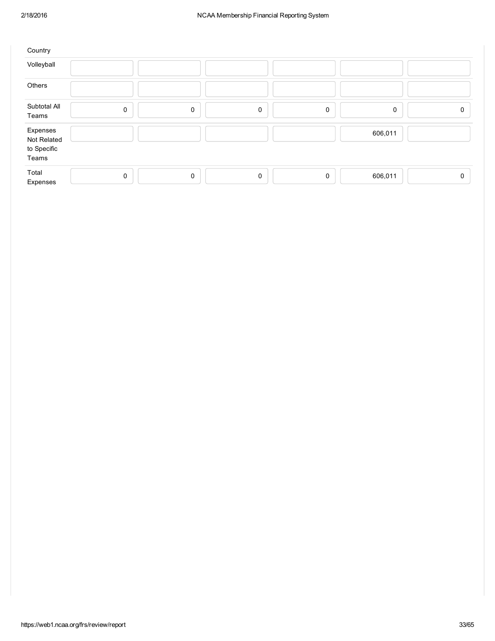| Country                                         |             |   |             |             |         |          |
|-------------------------------------------------|-------------|---|-------------|-------------|---------|----------|
| Volleyball                                      |             |   |             |             |         |          |
| Others                                          |             |   |             |             |         |          |
| Subtotal All<br>Teams                           | $\mathbf 0$ | 0 | $\mathsf 0$ | $\mathbf 0$ | 0       | 0        |
| Expenses<br>Not Related<br>to Specific<br>Teams |             |   |             |             | 606,011 |          |
| Total<br>Expenses                               | $\mathbf 0$ | 0 | $\mathbf 0$ | $\mathbf 0$ | 606,011 | $\Omega$ |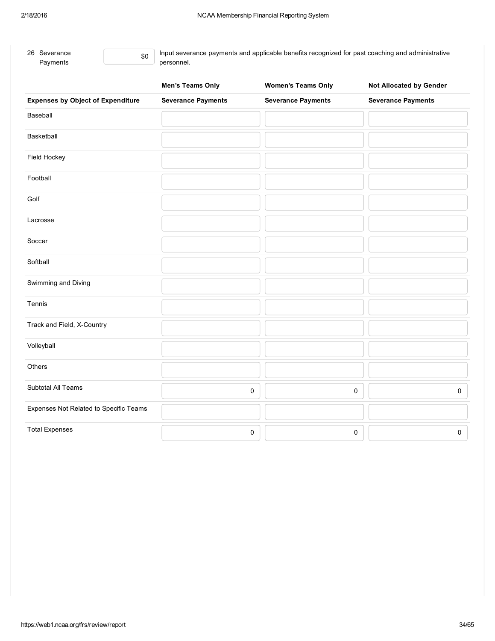| 26 Severance<br>\$0<br>Payments          | Input severance payments and applicable benefits recognized for past coaching and administrative<br>personnel. |                           |                                |  |  |  |
|------------------------------------------|----------------------------------------------------------------------------------------------------------------|---------------------------|--------------------------------|--|--|--|
|                                          | <b>Men's Teams Only</b>                                                                                        | <b>Women's Teams Only</b> | <b>Not Allocated by Gender</b> |  |  |  |
| <b>Expenses by Object of Expenditure</b> | <b>Severance Payments</b>                                                                                      | <b>Severance Payments</b> | <b>Severance Payments</b>      |  |  |  |
| Baseball                                 |                                                                                                                |                           |                                |  |  |  |
| Basketball                               |                                                                                                                |                           |                                |  |  |  |
| Field Hockey                             |                                                                                                                |                           |                                |  |  |  |
| Football                                 |                                                                                                                |                           |                                |  |  |  |
| Golf                                     |                                                                                                                |                           |                                |  |  |  |
| Lacrosse                                 |                                                                                                                |                           |                                |  |  |  |
| Soccer                                   |                                                                                                                |                           |                                |  |  |  |
| Softball                                 |                                                                                                                |                           |                                |  |  |  |
| Swimming and Diving                      |                                                                                                                |                           |                                |  |  |  |
| Tennis                                   |                                                                                                                |                           |                                |  |  |  |
| Track and Field, X-Country               |                                                                                                                |                           |                                |  |  |  |
| Volleyball                               |                                                                                                                |                           |                                |  |  |  |
| Others                                   |                                                                                                                |                           |                                |  |  |  |
| Subtotal All Teams                       |                                                                                                                | $\pmb{0}$                 | 0<br>$\pmb{0}$                 |  |  |  |
| Expenses Not Related to Specific Teams   |                                                                                                                |                           |                                |  |  |  |
| <b>Total Expenses</b>                    |                                                                                                                | 0                         | 0<br>$\mathsf{O}\xspace$       |  |  |  |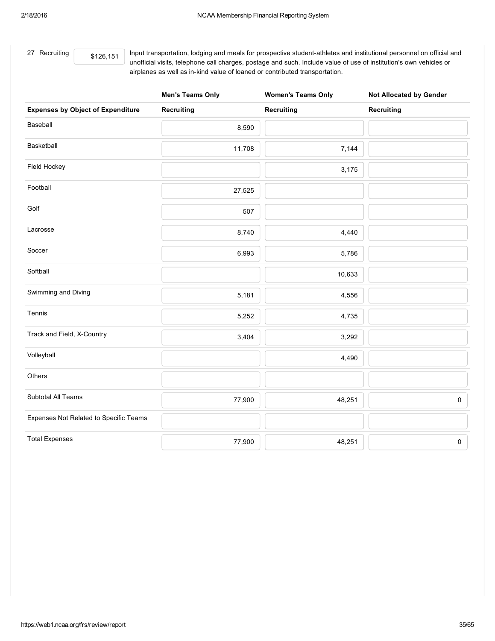27 Recruiting

\$126,151 Input transportation, lodging and meals for prospective student-athletes and institutional personnel on official and unofficial visits, telephone call charges, postage and such. Include value of use of institution's own vehicles or airplanes as well as in-kind value of loaned or contributed transportation.

|                                          | <b>Men's Teams Only</b> | <b>Women's Teams Only</b> | <b>Not Allocated by Gender</b> |
|------------------------------------------|-------------------------|---------------------------|--------------------------------|
| <b>Expenses by Object of Expenditure</b> | <b>Recruiting</b>       | Recruiting                | <b>Recruiting</b>              |
| Baseball                                 | 8,590                   |                           |                                |
| Basketball                               | 11,708                  | 7,144                     |                                |
| Field Hockey                             |                         | 3,175                     |                                |
| Football                                 | 27,525                  |                           |                                |
| Golf                                     | 507                     |                           |                                |
| Lacrosse                                 | 8,740                   | 4,440                     |                                |
| Soccer                                   | 6,993                   | 5,786                     |                                |
| Softball                                 |                         | 10,633                    |                                |
| Swimming and Diving                      | 5,181                   | 4,556                     |                                |
| Tennis                                   | 5,252                   | 4,735                     |                                |
| Track and Field, X-Country               | 3,404                   | 3,292                     |                                |
| Volleyball                               |                         | 4,490                     |                                |
| Others                                   |                         |                           |                                |
| Subtotal All Teams                       | 77,900                  | 48,251                    | $\pmb{0}$                      |
| Expenses Not Related to Specific Teams   |                         |                           |                                |
| <b>Total Expenses</b>                    | 77,900                  | 48,251                    | $\mathsf{O}\xspace$            |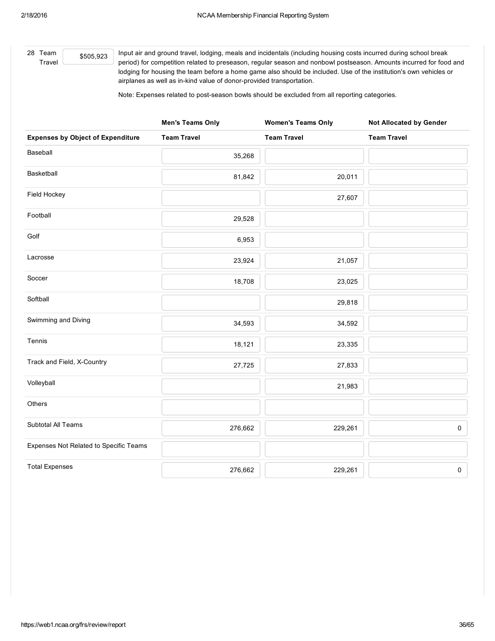28 Team Travel \$505,923 Input air and ground travel, lodging, meals and incidentals (including housing costs incurred during school break period) for competition related to preseason, regular season and nonbowl postseason. Amounts incurred for food and lodging for housing the team before a home game also should be included. Use of the institution's own vehicles or airplanes as well as in-kind value of donor-provided transportation.

Note: Expenses related to post-season bowls should be excluded from all reporting categories.

|                                          | <b>Men's Teams Only</b> | <b>Women's Teams Only</b> | <b>Not Allocated by Gender</b> |
|------------------------------------------|-------------------------|---------------------------|--------------------------------|
| <b>Expenses by Object of Expenditure</b> | <b>Team Travel</b>      | <b>Team Travel</b>        | <b>Team Travel</b>             |
| Baseball                                 | 35,268                  |                           |                                |
| Basketball                               | 81,842                  | 20,011                    |                                |
| Field Hockey                             |                         | 27,607                    |                                |
| Football                                 | 29,528                  |                           |                                |
| Golf                                     | 6,953                   |                           |                                |
| Lacrosse                                 | 23,924                  | 21,057                    |                                |
| Soccer                                   | 18,708                  | 23,025                    |                                |
| Softball                                 |                         | 29,818                    |                                |
| Swimming and Diving                      | 34,593                  | 34,592                    |                                |
| Tennis                                   | 18,121                  | 23,335                    |                                |
| Track and Field, X-Country               | 27,725                  | 27,833                    |                                |
| Volleyball                               |                         | 21,983                    |                                |
| Others                                   |                         |                           |                                |
| Subtotal All Teams                       | 276,662                 | 229,261                   | 0                              |
| Expenses Not Related to Specific Teams   |                         |                           |                                |
| <b>Total Expenses</b>                    | 276,662                 | 229,261                   | 0                              |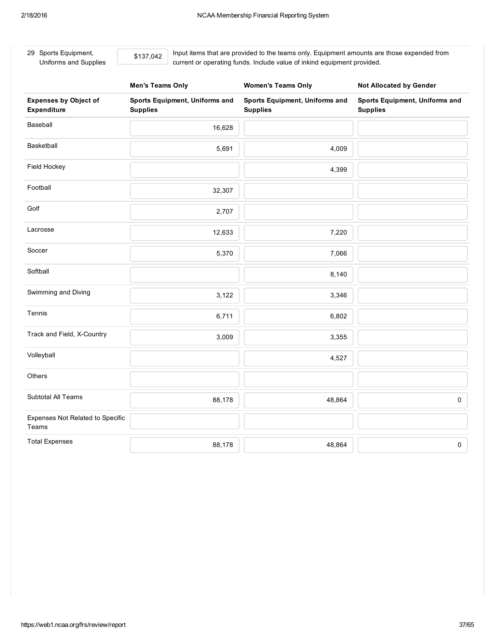29 Sports Equipment, Uniforms and Supplies \$137,042

Input items that are provided to the teams only. Equipment amounts are those expended from current or operating funds. Include value of inkind equipment provided.

|                                             | <b>Men's Teams Only</b>                           | <b>Women's Teams Only</b>                         | <b>Not Allocated by Gender</b>                    |
|---------------------------------------------|---------------------------------------------------|---------------------------------------------------|---------------------------------------------------|
| <b>Expenses by Object of</b><br>Expenditure | Sports Equipment, Uniforms and<br><b>Supplies</b> | Sports Equipment, Uniforms and<br><b>Supplies</b> | Sports Equipment, Uniforms and<br><b>Supplies</b> |
| Baseball                                    | 16,628                                            |                                                   |                                                   |
| Basketball                                  | 5,691                                             | 4,009                                             |                                                   |
| Field Hockey                                |                                                   | 4,399                                             |                                                   |
| Football                                    | 32,307                                            |                                                   |                                                   |
| Golf                                        | 2,707                                             |                                                   |                                                   |
| Lacrosse                                    | 12,633                                            | 7,220                                             |                                                   |
| Soccer                                      | 5,370                                             | 7,066                                             |                                                   |
| Softball                                    |                                                   | 8,140                                             |                                                   |
| Swimming and Diving                         | 3,122                                             | 3,346                                             |                                                   |
| Tennis                                      | 6,711                                             | 6,802                                             |                                                   |
| Track and Field, X-Country                  | 3,009                                             | 3,355                                             |                                                   |
| Volleyball                                  |                                                   | 4,527                                             |                                                   |
| Others                                      |                                                   |                                                   |                                                   |
| Subtotal All Teams                          | 88,178                                            | 48,864                                            | $\mathsf{O}\xspace$                               |
| Expenses Not Related to Specific<br>Teams   |                                                   |                                                   |                                                   |
| <b>Total Expenses</b>                       | 88,178                                            | 48,864                                            | $\mathsf{O}\xspace$                               |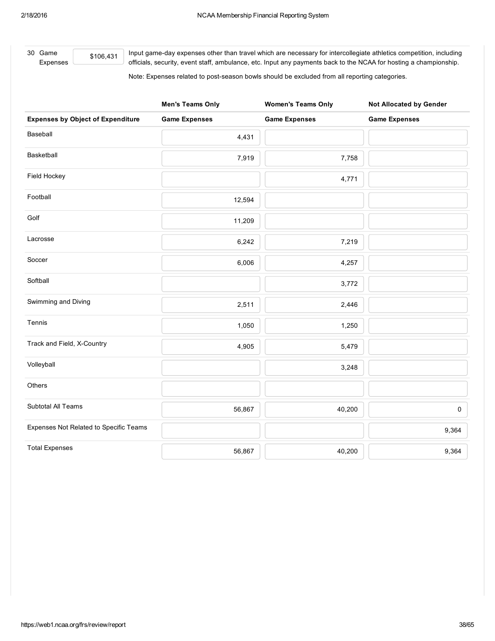30 Game

Expenses

\$106,431 Input game-day expenses other than travel which are necessary for intercollegiate athletics competition, including officials, security, event staff, ambulance, etc. Input any payments back to the NCAA for hosting a championship.

Note: Expenses related to post-season bowls should be excluded from all reporting categories.

|                                          | <b>Men's Teams Only</b> | <b>Women's Teams Only</b> | <b>Not Allocated by Gender</b> |
|------------------------------------------|-------------------------|---------------------------|--------------------------------|
| <b>Expenses by Object of Expenditure</b> | <b>Game Expenses</b>    | <b>Game Expenses</b>      | <b>Game Expenses</b>           |
| Baseball                                 | 4,431                   |                           |                                |
| Basketball                               | 7,919                   | 7,758                     |                                |
| Field Hockey                             |                         | 4,771                     |                                |
| Football                                 | 12,594                  |                           |                                |
| Golf                                     | 11,209                  |                           |                                |
| Lacrosse                                 | 6,242                   | 7,219                     |                                |
| Soccer                                   | 6,006                   | 4,257                     |                                |
| Softball                                 |                         | 3,772                     |                                |
| Swimming and Diving                      | 2,511                   | 2,446                     |                                |
| Tennis                                   | 1,050                   | 1,250                     |                                |
| Track and Field, X-Country               | 4,905                   | 5,479                     |                                |
| Volleyball                               |                         | 3,248                     |                                |
| Others                                   |                         |                           |                                |
| Subtotal All Teams                       | 56,867                  | 40,200                    | 0                              |
| Expenses Not Related to Specific Teams   |                         |                           | 9,364                          |
| <b>Total Expenses</b>                    | 56,867                  | 40,200                    | 9,364                          |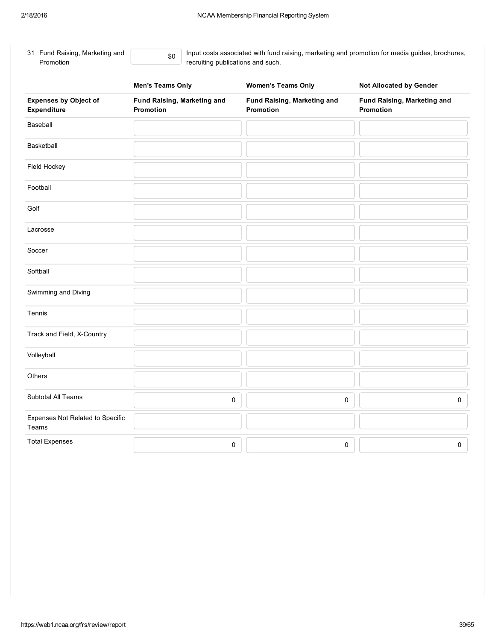\$0

| 31 Fund Raising, Marketing and |
|--------------------------------|
| Promotion                      |

Input costs associated with fund raising, marketing and promotion for media guides, brochures, recruiting publications and such.

|                                             | <b>Men's Teams Only</b>                  | <b>Women's Teams Only</b>                | <b>Not Allocated by Gender</b>           |
|---------------------------------------------|------------------------------------------|------------------------------------------|------------------------------------------|
| <b>Expenses by Object of</b><br>Expenditure | Fund Raising, Marketing and<br>Promotion | Fund Raising, Marketing and<br>Promotion | Fund Raising, Marketing and<br>Promotion |
| Baseball                                    |                                          |                                          |                                          |
| Basketball                                  |                                          |                                          |                                          |
| Field Hockey                                |                                          |                                          |                                          |
| Football                                    |                                          |                                          |                                          |
| Golf                                        |                                          |                                          |                                          |
| Lacrosse                                    |                                          |                                          |                                          |
| Soccer                                      |                                          |                                          |                                          |
| Softball                                    |                                          |                                          |                                          |
| Swimming and Diving                         |                                          |                                          |                                          |
| Tennis                                      |                                          |                                          |                                          |
| Track and Field, X-Country                  |                                          |                                          |                                          |
| Volleyball                                  |                                          |                                          |                                          |
| Others                                      |                                          |                                          |                                          |
| Subtotal All Teams                          | 0                                        | 0                                        | 0                                        |
| Expenses Not Related to Specific<br>Teams   |                                          |                                          |                                          |
| <b>Total Expenses</b>                       | 0                                        | 0                                        | 0                                        |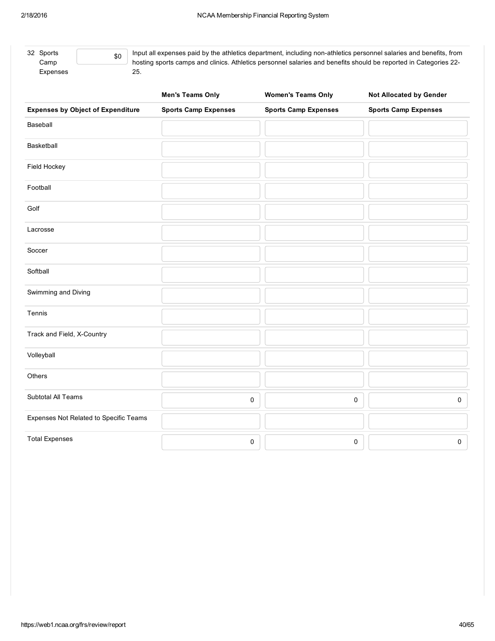| 32 Sports |
|-----------|
| Camp      |
| Expenses  |

\$0 Input all expenses paid by the athletics department, including non-athletics personnel salaries and benefits, from hosting sports camps and clinics. Athletics personnel salaries and benefits should be reported in Categories 22 25.

|                                          | <b>Men's Teams Only</b>     | <b>Women's Teams Only</b>   | <b>Not Allocated by Gender</b> |
|------------------------------------------|-----------------------------|-----------------------------|--------------------------------|
| <b>Expenses by Object of Expenditure</b> | <b>Sports Camp Expenses</b> | <b>Sports Camp Expenses</b> | <b>Sports Camp Expenses</b>    |
| Baseball                                 |                             |                             |                                |
| Basketball                               |                             |                             |                                |
| Field Hockey                             |                             |                             |                                |
| Football                                 |                             |                             |                                |
| Golf                                     |                             |                             |                                |
| Lacrosse                                 |                             |                             |                                |
| Soccer                                   |                             |                             |                                |
| Softball                                 |                             |                             |                                |
| Swimming and Diving                      |                             |                             |                                |
| Tennis                                   |                             |                             |                                |
| Track and Field, X-Country               |                             |                             |                                |
| Volleyball                               |                             |                             |                                |
| Others                                   |                             |                             |                                |
| Subtotal All Teams                       | $\mathsf{O}\xspace$         | 0                           | $\mathsf{O}$                   |
| Expenses Not Related to Specific Teams   |                             |                             |                                |
| <b>Total Expenses</b>                    | $\pmb{0}$                   | 0                           | $\pmb{0}$                      |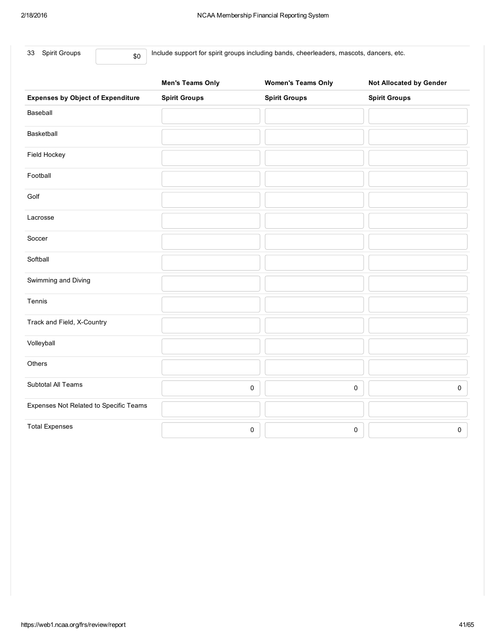|      | 33 Spirit Groups                         | \$0 | Include support for spirit groups including bands, cheerleaders, mascots, dancers, etc. |                           |                                |  |
|------|------------------------------------------|-----|-----------------------------------------------------------------------------------------|---------------------------|--------------------------------|--|
|      |                                          |     | <b>Men's Teams Only</b>                                                                 | <b>Women's Teams Only</b> | <b>Not Allocated by Gender</b> |  |
|      | <b>Expenses by Object of Expenditure</b> |     | <b>Spirit Groups</b>                                                                    | <b>Spirit Groups</b>      | <b>Spirit Groups</b>           |  |
|      | Baseball                                 |     |                                                                                         |                           |                                |  |
|      | Basketball                               |     |                                                                                         |                           |                                |  |
|      | Field Hockey                             |     |                                                                                         |                           |                                |  |
|      | Football                                 |     |                                                                                         |                           |                                |  |
| Golf |                                          |     |                                                                                         |                           |                                |  |
|      | Lacrosse                                 |     |                                                                                         |                           |                                |  |
|      | Soccer                                   |     |                                                                                         |                           |                                |  |
|      | Softball                                 |     |                                                                                         |                           |                                |  |
|      | Swimming and Diving                      |     |                                                                                         |                           |                                |  |
|      | Tennis                                   |     |                                                                                         |                           |                                |  |

Subtotal All Teams  $\begin{array}{ccc} \text{0} & \begin{array}{ccc} \text{0} & \text{0} & \text{0} & \text{0} & \text{0} & \text{0} & \text{0} & \text{0} & \text{0} & \text{0} & \text{0} & \text{0} & \text{0} & \text{0} & \text{0} & \text{0} & \text{0} & \text{0} & \text{0} & \text{0} & \text{0} & \text{0} & \text{0} & \text{0} & \text{0} & \text{0} & \text{0} & \text{0} & \text{0} & \text{0} & \$ 

Total Expenses  $\begin{array}{ccc} & & & & \ & & & \ & & & & \ & & & & 0 \end{array}$ 

Track and Field, X-Country

Expenses Not Related to Specific Teams

Volleyball

**Others**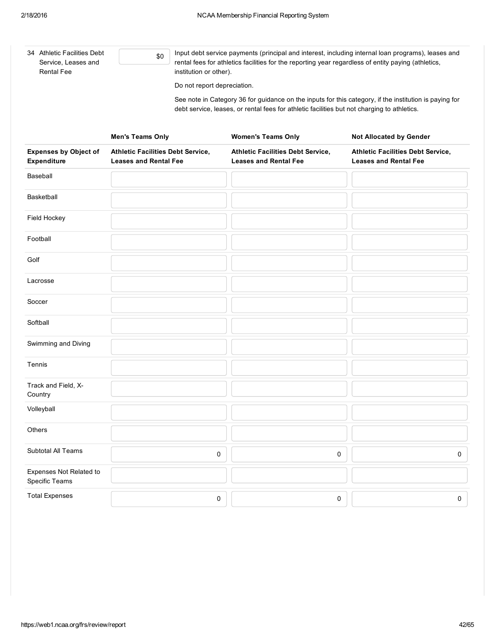| 34 Athletic Facilities Debt<br>Service, Leases and<br><b>Rental Fee</b> | Input debt service payments (principal and interest, including internal loan programs), leases and<br>\$0<br>rental fees for athletics facilities for the reporting year regardless of entity paying (athletics,<br>institution or other).<br>Do not report depreciation.<br>See note in Category 36 for guidance on the inputs for this category, if the institution is paying for<br>debt service, leases, or rental fees for athletic facilities but not charging to athletics. |                                                                          |                                                                          |  |
|-------------------------------------------------------------------------|------------------------------------------------------------------------------------------------------------------------------------------------------------------------------------------------------------------------------------------------------------------------------------------------------------------------------------------------------------------------------------------------------------------------------------------------------------------------------------|--------------------------------------------------------------------------|--------------------------------------------------------------------------|--|
|                                                                         | <b>Men's Teams Only</b>                                                                                                                                                                                                                                                                                                                                                                                                                                                            | <b>Women's Teams Only</b>                                                | <b>Not Allocated by Gender</b>                                           |  |
| <b>Expenses by Object of</b><br>Expenditure                             | Athletic Facilities Debt Service,<br><b>Leases and Rental Fee</b>                                                                                                                                                                                                                                                                                                                                                                                                                  | <b>Athletic Facilities Debt Service,</b><br><b>Leases and Rental Fee</b> | <b>Athletic Facilities Debt Service,</b><br><b>Leases and Rental Fee</b> |  |
| Baseball                                                                |                                                                                                                                                                                                                                                                                                                                                                                                                                                                                    |                                                                          |                                                                          |  |
| <b>Basketball</b>                                                       |                                                                                                                                                                                                                                                                                                                                                                                                                                                                                    |                                                                          |                                                                          |  |
| Field Hockey                                                            |                                                                                                                                                                                                                                                                                                                                                                                                                                                                                    |                                                                          |                                                                          |  |
| Football                                                                |                                                                                                                                                                                                                                                                                                                                                                                                                                                                                    |                                                                          |                                                                          |  |
| Golf                                                                    |                                                                                                                                                                                                                                                                                                                                                                                                                                                                                    |                                                                          |                                                                          |  |
| Lacrosse                                                                |                                                                                                                                                                                                                                                                                                                                                                                                                                                                                    |                                                                          |                                                                          |  |
| Soccer                                                                  |                                                                                                                                                                                                                                                                                                                                                                                                                                                                                    |                                                                          |                                                                          |  |
| Softball                                                                |                                                                                                                                                                                                                                                                                                                                                                                                                                                                                    |                                                                          |                                                                          |  |
| Swimming and Diving                                                     |                                                                                                                                                                                                                                                                                                                                                                                                                                                                                    |                                                                          |                                                                          |  |
| Tennis                                                                  |                                                                                                                                                                                                                                                                                                                                                                                                                                                                                    |                                                                          |                                                                          |  |
| Track and Field, X-<br>Country                                          |                                                                                                                                                                                                                                                                                                                                                                                                                                                                                    |                                                                          |                                                                          |  |
| Volleyball                                                              |                                                                                                                                                                                                                                                                                                                                                                                                                                                                                    |                                                                          |                                                                          |  |
| Others                                                                  |                                                                                                                                                                                                                                                                                                                                                                                                                                                                                    |                                                                          |                                                                          |  |
| Subtotal All Teams                                                      | $\pmb{0}$                                                                                                                                                                                                                                                                                                                                                                                                                                                                          | 0                                                                        | 0                                                                        |  |
| Expenses Not Related to<br>Specific Teams                               |                                                                                                                                                                                                                                                                                                                                                                                                                                                                                    |                                                                          |                                                                          |  |
| <b>Total Expenses</b>                                                   | 0                                                                                                                                                                                                                                                                                                                                                                                                                                                                                  | 0                                                                        | $\mathbf 0$                                                              |  |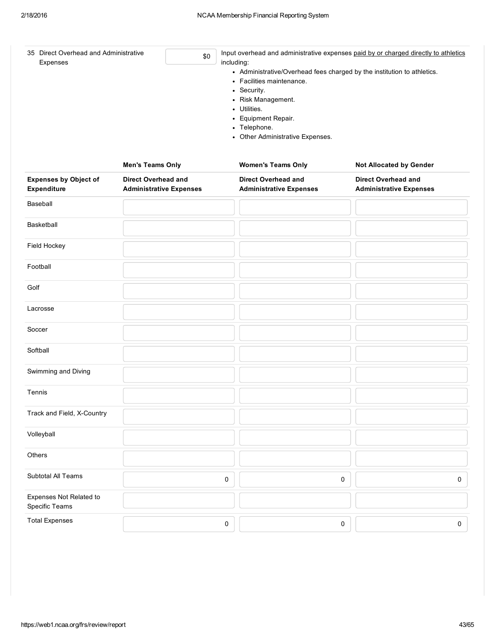| 35 Direct Overhead and Administrative<br>\$0<br>Expenses |                                                       | Input overhead and administrative expenses paid by or charged directly to athletics<br>including:<br>• Administrative/Overhead fees charged by the institution to athletics.<br>• Facilities maintenance.<br>• Security.<br>• Risk Management.<br>• Utilities.<br>• Equipment Repair.<br>• Telephone.<br>• Other Administrative Expenses. |                                                       |  |
|----------------------------------------------------------|-------------------------------------------------------|-------------------------------------------------------------------------------------------------------------------------------------------------------------------------------------------------------------------------------------------------------------------------------------------------------------------------------------------|-------------------------------------------------------|--|
|                                                          | <b>Men's Teams Only</b>                               | <b>Women's Teams Only</b>                                                                                                                                                                                                                                                                                                                 | <b>Not Allocated by Gender</b>                        |  |
| <b>Expenses by Object of</b><br><b>Expenditure</b>       | Direct Overhead and<br><b>Administrative Expenses</b> | Direct Overhead and<br><b>Administrative Expenses</b>                                                                                                                                                                                                                                                                                     | Direct Overhead and<br><b>Administrative Expenses</b> |  |
| Baseball                                                 |                                                       |                                                                                                                                                                                                                                                                                                                                           |                                                       |  |
| Basketball                                               |                                                       |                                                                                                                                                                                                                                                                                                                                           |                                                       |  |
| Field Hockey                                             |                                                       |                                                                                                                                                                                                                                                                                                                                           |                                                       |  |
| Football                                                 |                                                       |                                                                                                                                                                                                                                                                                                                                           |                                                       |  |

| <b>Basketball</b>                         |                     |   |                     |
|-------------------------------------------|---------------------|---|---------------------|
| Field Hockey                              |                     |   |                     |
| Football                                  |                     |   |                     |
| Golf                                      |                     |   |                     |
| Lacrosse                                  |                     |   |                     |
| Soccer                                    |                     |   |                     |
| Softball                                  |                     |   |                     |
| Swimming and Diving                       |                     |   |                     |
| Tennis                                    |                     |   |                     |
| Track and Field, X-Country                |                     |   |                     |
| Volleyball                                |                     |   |                     |
| Others                                    |                     |   |                     |
| Subtotal All Teams                        | $\pmb{0}$           | 0 | $\mathsf{O}\xspace$ |
| Expenses Not Related to<br>Specific Teams |                     |   |                     |
| <b>Total Expenses</b>                     | $\mathsf{O}\xspace$ | 0 | $\mathsf 0$         |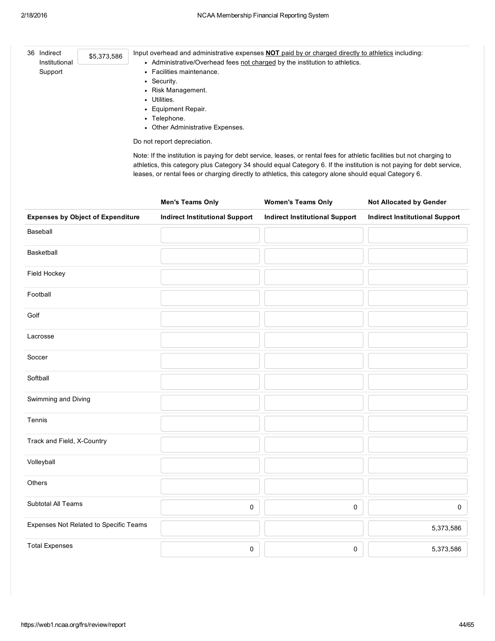| 36 Indirect<br>Institutional             | \$5,373,586 | Input overhead and administrative expenses <b>NOT</b> paid by or charged directly to athletics including:<br>• Administrative/Overhead fees not charged by the institution to athletics. |                                       |                                                                                                                       |  |  |  |  |
|------------------------------------------|-------------|------------------------------------------------------------------------------------------------------------------------------------------------------------------------------------------|---------------------------------------|-----------------------------------------------------------------------------------------------------------------------|--|--|--|--|
| Support                                  |             | • Facilities maintenance.                                                                                                                                                                |                                       |                                                                                                                       |  |  |  |  |
|                                          |             | • Security.                                                                                                                                                                              |                                       |                                                                                                                       |  |  |  |  |
|                                          |             | • Risk Management.                                                                                                                                                                       |                                       |                                                                                                                       |  |  |  |  |
|                                          |             | • Utilities.                                                                                                                                                                             |                                       |                                                                                                                       |  |  |  |  |
|                                          |             | • Equipment Repair.                                                                                                                                                                      |                                       |                                                                                                                       |  |  |  |  |
|                                          |             | • Telephone.                                                                                                                                                                             |                                       |                                                                                                                       |  |  |  |  |
|                                          |             | • Other Administrative Expenses.                                                                                                                                                         |                                       |                                                                                                                       |  |  |  |  |
|                                          |             | Do not report depreciation.                                                                                                                                                              |                                       |                                                                                                                       |  |  |  |  |
|                                          |             |                                                                                                                                                                                          |                                       | athletics, this category plus Category 34 should equal Category 6. If the institution is not paying for debt service, |  |  |  |  |
|                                          |             | leases, or rental fees or charging directly to athletics, this category alone should equal Category 6.<br><b>Men's Teams Only</b>                                                        | <b>Women's Teams Only</b>             | <b>Not Allocated by Gender</b>                                                                                        |  |  |  |  |
| <b>Expenses by Object of Expenditure</b> |             | <b>Indirect Institutional Support</b>                                                                                                                                                    | <b>Indirect Institutional Support</b> | <b>Indirect Institutional Support</b>                                                                                 |  |  |  |  |
|                                          |             |                                                                                                                                                                                          |                                       |                                                                                                                       |  |  |  |  |
| Baseball<br>Basketball                   |             |                                                                                                                                                                                          |                                       |                                                                                                                       |  |  |  |  |
|                                          |             |                                                                                                                                                                                          |                                       |                                                                                                                       |  |  |  |  |
| <b>Field Hockey</b><br>Football          |             |                                                                                                                                                                                          |                                       |                                                                                                                       |  |  |  |  |

| Golf                                   |   |   |              |
|----------------------------------------|---|---|--------------|
| Lacrosse                               |   |   |              |
| Soccer                                 |   |   |              |
| Softball                               |   |   |              |
| Swimming and Diving                    |   |   |              |
| Tennis                                 |   |   |              |
| Track and Field, X-Country             |   |   |              |
| Volleyball                             |   |   |              |
| Others                                 |   |   |              |
| Subtotal All Teams                     | 0 | 0 | $\mathbf{0}$ |
| Expenses Not Related to Specific Teams |   |   | 5,373,586    |
| <b>Total Expenses</b>                  | 0 | 0 | 5,373,586    |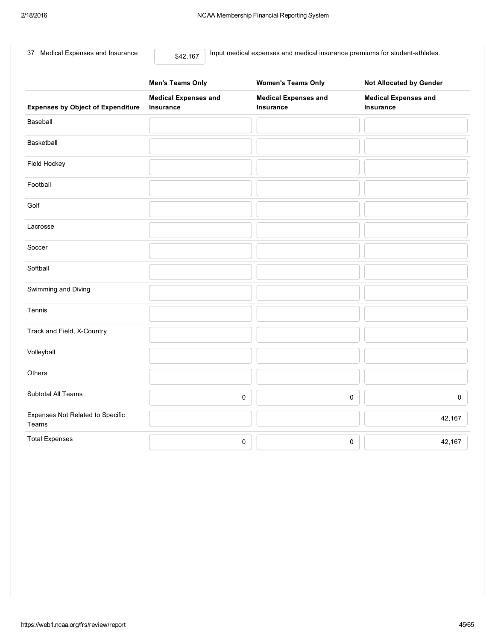37 Medical Expenses and Insurance

\$42,167

Input medical expenses and medical insurance premiums for student-athletes.

|                                           | <b>Men's Teams Only</b>                  | <b>Women's Teams Only</b>                | Not Allocated by Gender                  |
|-------------------------------------------|------------------------------------------|------------------------------------------|------------------------------------------|
| <b>Expenses by Object of Expenditure</b>  | <b>Medical Expenses and</b><br>Insurance | <b>Medical Expenses and</b><br>Insurance | <b>Medical Expenses and</b><br>Insurance |
| Baseball                                  |                                          |                                          |                                          |
| Basketball                                |                                          |                                          |                                          |
| Field Hockey                              |                                          |                                          |                                          |
| Football                                  |                                          |                                          |                                          |
| Golf                                      |                                          |                                          |                                          |
| Lacrosse                                  |                                          |                                          |                                          |
| Soccer                                    |                                          |                                          |                                          |
| Softball                                  |                                          |                                          |                                          |
| Swimming and Diving                       |                                          |                                          |                                          |
| Tennis                                    |                                          |                                          |                                          |
| Track and Field, X-Country                |                                          |                                          |                                          |
| Volleyball                                |                                          |                                          |                                          |
| Others                                    |                                          |                                          |                                          |
| Subtotal All Teams                        | $\pmb{0}$                                | 0                                        | 0                                        |
| Expenses Not Related to Specific<br>Teams |                                          |                                          | 42,167                                   |
| <b>Total Expenses</b>                     | $\pmb{0}$                                | 0                                        | 42,167                                   |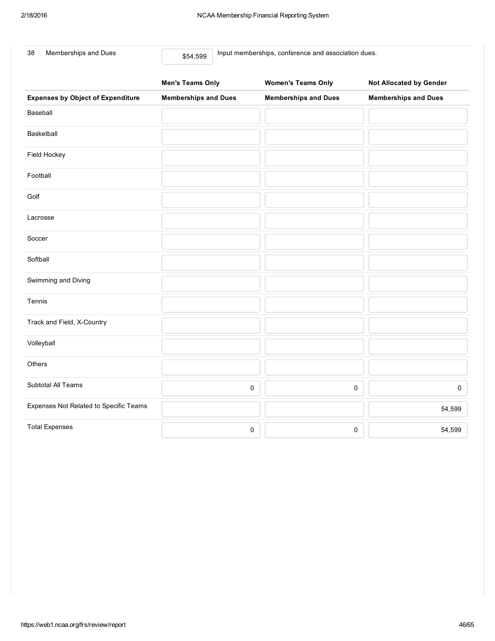| Memberships and Dues<br>38               | Input memberships, conference and association dues.<br>\$54,599 |                             |                                  |  |  |  |  |  |
|------------------------------------------|-----------------------------------------------------------------|-----------------------------|----------------------------------|--|--|--|--|--|
|                                          | <b>Men's Teams Only</b>                                         | <b>Women's Teams Only</b>   | <b>Not Allocated by Gender</b>   |  |  |  |  |  |
| <b>Expenses by Object of Expenditure</b> | <b>Memberships and Dues</b>                                     | <b>Memberships and Dues</b> | <b>Memberships and Dues</b>      |  |  |  |  |  |
| Baseball                                 |                                                                 |                             |                                  |  |  |  |  |  |
| Basketball                               |                                                                 |                             |                                  |  |  |  |  |  |
| Field Hockey                             |                                                                 |                             |                                  |  |  |  |  |  |
| Football                                 |                                                                 |                             |                                  |  |  |  |  |  |
| Golf                                     |                                                                 |                             |                                  |  |  |  |  |  |
| Lacrosse                                 |                                                                 |                             |                                  |  |  |  |  |  |
| Soccer                                   |                                                                 |                             |                                  |  |  |  |  |  |
| Softball                                 |                                                                 |                             |                                  |  |  |  |  |  |
| Swimming and Diving                      |                                                                 |                             |                                  |  |  |  |  |  |
| Tennis                                   |                                                                 |                             |                                  |  |  |  |  |  |
| Track and Field, X-Country               |                                                                 |                             |                                  |  |  |  |  |  |
| Volleyball                               |                                                                 |                             |                                  |  |  |  |  |  |
| <b>Others</b>                            |                                                                 |                             |                                  |  |  |  |  |  |
| Subtotal All Teams                       |                                                                 | $\mathsf 0$                 | $\pmb{0}$<br>$\mathsf{O}\xspace$ |  |  |  |  |  |
| Expenses Not Related to Specific Teams   |                                                                 |                             | 54,599                           |  |  |  |  |  |
| <b>Total Expenses</b>                    |                                                                 | $\mathsf 0$                 | $\mathsf 0$<br>54,599            |  |  |  |  |  |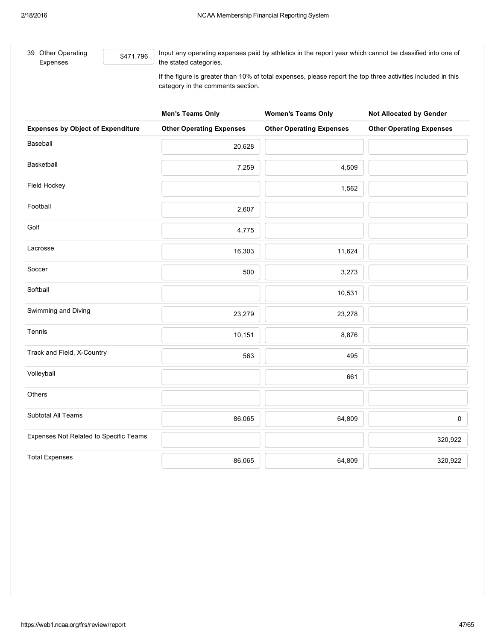| 39 Other Operating<br>Expenses | \$471.796 | Input any operating expenses paid by athletics in the report year which cannot be classified into one of<br>the stated categories.                |
|--------------------------------|-----------|---------------------------------------------------------------------------------------------------------------------------------------------------|
|                                |           | If the figure is greater than 10% of total expenses, please report the top three activities included in this<br>category in the comments section. |

|                                          | <b>Men's Teams Only</b>         | <b>Women's Teams Only</b>       | <b>Not Allocated by Gender</b>  |
|------------------------------------------|---------------------------------|---------------------------------|---------------------------------|
| <b>Expenses by Object of Expenditure</b> | <b>Other Operating Expenses</b> | <b>Other Operating Expenses</b> | <b>Other Operating Expenses</b> |
| Baseball                                 | 20,628                          |                                 |                                 |
| Basketball                               | 7,259                           | 4,509                           |                                 |
| Field Hockey                             |                                 | 1,562                           |                                 |
| Football                                 | 2,607                           |                                 |                                 |
| Golf                                     | 4,775                           |                                 |                                 |
| Lacrosse                                 | 16,303                          | 11,624                          |                                 |
| Soccer                                   | 500                             | 3,273                           |                                 |
| Softball                                 |                                 | 10,531                          |                                 |
| Swimming and Diving                      | 23,279                          | 23,278                          |                                 |
| Tennis                                   | 10,151                          | 8,876                           |                                 |
| Track and Field, X-Country               | 563                             | 495                             |                                 |
| Volleyball                               |                                 | 661                             |                                 |
| Others                                   |                                 |                                 |                                 |
| Subtotal All Teams                       | 86,065                          | 64,809                          | $\mathsf{O}\xspace$             |
| Expenses Not Related to Specific Teams   |                                 |                                 | 320,922                         |
| <b>Total Expenses</b>                    | 86,065                          | 64,809                          | 320,922                         |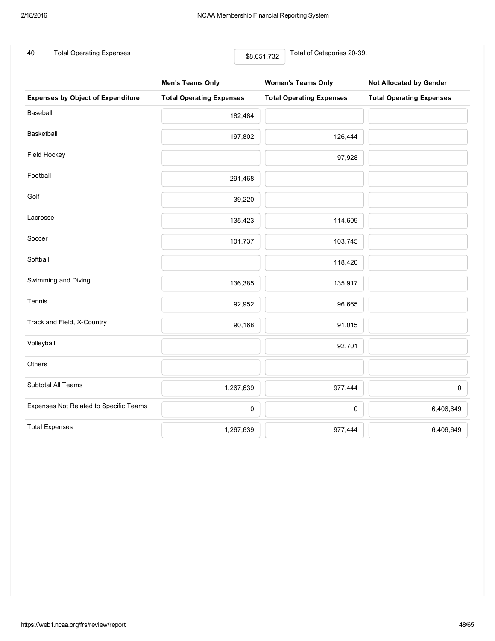40 Total Operating Expenses **1998** S8,651,732 Total of Categories 20-39.

|                                          | <b>Men's Teams Only</b>         | <b>Women's Teams Only</b>       | <b>Not Allocated by Gender</b>  |  |
|------------------------------------------|---------------------------------|---------------------------------|---------------------------------|--|
| <b>Expenses by Object of Expenditure</b> | <b>Total Operating Expenses</b> | <b>Total Operating Expenses</b> | <b>Total Operating Expenses</b> |  |
| Baseball                                 | 182,484                         |                                 |                                 |  |
| Basketball                               | 197,802                         | 126,444                         |                                 |  |
| Field Hockey                             |                                 | 97,928                          |                                 |  |
| Football                                 | 291,468                         |                                 |                                 |  |
| Golf                                     | 39,220                          |                                 |                                 |  |
| Lacrosse                                 | 135,423                         | 114,609                         |                                 |  |
| Soccer                                   | 101,737                         | 103,745                         |                                 |  |
| Softball                                 |                                 | 118,420                         |                                 |  |
| Swimming and Diving                      | 136,385                         | 135,917                         |                                 |  |
| Tennis                                   | 92,952                          | 96,665                          |                                 |  |
| Track and Field, X-Country               | 90,168                          | 91,015                          |                                 |  |
| Volleyball                               |                                 | 92,701                          |                                 |  |
| Others                                   |                                 |                                 |                                 |  |
| Subtotal All Teams                       | 1,267,639                       | 977,444                         | 0                               |  |
| Expenses Not Related to Specific Teams   | 0                               | 0                               | 6,406,649                       |  |
| <b>Total Expenses</b>                    | 1,267,639                       | 977,444                         | 6,406,649                       |  |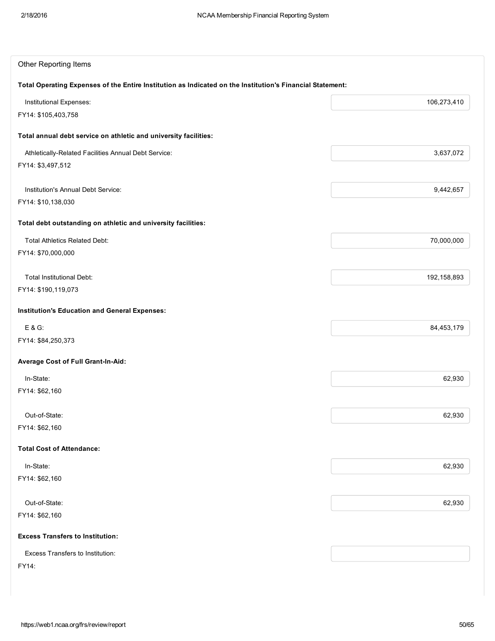| <b>Other Reporting Items</b>                                                                              |             |
|-----------------------------------------------------------------------------------------------------------|-------------|
| Total Operating Expenses of the Entire Institution as Indicated on the Institution's Financial Statement: |             |
| Institutional Expenses:                                                                                   | 106,273,410 |
| FY14: \$105,403,758                                                                                       |             |
| Total annual debt service on athletic and university facilities:                                          |             |
| Athletically-Related Facilities Annual Debt Service:                                                      | 3,637,072   |
| FY14: \$3,497,512                                                                                         |             |
| Institution's Annual Debt Service:                                                                        | 9,442,657   |
| FY14: \$10,138,030                                                                                        |             |
| Total debt outstanding on athletic and university facilities:                                             |             |
| <b>Total Athletics Related Debt:</b>                                                                      | 70,000,000  |
| FY14: \$70,000,000                                                                                        |             |
| <b>Total Institutional Debt:</b>                                                                          | 192,158,893 |
| FY14: \$190,119,073                                                                                       |             |
| <b>Institution's Education and General Expenses:</b>                                                      |             |
| $E & G$ :                                                                                                 | 84,453,179  |
| FY14: \$84,250,373                                                                                        |             |
| Average Cost of Full Grant-In-Aid:                                                                        |             |
| In-State:                                                                                                 | 62,930      |
| FY14: \$62,160                                                                                            |             |
| Out-of-State:                                                                                             | 62,930      |
| FY14: \$62,160                                                                                            |             |
| <b>Total Cost of Attendance:</b>                                                                          |             |
| In-State:                                                                                                 | 62,930      |
| FY14: \$62,160                                                                                            |             |
| Out-of-State:                                                                                             | 62,930      |
| FY14: \$62,160                                                                                            |             |
| <b>Excess Transfers to Institution:</b>                                                                   |             |
| Excess Transfers to Institution:                                                                          |             |
| FY14:                                                                                                     |             |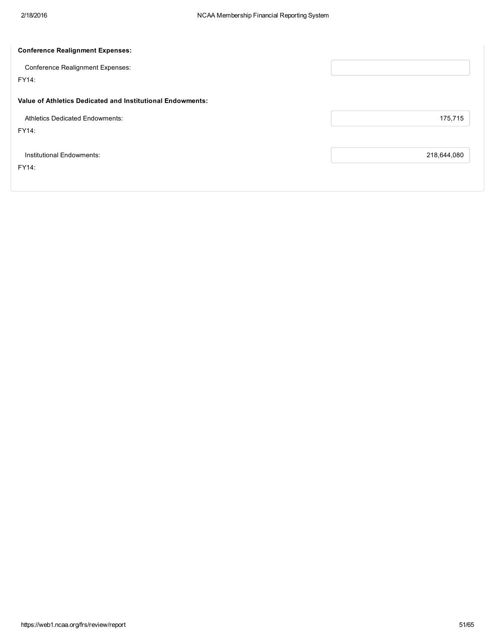| <b>Conference Realignment Expenses:</b>                    |             |
|------------------------------------------------------------|-------------|
| <b>Conference Realignment Expenses:</b>                    |             |
| FY14:                                                      |             |
| Value of Athletics Dedicated and Institutional Endowments: |             |
| <b>Athletics Dedicated Endowments:</b>                     | 175,715     |
| FY14:                                                      |             |
| Institutional Endowments:                                  | 218,644,080 |
| FY14:                                                      |             |
|                                                            |             |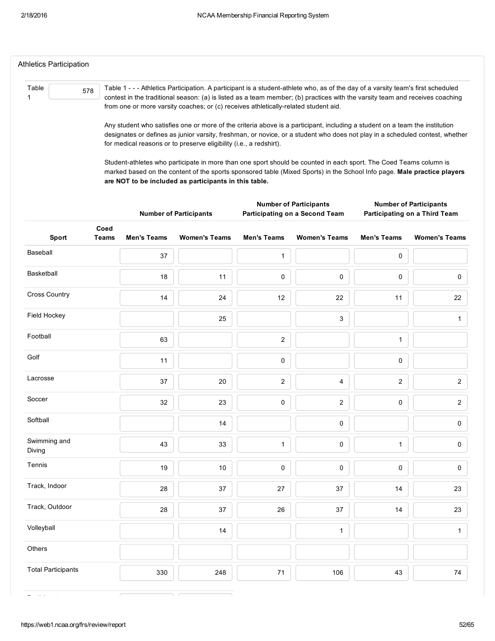| Athletics Participation |     |                                                                                                                                                                                                                                                                  |
|-------------------------|-----|------------------------------------------------------------------------------------------------------------------------------------------------------------------------------------------------------------------------------------------------------------------|
|                         |     |                                                                                                                                                                                                                                                                  |
| Table                   | 578 | Table 1 - - - Athletics Participation. A participant is a student-athlete who, as of the day of a varsity team's first scheduled<br>contest in the traditional season: (a) is listed as a team member; (b) practices with the varsity team and receives coaching |
|                         |     | from one or more varsity coaches; or (c) receives athletically-related student aid.                                                                                                                                                                              |
|                         |     | Any student who satisfies one or more of the criteria above is a participant, including a student on a team the institution                                                                                                                                      |

designates or defines as junior varsity, freshman, or novice, or a student who does not play in a scheduled contest, whether for medical reasons or to preserve eligibility (i.e., a redshirt).

Student-athletes who participate in more than one sport should be counted in each sport. The Coed Teams column is marked based on the content of the sports sponsored table (Mixed Sports) in the School Info page. Male practice players are NOT to be included as participants in this table.

|                               |                    | <b>Number of Participants</b> |                         | <b>Number of Participants</b><br>Participating on a Second Team | <b>Number of Participants</b><br>Participating on a Third Team |                      |  |
|-------------------------------|--------------------|-------------------------------|-------------------------|-----------------------------------------------------------------|----------------------------------------------------------------|----------------------|--|
| Coed<br>Sport<br><b>Teams</b> | <b>Men's Teams</b> | <b>Women's Teams</b>          | <b>Men's Teams</b>      | <b>Women's Teams</b>                                            | <b>Men's Teams</b>                                             | <b>Women's Teams</b> |  |
| Baseball                      | 37                 |                               | $\mathbf{1}$            |                                                                 | 0                                                              |                      |  |
| Basketball                    | 18                 | 11                            | $\pmb{0}$               | $\pmb{0}$                                                       | 0                                                              | $\mathsf 0$          |  |
| <b>Cross Country</b>          | 14                 | 24                            | 12                      | 22                                                              | 11                                                             | 22                   |  |
| Field Hockey                  |                    | 25                            |                         | $\mathsf 3$                                                     |                                                                | $\mathbf{1}$         |  |
| Football                      | 63                 |                               | $\overline{\mathbf{c}}$ |                                                                 | $\mathbf{1}$                                                   |                      |  |
| Golf                          | 11                 |                               | $\mathsf 0$             |                                                                 | 0                                                              |                      |  |
| Lacrosse                      | 37                 | 20                            | $\overline{c}$          | 4                                                               | $\overline{c}$                                                 | $\sqrt{2}$           |  |
| Soccer                        | 32                 | 23                            | 0                       | $\boldsymbol{2}$                                                | 0                                                              | $\boldsymbol{2}$     |  |
| Softball                      |                    | 14                            |                         | $\pmb{0}$                                                       |                                                                | $\mathsf{O}\xspace$  |  |
| Swimming and<br>Diving        | 43                 | 33                            | $\mathbf{1}$            | $\pmb{0}$                                                       | $\mathbf{1}$                                                   | $\pmb{0}$            |  |
| Tennis                        | 19                 | 10                            | $\pmb{0}$               | $\pmb{0}$                                                       | 0                                                              | $\mathsf{O}\xspace$  |  |
| Track, Indoor                 | 28                 | 37                            | 27                      | 37                                                              | 14                                                             | 23                   |  |
| Track, Outdoor                | 28                 | 37                            | 26                      | 37                                                              | 14                                                             | 23                   |  |
| Volleyball                    |                    | 14                            |                         | $\mathbf{1}$                                                    |                                                                | $\mathbf{1}$         |  |
| Others                        |                    |                               |                         |                                                                 |                                                                |                      |  |
| <b>Total Participants</b>     | 330                | 248                           | 71                      | 106                                                             | 43                                                             | $74\,$               |  |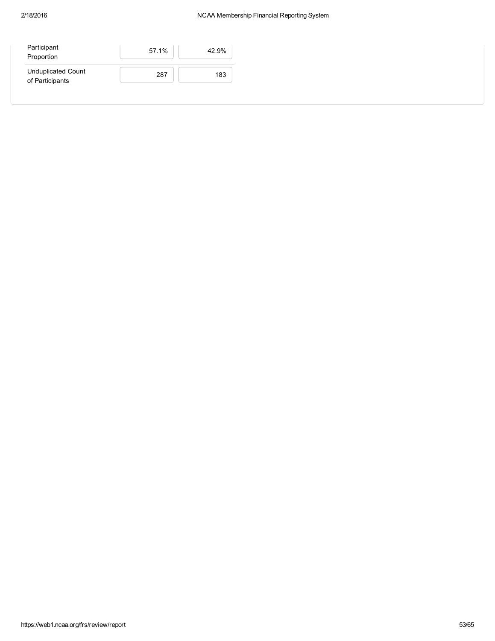## 2/18/2016 NCAA Membership Financial Reporting System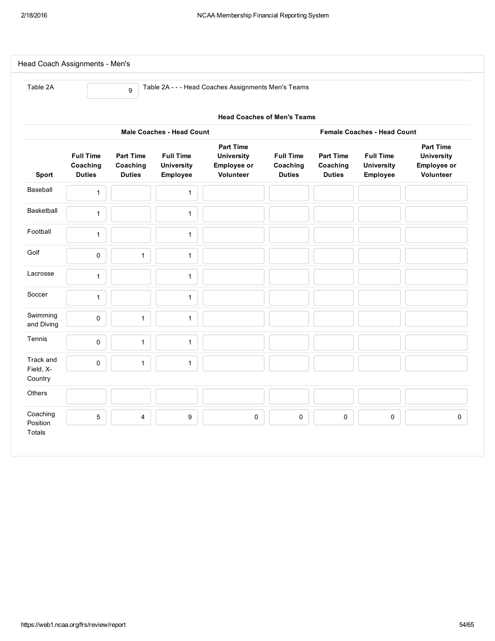| Table 2A                                                               |                                               | 9                                             |                                                   | Table 2A - - - Head Coaches Assignments Men's Teams                      |                                               |                                               |                                                   |                                                                   |  |  |  |  |  |
|------------------------------------------------------------------------|-----------------------------------------------|-----------------------------------------------|---------------------------------------------------|--------------------------------------------------------------------------|-----------------------------------------------|-----------------------------------------------|---------------------------------------------------|-------------------------------------------------------------------|--|--|--|--|--|
| <b>Head Coaches of Men's Teams</b>                                     |                                               |                                               |                                                   |                                                                          |                                               |                                               |                                                   |                                                                   |  |  |  |  |  |
| <b>Male Coaches - Head Count</b><br><b>Female Coaches - Head Count</b> |                                               |                                               |                                                   |                                                                          |                                               |                                               |                                                   |                                                                   |  |  |  |  |  |
| Sport                                                                  | <b>Full Time</b><br>Coaching<br><b>Duties</b> | <b>Part Time</b><br>Coaching<br><b>Duties</b> | <b>Full Time</b><br><b>University</b><br>Employee | <b>Part Time</b><br><b>University</b><br><b>Employee or</b><br>Volunteer | <b>Full Time</b><br>Coaching<br><b>Duties</b> | <b>Part Time</b><br>Coaching<br><b>Duties</b> | <b>Full Time</b><br><b>University</b><br>Employee | <b>Part Time</b><br><b>University</b><br>Employee or<br>Volunteer |  |  |  |  |  |
| Baseball                                                               | $\mathbf{1}$                                  |                                               | $\mathbf{1}$                                      |                                                                          |                                               |                                               |                                                   |                                                                   |  |  |  |  |  |
| Basketball                                                             | $\mathbf{1}$                                  |                                               | $\mathbf{1}$                                      |                                                                          |                                               |                                               |                                                   |                                                                   |  |  |  |  |  |
| Football                                                               | $\mathbf{1}$                                  |                                               | 1                                                 |                                                                          |                                               |                                               |                                                   |                                                                   |  |  |  |  |  |
| Golf                                                                   | 0                                             | $\mathbf{1}$                                  | $\mathbf{1}$                                      |                                                                          |                                               |                                               |                                                   |                                                                   |  |  |  |  |  |
| Lacrosse                                                               | $\mathbf{1}$                                  |                                               | $\mathbf{1}$                                      |                                                                          |                                               |                                               |                                                   |                                                                   |  |  |  |  |  |
| Soccer                                                                 | $\mathbf 1$                                   |                                               | $\mathbf{1}$                                      |                                                                          |                                               |                                               |                                                   |                                                                   |  |  |  |  |  |
| Swimming<br>and Diving                                                 | 0                                             | $\mathbf{1}$                                  | $\mathbf{1}$                                      |                                                                          |                                               |                                               |                                                   |                                                                   |  |  |  |  |  |
| Tennis                                                                 | $\pmb{0}$                                     | $\mathbf{1}$                                  | $\mathbf{1}$                                      |                                                                          |                                               |                                               |                                                   |                                                                   |  |  |  |  |  |
| Track and<br>Field, X-                                                 | $\pmb{0}$                                     | $\mathbf{1}$                                  | $\mathbf{1}$                                      |                                                                          |                                               |                                               |                                                   |                                                                   |  |  |  |  |  |
| Country                                                                |                                               |                                               |                                                   |                                                                          |                                               |                                               |                                                   |                                                                   |  |  |  |  |  |
| Others                                                                 |                                               |                                               |                                                   |                                                                          |                                               |                                               |                                                   |                                                                   |  |  |  |  |  |
| Coaching<br>Position                                                   | $\mathbf 5$                                   | $\overline{\mathbf{4}}$                       | $\boldsymbol{9}$                                  | $\pmb{0}$                                                                | $\mathsf 0$                                   | $\mathsf 0$                                   | $\pmb{0}$                                         | 0                                                                 |  |  |  |  |  |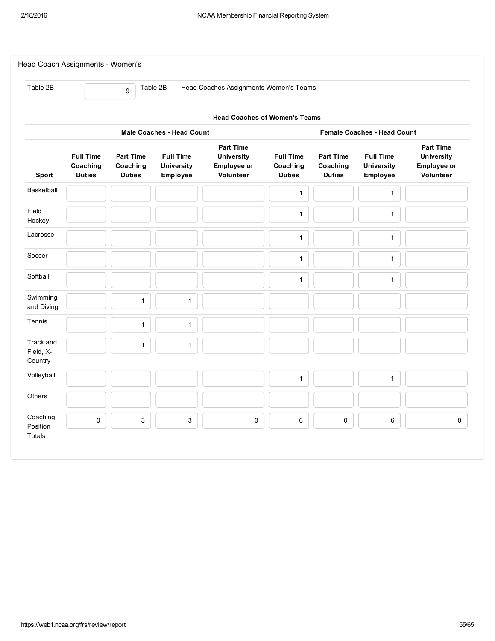| Table 2B                          |                                               | 9                                      |                                                   | Table 2B - - - Head Coaches Assignments Women's Teams             |                                               |                                               |                                                   |                                                                   |  |  |  |  |
|-----------------------------------|-----------------------------------------------|----------------------------------------|---------------------------------------------------|-------------------------------------------------------------------|-----------------------------------------------|-----------------------------------------------|---------------------------------------------------|-------------------------------------------------------------------|--|--|--|--|
|                                   | <b>Head Coaches of Women's Teams</b>          |                                        |                                                   |                                                                   |                                               |                                               |                                                   |                                                                   |  |  |  |  |
|                                   |                                               |                                        | <b>Male Coaches - Head Count</b>                  |                                                                   |                                               |                                               | <b>Female Coaches - Head Count</b>                |                                                                   |  |  |  |  |
| Sport                             | <b>Full Time</b><br>Coaching<br><b>Duties</b> | Part Time<br>Coaching<br><b>Duties</b> | <b>Full Time</b><br><b>University</b><br>Employee | <b>Part Time</b><br><b>University</b><br>Employee or<br>Volunteer | <b>Full Time</b><br>Coaching<br><b>Duties</b> | <b>Part Time</b><br>Coaching<br><b>Duties</b> | <b>Full Time</b><br><b>University</b><br>Employee | <b>Part Time</b><br><b>University</b><br>Employee or<br>Volunteer |  |  |  |  |
| Basketball                        |                                               |                                        |                                                   |                                                                   | $\mathbf{1}$                                  |                                               | $\mathbf{1}$                                      |                                                                   |  |  |  |  |
| Field<br>Hockey                   |                                               |                                        |                                                   |                                                                   | $\mathbf{1}$                                  |                                               | $\mathbf{1}$                                      |                                                                   |  |  |  |  |
| Lacrosse                          |                                               |                                        |                                                   |                                                                   | $\mathbf{1}$                                  |                                               | $\mathbf{1}$                                      |                                                                   |  |  |  |  |
| Soccer                            |                                               |                                        |                                                   |                                                                   | $\mathbf{1}$                                  |                                               | $\mathbf{1}$                                      |                                                                   |  |  |  |  |
| Softball                          |                                               |                                        |                                                   |                                                                   | $\mathbf{1}$                                  |                                               | $\mathbf{1}$                                      |                                                                   |  |  |  |  |
| Swimming<br>and Diving            |                                               | $\mathbf{1}$                           | $\mathbf{1}$                                      |                                                                   |                                               |                                               |                                                   |                                                                   |  |  |  |  |
| Tennis                            |                                               | $\mathbf{1}$                           | $\mathbf{1}$                                      |                                                                   |                                               |                                               |                                                   |                                                                   |  |  |  |  |
| Track and<br>Field, X-<br>Country |                                               | $\mathbf{1}$                           | $\mathbf{1}$                                      |                                                                   |                                               |                                               |                                                   |                                                                   |  |  |  |  |
| Volleyball                        |                                               |                                        |                                                   |                                                                   | $\mathbf{1}$                                  |                                               | $\mathbf{1}$                                      |                                                                   |  |  |  |  |
| Others                            |                                               |                                        |                                                   |                                                                   |                                               |                                               |                                                   |                                                                   |  |  |  |  |
| Coaching<br>Position              | 0                                             | 3                                      | 3                                                 | 0                                                                 | 6                                             | $\pmb{0}$                                     | 6                                                 |                                                                   |  |  |  |  |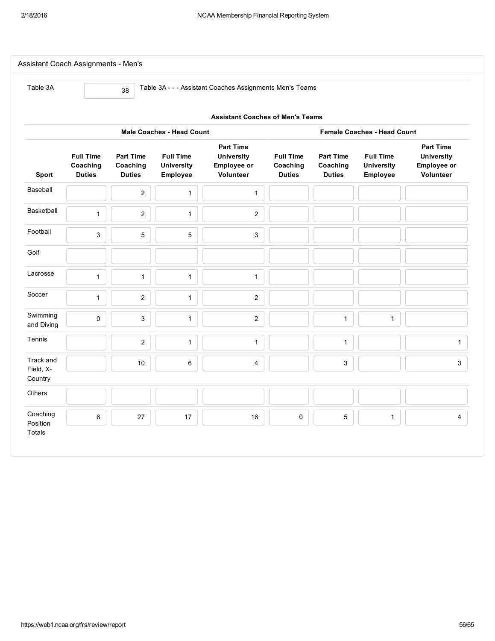| Table 3A               |                                               | 38                                            |                                                   | Table 3A - - - Assistant Coaches Assignments Men's Teams          |                                               |                                               |                                                   |                                                                   |  |  |  |  |  |  |
|------------------------|-----------------------------------------------|-----------------------------------------------|---------------------------------------------------|-------------------------------------------------------------------|-----------------------------------------------|-----------------------------------------------|---------------------------------------------------|-------------------------------------------------------------------|--|--|--|--|--|--|
|                        | <b>Assistant Coaches of Men's Teams</b>       |                                               |                                                   |                                                                   |                                               |                                               |                                                   |                                                                   |  |  |  |  |  |  |
|                        |                                               |                                               | <b>Male Coaches - Head Count</b>                  |                                                                   |                                               |                                               | <b>Female Coaches - Head Count</b>                |                                                                   |  |  |  |  |  |  |
| Sport                  | <b>Full Time</b><br>Coaching<br><b>Duties</b> | <b>Part Time</b><br>Coaching<br><b>Duties</b> | <b>Full Time</b><br><b>University</b><br>Employee | <b>Part Time</b><br><b>University</b><br>Employee or<br>Volunteer | <b>Full Time</b><br>Coaching<br><b>Duties</b> | <b>Part Time</b><br>Coaching<br><b>Duties</b> | <b>Full Time</b><br><b>University</b><br>Employee | <b>Part Time</b><br><b>University</b><br>Employee or<br>Volunteer |  |  |  |  |  |  |
| Baseball               |                                               | $\overline{c}$                                | $\mathbf{1}$                                      | $\mathbf{1}$                                                      |                                               |                                               |                                                   |                                                                   |  |  |  |  |  |  |
| Basketball             | $\mathbf{1}$                                  | $\overline{c}$                                | $\mathbf{1}$                                      | $\mathbf{2}$                                                      |                                               |                                               |                                                   |                                                                   |  |  |  |  |  |  |
| Football               | 3                                             | $\mathbf 5$                                   | 5                                                 | $\ensuremath{\mathsf{3}}$                                         |                                               |                                               |                                                   |                                                                   |  |  |  |  |  |  |
| Golf                   |                                               |                                               |                                                   |                                                                   |                                               |                                               |                                                   |                                                                   |  |  |  |  |  |  |
| Lacrosse               | $\mathbf{1}$                                  | $\mathbf{1}$                                  | $\mathbf{1}$                                      | $\mathbf{1}$                                                      |                                               |                                               |                                                   |                                                                   |  |  |  |  |  |  |
| Soccer                 | $\mathbf{1}$                                  | $\overline{2}$                                | $\mathbf{1}$                                      | $\sqrt{2}$                                                        |                                               |                                               |                                                   |                                                                   |  |  |  |  |  |  |
| Swimming<br>and Diving | $\mathsf{O}\xspace$                           | $\mathbf{3}$                                  | $\mathbf{1}$                                      | $\overline{2}$                                                    |                                               | $\mathbf{1}$                                  | $\mathbf{1}$                                      |                                                                   |  |  |  |  |  |  |
| Tennis                 |                                               | $\boldsymbol{2}$                              | $\mathbf{1}$                                      | $\mathbf{1}$                                                      |                                               | $\mathbf{1}$                                  |                                                   | $\mathbf{1}$                                                      |  |  |  |  |  |  |
| Track and<br>Field, X- |                                               | 10                                            | 6                                                 | $\overline{4}$                                                    |                                               | 3                                             |                                                   | $\mathbf{3}$                                                      |  |  |  |  |  |  |
| Country                |                                               |                                               |                                                   |                                                                   |                                               |                                               |                                                   |                                                                   |  |  |  |  |  |  |
| Others                 |                                               |                                               |                                                   |                                                                   |                                               |                                               |                                                   |                                                                   |  |  |  |  |  |  |
| Coaching<br>Position   | $\,6\,$                                       | 27                                            | 17                                                | 16                                                                | $\pmb{0}$                                     | 5                                             | $\mathbf{1}$                                      | $\overline{4}$                                                    |  |  |  |  |  |  |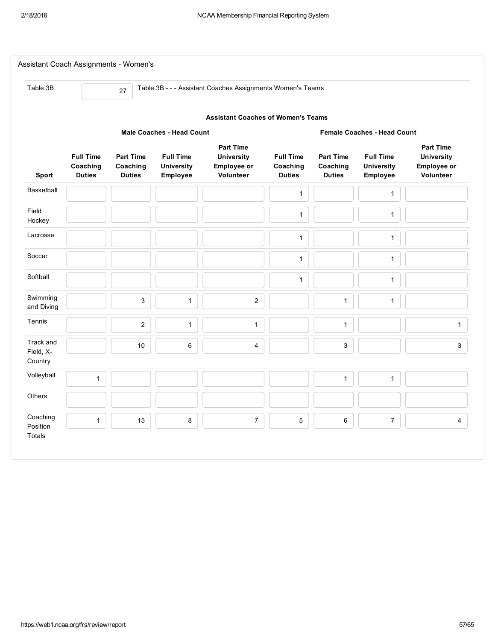| Table 3B                          |                                               | 27                                            |                                                   | Table 3B - - - Assistant Coaches Assignments Women's Teams               |                                               |                                               |                                                   |                                                                   |
|-----------------------------------|-----------------------------------------------|-----------------------------------------------|---------------------------------------------------|--------------------------------------------------------------------------|-----------------------------------------------|-----------------------------------------------|---------------------------------------------------|-------------------------------------------------------------------|
|                                   |                                               |                                               |                                                   | <b>Assistant Coaches of Women's Teams</b>                                |                                               |                                               |                                                   |                                                                   |
|                                   |                                               |                                               | <b>Male Coaches - Head Count</b>                  |                                                                          |                                               |                                               | <b>Female Coaches - Head Count</b>                |                                                                   |
| Sport                             | <b>Full Time</b><br>Coaching<br><b>Duties</b> | <b>Part Time</b><br>Coaching<br><b>Duties</b> | <b>Full Time</b><br><b>University</b><br>Employee | <b>Part Time</b><br><b>University</b><br>Employee or<br><b>Volunteer</b> | <b>Full Time</b><br>Coaching<br><b>Duties</b> | <b>Part Time</b><br>Coaching<br><b>Duties</b> | <b>Full Time</b><br><b>University</b><br>Employee | <b>Part Time</b><br><b>University</b><br>Employee or<br>Volunteer |
| Basketball                        |                                               |                                               |                                                   |                                                                          | $\mathbf{1}$                                  |                                               | 1                                                 |                                                                   |
| Field<br>Hockey                   |                                               |                                               |                                                   |                                                                          | $\mathbf{1}$                                  |                                               | $\mathbf{1}$                                      |                                                                   |
| Lacrosse                          |                                               |                                               |                                                   |                                                                          | $\mathbf{1}$                                  |                                               | $\mathbf{1}$                                      |                                                                   |
| Soccer                            |                                               |                                               |                                                   |                                                                          | $\mathbf{1}$                                  |                                               | $\mathbf{1}$                                      |                                                                   |
| Softball                          |                                               |                                               |                                                   |                                                                          | $\mathbf{1}$                                  |                                               | $\mathbf{1}$                                      |                                                                   |
| Swimming<br>and Diving            |                                               | 3                                             | $\mathbf{1}$                                      | $\mathbf{2}$                                                             |                                               | $\mathbf{1}$                                  | $\mathbf{1}$                                      |                                                                   |
| Tennis                            |                                               | $\overline{c}$                                | $\mathbf{1}$                                      | $\mathbf{1}$                                                             |                                               | $\mathbf{1}$                                  |                                                   | $\mathbf{1}$                                                      |
| Track and<br>Field, X-<br>Country |                                               | 10                                            | 6                                                 | 4                                                                        |                                               | 3                                             |                                                   | $\mathbf{3}$                                                      |
| Volleyball                        | $\mathbf{1}$                                  |                                               |                                                   |                                                                          |                                               | $\mathbf{1}$                                  | $\mathbf{1}$                                      |                                                                   |
| <b>Others</b>                     |                                               |                                               |                                                   |                                                                          |                                               |                                               |                                                   |                                                                   |
| Coaching<br>Position              | $\mathbf{1}$                                  | 15                                            | 8                                                 | $\boldsymbol{7}$                                                         | $\mathbf 5$                                   | $\,6\,$                                       | $\overline{7}$                                    | $\overline{4}$                                                    |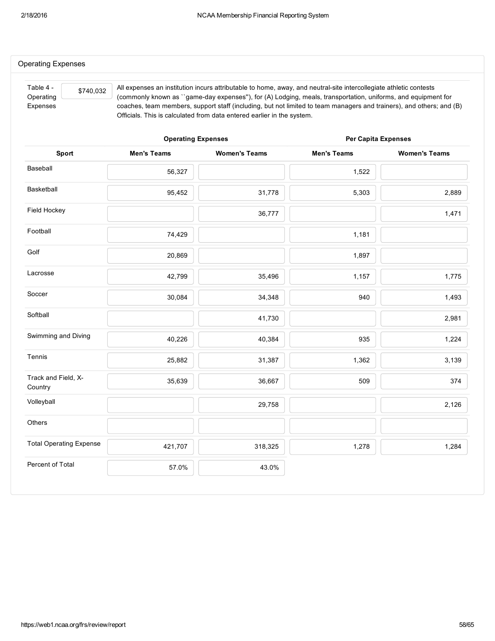| Table 4 -<br>\$740,032<br>Operating |                           | All expenses an institution incurs attributable to home, away, and neutral-site intercollegiate athletic contests<br>(commonly known as ``game-day expenses"), for (A) Lodging, meals, transportation, uniforms, and equipment for |                            |                      |
|-------------------------------------|---------------------------|------------------------------------------------------------------------------------------------------------------------------------------------------------------------------------------------------------------------------------|----------------------------|----------------------|
| Expenses                            |                           | coaches, team members, support staff (including, but not limited to team managers and trainers), and others; and (B)<br>Officials. This is calculated from data entered earlier in the system.                                     |                            |                      |
|                                     | <b>Operating Expenses</b> |                                                                                                                                                                                                                                    | <b>Per Capita Expenses</b> |                      |
| Sport                               | <b>Men's Teams</b>        | <b>Women's Teams</b>                                                                                                                                                                                                               | <b>Men's Teams</b>         | <b>Women's Teams</b> |
| Baseball                            | 56,327                    |                                                                                                                                                                                                                                    | 1,522                      |                      |
| Basketball                          | 95,452                    | 31,778                                                                                                                                                                                                                             | 5,303                      | 2,889                |
| Field Hockey                        |                           | 36,777                                                                                                                                                                                                                             |                            | 1,471                |
| Football                            | 74,429                    |                                                                                                                                                                                                                                    | 1,181                      |                      |
| Golf                                | 20,869                    |                                                                                                                                                                                                                                    | 1,897                      |                      |
| Lacrosse                            | 42,799                    | 35,496                                                                                                                                                                                                                             | 1,157                      | 1,775                |
| Soccer                              | 30,084                    | 34,348                                                                                                                                                                                                                             | 940                        | 1,493                |
| Softball                            |                           | 41,730                                                                                                                                                                                                                             |                            | 2,981                |
| Swimming and Diving                 | 40,226                    | 40,384                                                                                                                                                                                                                             | 935                        | 1,224                |
| Tennis                              | 25,882                    | 31,387                                                                                                                                                                                                                             | 1,362                      | 3,139                |
| Track and Field, X-<br>Country      | 35,639                    | 36,667                                                                                                                                                                                                                             | 509                        | 374                  |
| Volleyball                          |                           | 29,758                                                                                                                                                                                                                             |                            | 2,126                |
| Others                              |                           |                                                                                                                                                                                                                                    |                            |                      |
| <b>Total Operating Expense</b>      | 421,707                   | 318,325                                                                                                                                                                                                                            | 1,278                      | 1,284                |
| Percent of Total                    | 57.0%                     | 43.0%                                                                                                                                                                                                                              |                            |                      |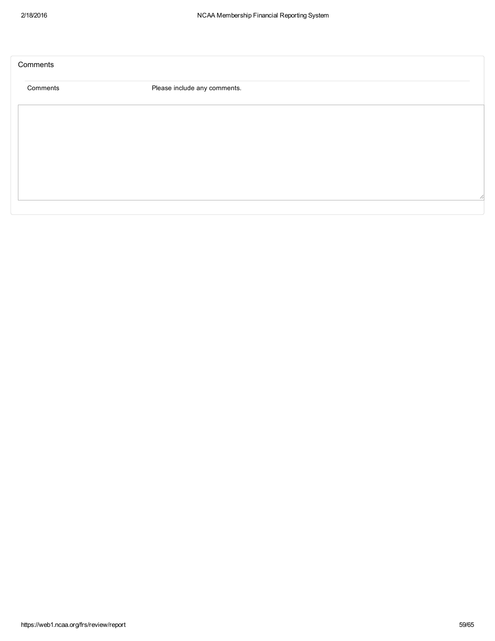| Please include any comments. |  |
|------------------------------|--|
|                              |  |
|                              |  |
|                              |  |
|                              |  |
|                              |  |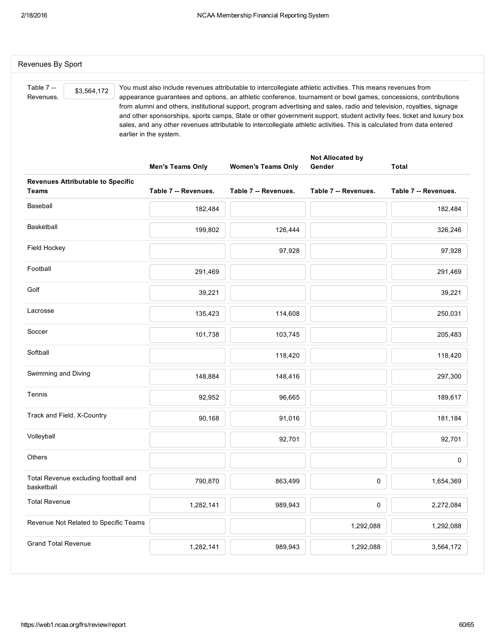| Table 7 --<br>\$3,564,172<br>Revenues.             | You must also include revenues attributable to intercollegiate athletic activities. This means revenues from<br>appearance guarantees and options, an athletic conference, tournament or bowl games, concessions, contributions<br>from alumni and others, institutional support, program advertising and sales, radio and television, royalties, signage<br>and other sponsorships, sports camps, State or other government support, student activity fees, ticket and luxury box<br>sales, and any other revenues attributable to intercollegiate athletic activities. This is calculated from data entered<br>earlier in the system. |                           |                            |                      |  |  |  |
|----------------------------------------------------|-----------------------------------------------------------------------------------------------------------------------------------------------------------------------------------------------------------------------------------------------------------------------------------------------------------------------------------------------------------------------------------------------------------------------------------------------------------------------------------------------------------------------------------------------------------------------------------------------------------------------------------------|---------------------------|----------------------------|----------------------|--|--|--|
|                                                    | <b>Men's Teams Only</b>                                                                                                                                                                                                                                                                                                                                                                                                                                                                                                                                                                                                                 | <b>Women's Teams Only</b> | Not Allocated by<br>Gender | Total                |  |  |  |
| <b>Revenues Attributable to Specific</b><br>Teams  | Table 7 -- Revenues.                                                                                                                                                                                                                                                                                                                                                                                                                                                                                                                                                                                                                    | Table 7 -- Revenues.      | Table 7 -- Revenues.       | Table 7 -- Revenues. |  |  |  |
| Baseball                                           | 182,484                                                                                                                                                                                                                                                                                                                                                                                                                                                                                                                                                                                                                                 |                           |                            | 182,484              |  |  |  |
| <b>Basketball</b>                                  | 199,802                                                                                                                                                                                                                                                                                                                                                                                                                                                                                                                                                                                                                                 | 126,444                   |                            | 326,246              |  |  |  |
| Field Hockey                                       |                                                                                                                                                                                                                                                                                                                                                                                                                                                                                                                                                                                                                                         | 97,928                    |                            | 97,928               |  |  |  |
| Football                                           | 291,469                                                                                                                                                                                                                                                                                                                                                                                                                                                                                                                                                                                                                                 |                           |                            | 291,469              |  |  |  |
| Golf                                               | 39,221                                                                                                                                                                                                                                                                                                                                                                                                                                                                                                                                                                                                                                  |                           |                            | 39,221               |  |  |  |
| Lacrosse                                           | 135,423                                                                                                                                                                                                                                                                                                                                                                                                                                                                                                                                                                                                                                 | 114,608                   |                            | 250,031              |  |  |  |
| Soccer                                             | 101,738                                                                                                                                                                                                                                                                                                                                                                                                                                                                                                                                                                                                                                 | 103,745                   |                            | 205,483              |  |  |  |
| Softball                                           |                                                                                                                                                                                                                                                                                                                                                                                                                                                                                                                                                                                                                                         | 118,420                   |                            | 118,420              |  |  |  |
| Swimming and Diving                                | 148,884                                                                                                                                                                                                                                                                                                                                                                                                                                                                                                                                                                                                                                 | 148,416                   |                            | 297,300              |  |  |  |
| Tennis                                             | 92,952                                                                                                                                                                                                                                                                                                                                                                                                                                                                                                                                                                                                                                  | 96,665                    |                            | 189,617              |  |  |  |
| Track and Field, X-Country                         | 90,168                                                                                                                                                                                                                                                                                                                                                                                                                                                                                                                                                                                                                                  | 91,016                    |                            | 181,184              |  |  |  |
| Volleyball                                         |                                                                                                                                                                                                                                                                                                                                                                                                                                                                                                                                                                                                                                         | 92,701                    |                            | 92,701               |  |  |  |
| Others                                             |                                                                                                                                                                                                                                                                                                                                                                                                                                                                                                                                                                                                                                         |                           |                            | 0                    |  |  |  |
| Total Revenue excluding football and<br>basketball | 790,870                                                                                                                                                                                                                                                                                                                                                                                                                                                                                                                                                                                                                                 | 863,499                   | 0                          | 1,654,369            |  |  |  |
| <b>Total Revenue</b>                               | 1,282,141                                                                                                                                                                                                                                                                                                                                                                                                                                                                                                                                                                                                                               | 989,943                   | 0                          | 2,272,084            |  |  |  |
| Revenue Not Related to Specific Teams              |                                                                                                                                                                                                                                                                                                                                                                                                                                                                                                                                                                                                                                         |                           | 1,292,088                  | 1,292,088            |  |  |  |
| <b>Grand Total Revenue</b>                         | 1,282,141                                                                                                                                                                                                                                                                                                                                                                                                                                                                                                                                                                                                                               | 989,943                   | 1,292,088                  | 3,564,172            |  |  |  |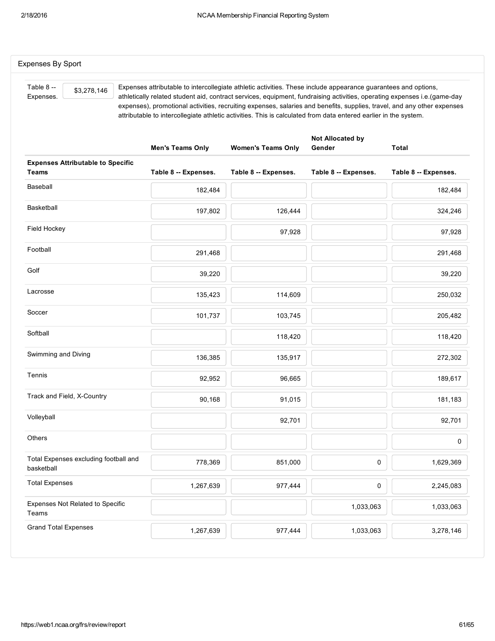| Table 8 --<br>\$3,278,146<br>Expenses.                   | Expenses attributable to intercollegiate athletic activities. These include appearance guarantees and options,<br>athletically related student aid, contract services, equipment, fundraising activities, operating expenses i.e.(game-day<br>expenses), promotional activities, recruiting expenses, salaries and benefits, supplies, travel, and any other expenses<br>attributable to intercollegiate athletic activities. This is calculated from data entered earlier in the system. |                           |                            |                      |
|----------------------------------------------------------|-------------------------------------------------------------------------------------------------------------------------------------------------------------------------------------------------------------------------------------------------------------------------------------------------------------------------------------------------------------------------------------------------------------------------------------------------------------------------------------------|---------------------------|----------------------------|----------------------|
|                                                          | <b>Men's Teams Only</b>                                                                                                                                                                                                                                                                                                                                                                                                                                                                   | <b>Women's Teams Only</b> | Not Allocated by<br>Gender | <b>Total</b>         |
| <b>Expenses Attributable to Specific</b><br><b>Teams</b> | Table 8 -- Expenses.                                                                                                                                                                                                                                                                                                                                                                                                                                                                      | Table 8 -- Expenses.      | Table 8 -- Expenses.       | Table 8 -- Expenses. |
| Baseball                                                 | 182,484                                                                                                                                                                                                                                                                                                                                                                                                                                                                                   |                           |                            | 182,484              |
| Basketball                                               | 197,802                                                                                                                                                                                                                                                                                                                                                                                                                                                                                   | 126,444                   |                            | 324,246              |
| Field Hockey                                             |                                                                                                                                                                                                                                                                                                                                                                                                                                                                                           | 97,928                    |                            | 97,928               |
| Football                                                 | 291,468                                                                                                                                                                                                                                                                                                                                                                                                                                                                                   |                           |                            | 291,468              |
| Golf                                                     | 39,220                                                                                                                                                                                                                                                                                                                                                                                                                                                                                    |                           |                            | 39,220               |
| Lacrosse                                                 | 135,423                                                                                                                                                                                                                                                                                                                                                                                                                                                                                   | 114,609                   |                            | 250,032              |
| Soccer                                                   | 101,737                                                                                                                                                                                                                                                                                                                                                                                                                                                                                   | 103,745                   |                            | 205,482              |
| Softball                                                 |                                                                                                                                                                                                                                                                                                                                                                                                                                                                                           | 118,420                   |                            | 118,420              |
| Swimming and Diving                                      | 136,385                                                                                                                                                                                                                                                                                                                                                                                                                                                                                   | 135,917                   |                            | 272,302              |
| Tennis                                                   | 92,952                                                                                                                                                                                                                                                                                                                                                                                                                                                                                    | 96,665                    |                            | 189,617              |
| Track and Field, X-Country                               | 90,168                                                                                                                                                                                                                                                                                                                                                                                                                                                                                    | 91,015                    |                            | 181,183              |
| Volleyball                                               |                                                                                                                                                                                                                                                                                                                                                                                                                                                                                           | 92,701                    |                            | 92,701               |
| Others                                                   |                                                                                                                                                                                                                                                                                                                                                                                                                                                                                           |                           |                            | 0                    |
| Total Expenses excluding football and<br>basketball      | 778,369                                                                                                                                                                                                                                                                                                                                                                                                                                                                                   | 851,000                   | 0                          | 1,629,369            |
| <b>Total Expenses</b>                                    | 1,267,639                                                                                                                                                                                                                                                                                                                                                                                                                                                                                 | 977,444                   | 0                          | 2,245,083            |
| Expenses Not Related to Specific<br>Teams                |                                                                                                                                                                                                                                                                                                                                                                                                                                                                                           |                           | 1,033,063                  | 1,033,063            |
| <b>Grand Total Expenses</b>                              | 1,267,639                                                                                                                                                                                                                                                                                                                                                                                                                                                                                 | 977,444                   | 1,033,063                  | 3,278,146            |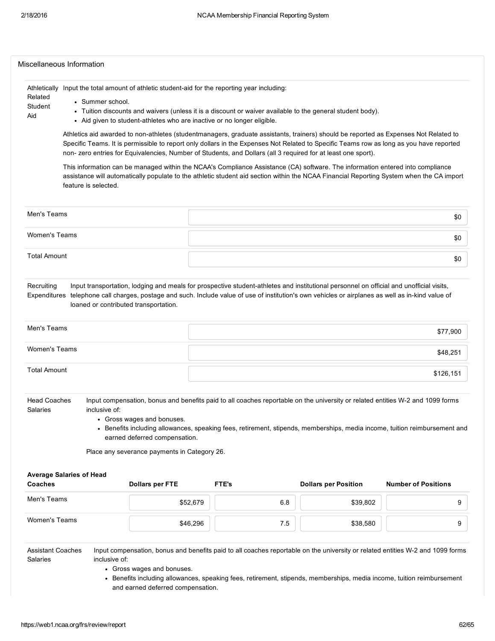|                                                            |                                                                                                            |                                              | Athletically Input the total amount of athletic student-aid for the reporting year including:                                                                                                                                                                                                                                                                                                   |                             |                            |  |  |  |
|------------------------------------------------------------|------------------------------------------------------------------------------------------------------------|----------------------------------------------|-------------------------------------------------------------------------------------------------------------------------------------------------------------------------------------------------------------------------------------------------------------------------------------------------------------------------------------------------------------------------------------------------|-----------------------------|----------------------------|--|--|--|
| Related                                                    | • Summer school.                                                                                           |                                              |                                                                                                                                                                                                                                                                                                                                                                                                 |                             |                            |  |  |  |
| Student                                                    | • Tuition discounts and waivers (unless it is a discount or waiver available to the general student body). |                                              |                                                                                                                                                                                                                                                                                                                                                                                                 |                             |                            |  |  |  |
| Aid                                                        |                                                                                                            |                                              | - Aid given to student-athletes who are inactive or no longer eligible.                                                                                                                                                                                                                                                                                                                         |                             |                            |  |  |  |
|                                                            |                                                                                                            |                                              | Athletics aid awarded to non-athletes (studentmanagers, graduate assistants, trainers) should be reported as Expenses Not Related to<br>Specific Teams. It is permissible to report only dollars in the Expenses Not Related to Specific Teams row as long as you have reported<br>non-zero entries for Equivalencies, Number of Students, and Dollars (all 3 required for at least one sport). |                             |                            |  |  |  |
|                                                            | feature is selected.                                                                                       |                                              | This information can be managed within the NCAA's Compliance Assistance (CA) software. The information entered into compliance<br>assistance will automatically populate to the athletic student aid section within the NCAA Financial Reporting System when the CA import                                                                                                                      |                             |                            |  |  |  |
| Men's Teams                                                |                                                                                                            |                                              |                                                                                                                                                                                                                                                                                                                                                                                                 |                             | \$0                        |  |  |  |
| <b>Women's Teams</b>                                       |                                                                                                            |                                              |                                                                                                                                                                                                                                                                                                                                                                                                 |                             | \$0                        |  |  |  |
| <b>Total Amount</b>                                        |                                                                                                            |                                              |                                                                                                                                                                                                                                                                                                                                                                                                 |                             | \$0                        |  |  |  |
|                                                            | loaned or contributed transportation.                                                                      |                                              | Input transportation, lodging and meals for prospective student-athletes and institutional personnel on official and unofficial visits,<br>telephone call charges, postage and such. Include value of use of institution's own vehicles or airplanes as well as in-kind value of                                                                                                                |                             |                            |  |  |  |
|                                                            |                                                                                                            |                                              |                                                                                                                                                                                                                                                                                                                                                                                                 |                             | \$77,900                   |  |  |  |
| Recruiting<br>Expenditures<br>Men's Teams<br>Women's Teams |                                                                                                            |                                              |                                                                                                                                                                                                                                                                                                                                                                                                 |                             | \$48,251                   |  |  |  |
| <b>Total Amount</b>                                        |                                                                                                            |                                              |                                                                                                                                                                                                                                                                                                                                                                                                 |                             | \$126,151                  |  |  |  |
| <b>Head Coaches</b><br>Salaries                            | inclusive of:<br>• Gross wages and bonuses.                                                                | earned deferred compensation.                | Input compensation, bonus and benefits paid to all coaches reportable on the university or related entities W-2 and 1099 forms<br>• Benefits including allowances, speaking fees, retirement, stipends, memberships, media income, tuition reimbursement and                                                                                                                                    |                             |                            |  |  |  |
|                                                            |                                                                                                            | Place any severance payments in Category 26. |                                                                                                                                                                                                                                                                                                                                                                                                 |                             |                            |  |  |  |
|                                                            |                                                                                                            |                                              |                                                                                                                                                                                                                                                                                                                                                                                                 |                             |                            |  |  |  |
|                                                            |                                                                                                            | <b>Dollars per FTE</b>                       | FTE's                                                                                                                                                                                                                                                                                                                                                                                           | <b>Dollars per Position</b> | <b>Number of Positions</b> |  |  |  |
| <b>Average Salaries of Head</b><br>Coaches<br>Men's Teams  |                                                                                                            | \$52,679                                     | 6.8                                                                                                                                                                                                                                                                                                                                                                                             | \$39,802                    | 9                          |  |  |  |

Gross wages and bonuses.

• Benefits including allowances, speaking fees, retirement, stipends, memberships, media income, tuition reimbursement and earned deferred compensation.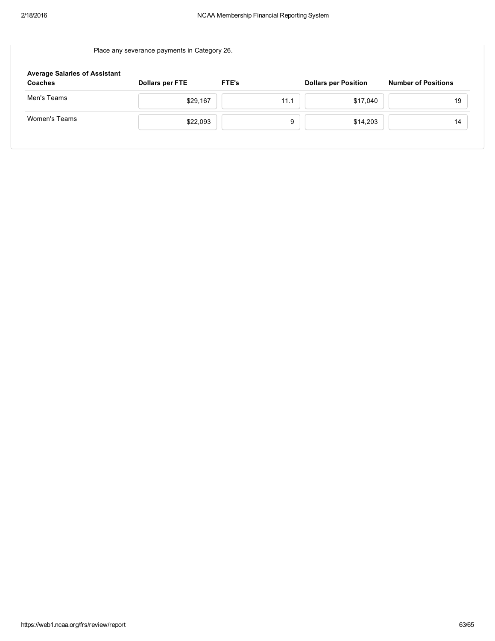Place any severance payments in Category 26.

| <b>Average Salaries of Assistant</b><br>Coaches | <b>Dollars per FTE</b> | <b>FTE's</b> | <b>Dollars per Position</b> | <b>Number of Positions</b> |
|-------------------------------------------------|------------------------|--------------|-----------------------------|----------------------------|
| Men's Teams                                     | \$29,167               | 11.1         | \$17,040                    | 19                         |
| Women's Teams                                   | \$22,093               | 9            | \$14,203                    | 14                         |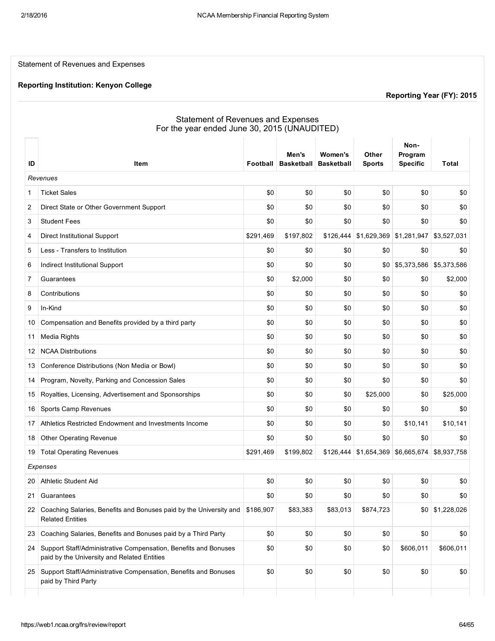Statement of Revenues and Expenses

#### Reporting Institution: Kenyon College

Reporting Year (FY): 2015

 $\bar{\mathbf{r}}$ 

## Statement of Revenues and Expenses For the year ended June 30, 2015 (UNAUDITED)

|    |                                                                                                                |           | Men's             | Women's           | Other         | Non-<br>Program |             |
|----|----------------------------------------------------------------------------------------------------------------|-----------|-------------------|-------------------|---------------|-----------------|-------------|
| ID | Item                                                                                                           | Football  | <b>Basketball</b> | <b>Basketball</b> | <b>Sports</b> | <b>Specific</b> | Total       |
|    | Revenues                                                                                                       |           |                   |                   |               |                 |             |
| 1  | <b>Ticket Sales</b>                                                                                            | \$0       | \$0               | \$0               | \$0           | \$0             | \$0         |
| 2  | Direct State or Other Government Support                                                                       | \$0       | \$0               | \$0               | \$0           | \$0             | \$0         |
| 3  | <b>Student Fees</b>                                                                                            | \$0       | \$0               | \$0               | \$0           | \$0             | \$0         |
| 4  | <b>Direct Institutional Support</b>                                                                            | \$291,469 | \$197,802         | \$126,444         | \$1,629,369   | \$1,281,947     | \$3,527,031 |
| 5  | Less - Transfers to Institution                                                                                | \$0       | \$0               | \$0               | \$0           | \$0             | \$0         |
| 6  | Indirect Institutional Support                                                                                 | \$0       | \$0               | \$0               | \$0           | \$5,373,586     | \$5,373,586 |
| 7  | Guarantees                                                                                                     | \$0       | \$2,000           | \$0               | \$0           | \$0             | \$2,000     |
| 8  | Contributions                                                                                                  | \$0       | \$0               | \$0               | \$0           | \$0             | \$0         |
| 9  | In-Kind                                                                                                        | \$0       | \$0               | \$0               | \$0           | \$0             | \$0         |
| 10 | Compensation and Benefits provided by a third party                                                            | \$0       | \$0               | \$0               | \$0           | \$0             | \$0         |
| 11 | <b>Media Rights</b>                                                                                            | \$0       | \$0               | \$0               | \$0           | \$0             | \$0         |
| 12 | <b>NCAA Distributions</b>                                                                                      | \$0       | \$0               | \$0               | \$0           | \$0             | \$0         |
| 13 | Conference Distributions (Non Media or Bowl)                                                                   | \$0       | \$0               | \$0               | \$0           | \$0             | \$0         |
| 14 | Program, Novelty, Parking and Concession Sales                                                                 | \$0       | \$0               | \$0               | \$0           | \$0             | \$0         |
| 15 | Royalties, Licensing, Advertisement and Sponsorships                                                           | \$0       | \$0               | \$0               | \$25,000      | \$0             | \$25,000    |
| 16 | Sports Camp Revenues                                                                                           | \$0       | \$0               | \$0               | \$0           | \$0             | \$0         |
| 17 | Athletics Restricted Endowment and Investments Income                                                          | \$0       | \$0               | \$0               | \$0           | \$10,141        | \$10,141    |
| 18 | Other Operating Revenue                                                                                        | \$0       | \$0               | \$0               | \$0           | \$0             | \$0         |
| 19 | <b>Total Operating Revenues</b>                                                                                | \$291,469 | \$199,802         | \$126,444         | \$1,654,369   | \$6,665,674     | \$8,937,758 |
|    | Expenses                                                                                                       |           |                   |                   |               |                 |             |
| 20 | Athletic Student Aid                                                                                           | \$0       | \$0               | \$0               | \$0           | \$0             | \$0         |
| 21 | Guarantees                                                                                                     | \$0       | \$0               | \$0               | \$0           | \$0             | \$0         |
|    | 22 Coaching Salaries, Benefits and Bonuses paid by the University and \$186,907<br><b>Related Entities</b>     |           | \$83,383          | \$83,013          | \$874,723     | \$0             | \$1,228,026 |
| 23 | Coaching Salaries, Benefits and Bonuses paid by a Third Party                                                  | \$0       | \$0               | \$0               | \$0           | \$0             | \$0         |
| 24 | Support Staff/Administrative Compensation, Benefits and Bonuses<br>paid by the University and Related Entities | \$0       | \$0               | \$0               | \$0           | \$606,011       | \$606,011   |
| 25 | Support Staff/Administrative Compensation, Benefits and Bonuses<br>paid by Third Party                         | \$0       | \$0               | \$0               | \$0           | \$0             | \$0         |
|    |                                                                                                                |           |                   |                   |               |                 |             |